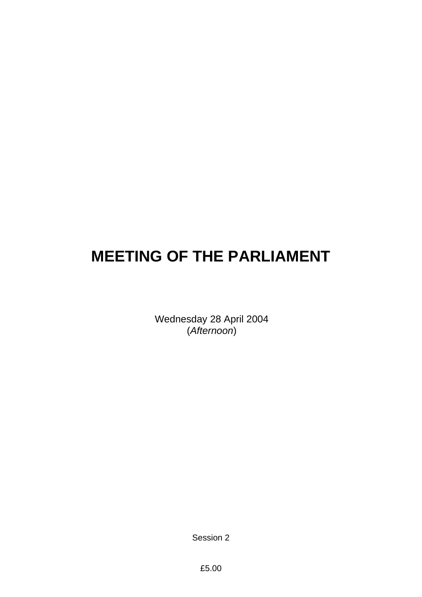# **MEETING OF THE PARLIAMENT**

Wednesday 28 April 2004 (*Afternoon*)

Session 2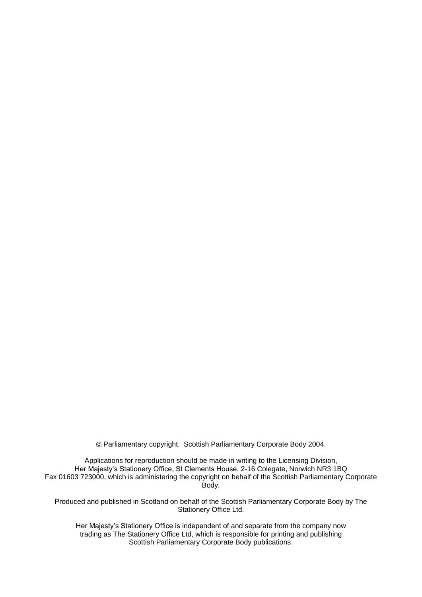Parliamentary copyright. Scottish Parliamentary Corporate Body 2004.

Applications for reproduction should be made in writing to the Licensing Division, Her Majesty's Stationery Office, St Clements House, 2-16 Colegate, Norwich NR3 1BQ Fax 01603 723000, which is administering the copyright on behalf of the Scottish Parliamentary Corporate Body.

Produced and published in Scotland on behalf of the Scottish Parliamentary Corporate Body by The Stationery Office Ltd.

Her Majesty's Stationery Office is independent of and separate from the company now trading as The Stationery Office Ltd, which is responsible for printing and publishing Scottish Parliamentary Corporate Body publications.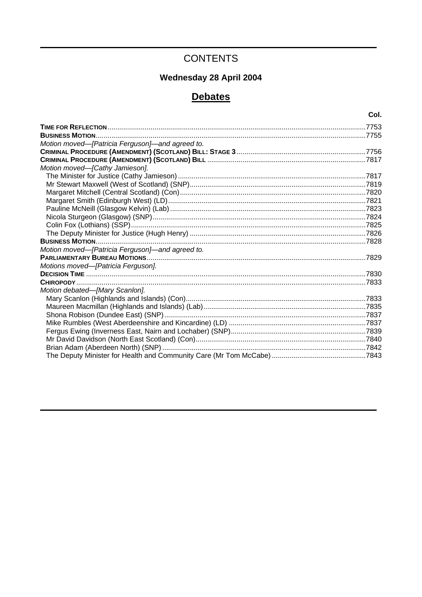# **CONTENTS**

# Wednesday 28 April 2004

# **Debates**

|                                                 | Col.  |
|-------------------------------------------------|-------|
|                                                 | .7753 |
|                                                 |       |
| Motion moved-[Patricia Ferguson]-and agreed to. |       |
|                                                 |       |
|                                                 |       |
| Motion moved-[Cathy Jamieson].                  |       |
|                                                 |       |
|                                                 |       |
|                                                 |       |
|                                                 |       |
|                                                 |       |
|                                                 |       |
|                                                 |       |
|                                                 |       |
|                                                 |       |
| Motion moved-[Patricia Ferguson]-and agreed to. |       |
|                                                 |       |
| Motions moved-[Patricia Ferguson].              |       |
|                                                 |       |
|                                                 |       |
| Motion debated-[Mary Scanlon].                  |       |
|                                                 |       |
|                                                 |       |
|                                                 |       |
|                                                 |       |
|                                                 |       |
|                                                 |       |
|                                                 |       |
|                                                 |       |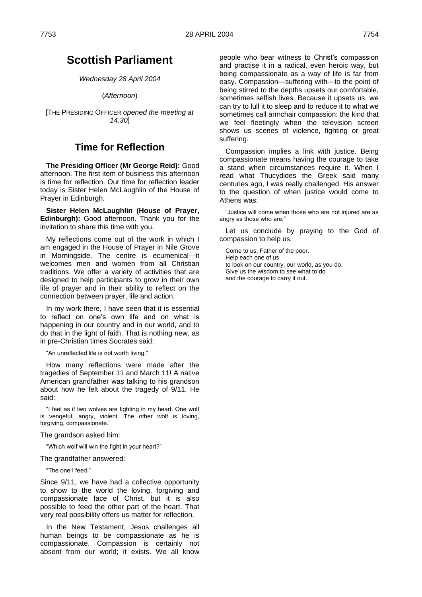# **Scottish Parliament**

*Wednesday 28 April 2004*

(*Afternoon*)

[THE PRESIDING OFFICER *opened the meeting at 14:30*]

# **Time for Reflection**

**The Presiding Officer (Mr George Reid):** Good afternoon. The first item of business this afternoon is time for reflection. Our time for reflection leader today is Sister Helen McLaughlin of the House of Prayer in Edinburgh.

**Sister Helen McLaughlin (House of Prayer, Edinburgh):** Good afternoon. Thank you for the invitation to share this time with you.

My reflections come out of the work in which I am engaged in the House of Prayer in Nile Grove in Morningside. The centre is ecumenical—it welcomes men and women from all Christian traditions. We offer a variety of activities that are designed to help participants to grow in their own life of prayer and in their ability to reflect on the connection between prayer, life and action.

In my work there, I have seen that it is essential to reflect on one's own life and on what is happening in our country and in our world, and to do that in the light of faith. That is nothing new, as in pre-Christian times Socrates said:

"An unreflected life is not worth living."

How many reflections were made after the tragedies of September 11 and March 11! A native American grandfather was talking to his grandson about how he felt about the tragedy of 9/11. He said:

"I feel as if two wolves are fighting in my heart. One wolf is vengeful, angry, violent. The other wolf is loving, forgiving, compassionate."

#### The grandson asked him:

"Which wolf will win the fight in your heart?"

The grandfather answered:

―The one I feed.‖

Since 9/11, we have had a collective opportunity to show to the world the loving, forgiving and compassionate face of Christ, but it is also possible to feed the other part of the heart. That very real possibility offers us matter for reflection.

In the New Testament, Jesus challenges all human beings to be compassionate as he is compassionate. Compassion is certainly not absent from our world; it exists. We all know

people who bear witness to Christ's compassion and practise it in a radical, even heroic way, but being compassionate as a way of life is far from easy. Compassion—suffering with—to the point of being stirred to the depths upsets our comfortable, sometimes selfish lives. Because it upsets us, we can try to lull it to sleep and to reduce it to what we sometimes call armchair compassion: the kind that we feel fleetingly when the television screen shows us scenes of violence, fighting or great suffering.

Compassion implies a link with justice. Being compassionate means having the courage to take a stand when circumstances require it. When I read what Thucydides the Greek said many centuries ago, I was really challenged. His answer to the question of when justice would come to Athens was:

―Justice will come when those who are not injured are as angry as those who are."

Let us conclude by praying to the God of compassion to help us.

Come to us, Father of the poor. Help each one of us to look on our country, our world, as you do. Give us the wisdom to see what to do and the courage to carry it out.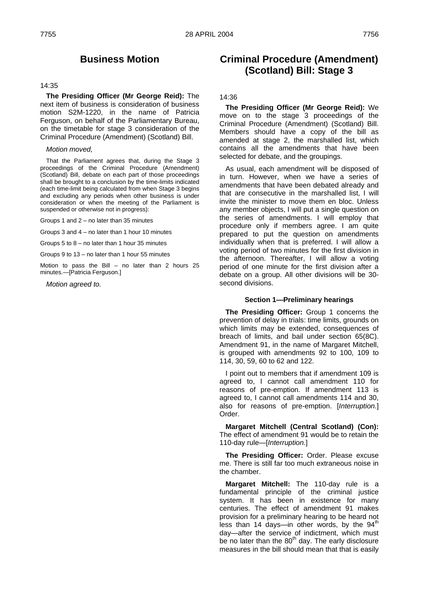# **Business Motion**

#### 14:35

**The Presiding Officer (Mr George Reid):** The next item of business is consideration of business motion S2M-1220, in the name of Patricia Ferguson, on behalf of the Parliamentary Bureau, on the timetable for stage 3 consideration of the Criminal Procedure (Amendment) (Scotland) Bill.

#### *Motion moved,*

That the Parliament agrees that, during the Stage 3 proceedings of the Criminal Procedure (Amendment) (Scotland) Bill, debate on each part of those proceedings shall be brought to a conclusion by the time-limits indicated (each time-limit being calculated from when Stage 3 begins and excluding any periods when other business is under consideration or when the meeting of the Parliament is suspended or otherwise not in progress):

Groups 1 and 2 – no later than 35 minutes

Groups 3 and 4 – no later than 1 hour 10 minutes

Groups 5 to  $8 -$  no later than 1 hour 35 minutes

Groups 9 to 13 – no later than 1 hour 55 minutes

Motion to pass the Bill – no later than 2 hours 25 minutes.—[Patricia Ferguson.]

*Motion agreed to.*

# **Criminal Procedure (Amendment) (Scotland) Bill: Stage 3**

# 14:36

**The Presiding Officer (Mr George Reid):** We move on to the stage 3 proceedings of the Criminal Procedure (Amendment) (Scotland) Bill. Members should have a copy of the bill as amended at stage 2, the marshalled list, which contains all the amendments that have been selected for debate, and the groupings.

As usual, each amendment will be disposed of in turn. However, when we have a series of amendments that have been debated already and that are consecutive in the marshalled list, I will invite the minister to move them en bloc. Unless any member objects, I will put a single question on the series of amendments. I will employ that procedure only if members agree. I am quite prepared to put the question on amendments individually when that is preferred. I will allow a voting period of two minutes for the first division in the afternoon. Thereafter, I will allow a voting period of one minute for the first division after a debate on a group. All other divisions will be 30 second divisions.

### **Section 1—Preliminary hearings**

**The Presiding Officer:** Group 1 concerns the prevention of delay in trials: time limits, grounds on which limits may be extended, consequences of breach of limits, and bail under section 65(8C). Amendment 91, in the name of Margaret Mitchell, is grouped with amendments 92 to 100, 109 to 114, 30, 59, 60 to 62 and 122.

I point out to members that if amendment 109 is agreed to, I cannot call amendment 110 for reasons of pre-emption. If amendment 113 is agreed to, I cannot call amendments 114 and 30, also for reasons of pre-emption. [*Interruption.*] Order.

**Margaret Mitchell (Central Scotland) (Con):**  The effect of amendment 91 would be to retain the 110-day rule—[*Interruption.*]

**The Presiding Officer:** Order. Please excuse me. There is still far too much extraneous noise in the chamber.

**Margaret Mitchell:** The 110-day rule is a fundamental principle of the criminal justice system. It has been in existence for many centuries. The effect of amendment 91 makes provision for a preliminary hearing to be heard not less than 14 days—in other words, by the  $94<sup>th</sup>$ day—after the service of indictment, which must be no later than the  $80<sup>th</sup>$  day. The early disclosure measures in the bill should mean that that is easily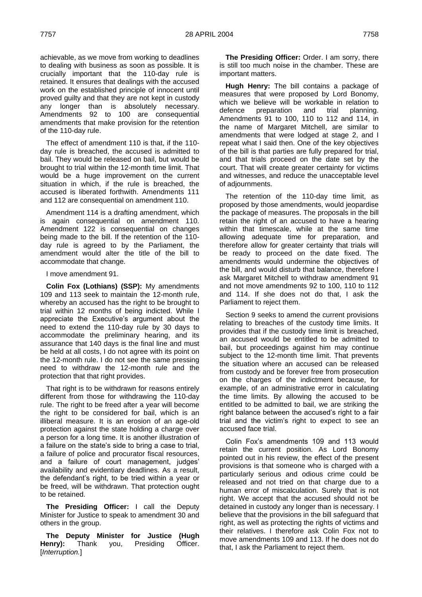achievable, as we move from working to deadlines to dealing with business as soon as possible. It is crucially important that the 110-day rule is retained. It ensures that dealings with the accused work on the established principle of innocent until proved guilty and that they are not kept in custody any longer than is absolutely necessary. Amendments 92 to 100 are consequential amendments that make provision for the retention of the 110-day rule.

The effect of amendment 110 is that, if the 110 day rule is breached, the accused is admitted to bail. They would be released on bail, but would be brought to trial within the 12-month time limit. That would be a huge improvement on the current situation in which, if the rule is breached, the accused is liberated forthwith. Amendments 111 and 112 are consequential on amendment 110.

Amendment 114 is a drafting amendment, which is again consequential on amendment 110. Amendment 122 is consequential on changes being made to the bill. If the retention of the 110 day rule is agreed to by the Parliament, the amendment would alter the title of the bill to accommodate that change.

### I move amendment 91.

**Colin Fox (Lothians) (SSP):** My amendments 109 and 113 seek to maintain the 12-month rule, whereby an accused has the right to be brought to trial within 12 months of being indicted. While I appreciate the Executive's argument about the need to extend the 110-day rule by 30 days to accommodate the preliminary hearing, and its assurance that 140 days is the final line and must be held at all costs, I do not agree with its point on the 12-month rule. I do not see the same pressing need to withdraw the 12-month rule and the protection that that right provides.

That right is to be withdrawn for reasons entirely different from those for withdrawing the 110-day rule. The right to be freed after a year will become the right to be considered for bail, which is an illiberal measure. It is an erosion of an age-old protection against the state holding a charge over a person for a long time. It is another illustration of a failure on the state's side to bring a case to trial, a failure of police and procurator fiscal resources, and a failure of court management, judges' availability and evidentiary deadlines. As a result, the defendant's right, to be tried within a year or be freed, will be withdrawn. That protection ought to be retained.

**The Presiding Officer:** I call the Deputy Minister for Justice to speak to amendment 30 and others in the group.

**The Deputy Minister for Justice (Hugh**  Henry): Thank you, Presiding Officer. [*Interruption.*]

**The Presiding Officer:** Order. I am sorry, there is still too much noise in the chamber. These are important matters.

**Hugh Henry:** The bill contains a package of measures that were proposed by Lord Bonomy, which we believe will be workable in relation to defence preparation and trial planning. Amendments 91 to 100, 110 to 112 and 114, in the name of Margaret Mitchell, are similar to amendments that were lodged at stage 2, and I repeat what I said then. One of the key objectives of the bill is that parties are fully prepared for trial, and that trials proceed on the date set by the court. That will create greater certainty for victims and witnesses, and reduce the unacceptable level of adjournments.

The retention of the 110-day time limit, as proposed by those amendments, would jeopardise the package of measures. The proposals in the bill retain the right of an accused to have a hearing within that timescale, while at the same time allowing adequate time for preparation, and therefore allow for greater certainty that trials will be ready to proceed on the date fixed. The amendments would undermine the objectives of the bill, and would disturb that balance, therefore I ask Margaret Mitchell to withdraw amendment 91 and not move amendments 92 to 100, 110 to 112 and 114. If she does not do that, I ask the Parliament to reject them.

Section 9 seeks to amend the current provisions relating to breaches of the custody time limits. It provides that if the custody time limit is breached, an accused would be entitled to be admitted to bail, but proceedings against him may continue subject to the 12-month time limit. That prevents the situation where an accused can be released from custody and be forever free from prosecution on the charges of the indictment because, for example, of an administrative error in calculating the time limits. By allowing the accused to be entitled to be admitted to bail, we are striking the right balance between the accused's right to a fair trial and the victim's right to expect to see an accused face trial.

Colin Fox's amendments 109 and 113 would retain the current position. As Lord Bonomy pointed out in his review, the effect of the present provisions is that someone who is charged with a particularly serious and odious crime could be released and not tried on that charge due to a human error of miscalculation. Surely that is not right. We accept that the accused should not be detained in custody any longer than is necessary. I believe that the provisions in the bill safeguard that right, as well as protecting the rights of victims and their relatives. I therefore ask Colin Fox not to move amendments 109 and 113. If he does not do that, I ask the Parliament to reject them.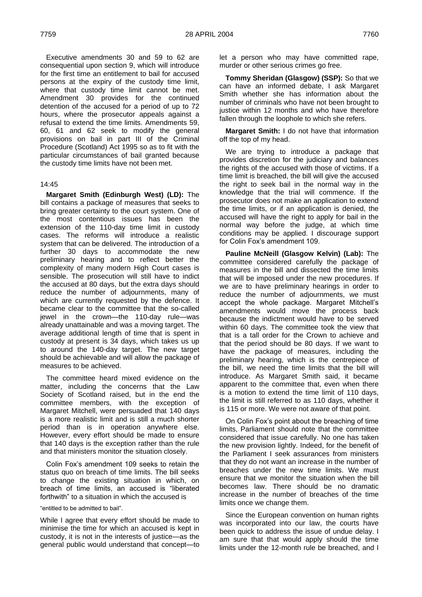Executive amendments 30 and 59 to 62 are consequential upon section 9, which will introduce for the first time an entitlement to bail for accused persons at the expiry of the custody time limit, where that custody time limit cannot be met. Amendment 30 provides for the continued detention of the accused for a period of up to 72 hours, where the prosecutor appeals against a refusal to extend the time limits. Amendments 59, 60, 61 and 62 seek to modify the general provisions on bail in part III of the Criminal Procedure (Scotland) Act 1995 so as to fit with the particular circumstances of bail granted because the custody time limits have not been met.

### 14:45

**Margaret Smith (Edinburgh West) (LD):** The bill contains a package of measures that seeks to bring greater certainty to the court system. One of the most contentious issues has been the extension of the 110-day time limit in custody cases. The reforms will introduce a realistic system that can be delivered. The introduction of a further 30 days to accommodate the new preliminary hearing and to reflect better the complexity of many modern High Court cases is sensible. The prosecution will still have to indict the accused at 80 days, but the extra days should reduce the number of adjournments, many of which are currently requested by the defence. It became clear to the committee that the so-called jewel in the crown—the 110-day rule—was already unattainable and was a moving target. The average additional length of time that is spent in custody at present is 34 days, which takes us up to around the 140-day target. The new target should be achievable and will allow the package of measures to be achieved.

The committee heard mixed evidence on the matter, including the concerns that the Law Society of Scotland raised, but in the end the committee members, with the exception of Margaret Mitchell, were persuaded that 140 days is a more realistic limit and is still a much shorter period than is in operation anywhere else. However, every effort should be made to ensure that 140 days is the exception rather than the rule and that ministers monitor the situation closely.

Colin Fox's amendment 109 seeks to retain the status quo on breach of time limits. The bill seeks to change the existing situation in which, on breach of time limits, an accused is "liberated forthwith" to a situation in which the accused is

―entitled to be admitted to bail‖.

While I agree that every effort should be made to minimise the time for which an accused is kept in custody, it is not in the interests of justice—as the general public would understand that concept—to

let a person who may have committed rape, murder or other serious crimes go free.

**Tommy Sheridan (Glasgow) (SSP):** So that we can have an informed debate, I ask Margaret Smith whether she has information about the number of criminals who have not been brought to justice within 12 months and who have therefore fallen through the loophole to which she refers.

**Margaret Smith:** I do not have that information off the top of my head.

We are trying to introduce a package that provides discretion for the judiciary and balances the rights of the accused with those of victims. If a time limit is breached, the bill will give the accused the right to seek bail in the normal way in the knowledge that the trial will commence. If the prosecutor does not make an application to extend the time limits, or if an application is denied, the accused will have the right to apply for bail in the normal way before the judge, at which time conditions may be applied. I discourage support for Colin Fox's amendment 109.

**Pauline McNeill (Glasgow Kelvin) (Lab):** The committee considered carefully the package of measures in the bill and dissected the time limits that will be imposed under the new procedures. If we are to have preliminary hearings in order to reduce the number of adjournments, we must accept the whole package. Margaret Mitchell's amendments would move the process back because the indictment would have to be served within 60 days. The committee took the view that that is a tall order for the Crown to achieve and that the period should be 80 days. If we want to have the package of measures, including the preliminary hearing, which is the centrepiece of the bill, we need the time limits that the bill will introduce. As Margaret Smith said, it became apparent to the committee that, even when there is a motion to extend the time limit of 110 days, the limit is still referred to as 110 days, whether it is 115 or more. We were not aware of that point.

On Colin Fox's point about the breaching of time limits, Parliament should note that the committee considered that issue carefully. No one has taken the new provision lightly. Indeed, for the benefit of the Parliament I seek assurances from ministers that they do not want an increase in the number of breaches under the new time limits. We must ensure that we monitor the situation when the bill becomes law. There should be no dramatic increase in the number of breaches of the time limits once we change them.

Since the European convention on human rights was incorporated into our law, the courts have been quick to address the issue of undue delay. I am sure that that would apply should the time limits under the 12-month rule be breached, and I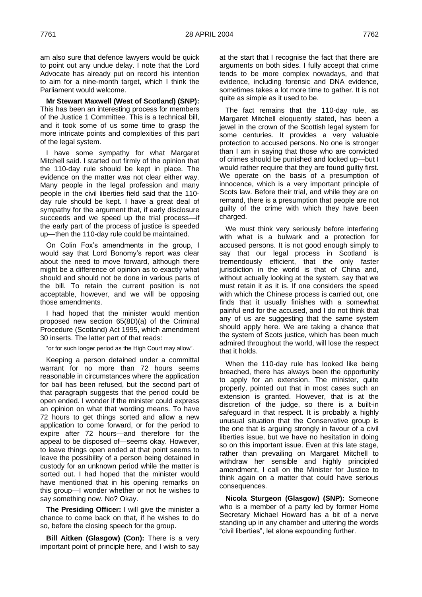am also sure that defence lawyers would be quick to point out any undue delay. I note that the Lord Advocate has already put on record his intention to aim for a nine-month target, which I think the Parliament would welcome.

**Mr Stewart Maxwell (West of Scotland) (SNP):**  This has been an interesting process for members of the Justice 1 Committee. This is a technical bill, and it took some of us some time to grasp the more intricate points and complexities of this part of the legal system.

I have some sympathy for what Margaret Mitchell said. I started out firmly of the opinion that the 110-day rule should be kept in place. The evidence on the matter was not clear either way. Many people in the legal profession and many people in the civil liberties field said that the 110 day rule should be kept. I have a great deal of sympathy for the argument that, if early disclosure succeeds and we speed up the trial process—if the early part of the process of justice is speeded up—then the 110-day rule could be maintained.

On Colin Fox's amendments in the group, I would say that Lord Bonomy's report was clear about the need to move forward, although there might be a difference of opinion as to exactly what should and should not be done in various parts of the bill. To retain the current position is not acceptable, however, and we will be opposing those amendments.

I had hoped that the minister would mention proposed new section 65(8D)(a) of the Criminal Procedure (Scotland) Act 1995, which amendment 30 inserts. The latter part of that reads:

"or for such longer period as the High Court may allow".

Keeping a person detained under a committal warrant for no more than 72 hours seems reasonable in circumstances where the application for bail has been refused, but the second part of that paragraph suggests that the period could be open ended. I wonder if the minister could express an opinion on what that wording means. To have 72 hours to get things sorted and allow a new application to come forward, or for the period to expire after 72 hours—and therefore for the appeal to be disposed of—seems okay. However, to leave things open ended at that point seems to leave the possibility of a person being detained in custody for an unknown period while the matter is sorted out. I had hoped that the minister would have mentioned that in his opening remarks on this group—I wonder whether or not he wishes to say something now. No? Okay.

**The Presiding Officer:** I will give the minister a chance to come back on that, if he wishes to do so, before the closing speech for the group.

**Bill Aitken (Glasgow) (Con):** There is a very important point of principle here, and I wish to say at the start that I recognise the fact that there are arguments on both sides. I fully accept that crime tends to be more complex nowadays, and that evidence, including forensic and DNA evidence, sometimes takes a lot more time to gather. It is not quite as simple as it used to be.

The fact remains that the 110-day rule, as Margaret Mitchell eloquently stated, has been a jewel in the crown of the Scottish legal system for some centuries. It provides a very valuable protection to accused persons. No one is stronger than I am in saying that those who are convicted of crimes should be punished and locked up—but I would rather require that they are found guilty first. We operate on the basis of a presumption of innocence, which is a very important principle of Scots law. Before their trial, and while they are on remand, there is a presumption that people are not guilty of the crime with which they have been charged.

We must think very seriously before interfering with what is a bulwark and a protection for accused persons. It is not good enough simply to say that our legal process in Scotland is tremendously efficient, that the only faster jurisdiction in the world is that of China and, without actually looking at the system, say that we must retain it as it is. If one considers the speed with which the Chinese process is carried out, one finds that it usually finishes with a somewhat painful end for the accused, and I do not think that any of us are suggesting that the same system should apply here. We are taking a chance that the system of Scots justice, which has been much admired throughout the world, will lose the respect that it holds.

When the 110-day rule has looked like being breached, there has always been the opportunity to apply for an extension. The minister, quite properly, pointed out that in most cases such an extension is granted. However, that is at the discretion of the judge, so there is a built-in safeguard in that respect. It is probably a highly unusual situation that the Conservative group is the one that is arguing strongly in favour of a civil liberties issue, but we have no hesitation in doing so on this important issue. Even at this late stage, rather than prevailing on Margaret Mitchell to withdraw her sensible and highly principled amendment, I call on the Minister for Justice to think again on a matter that could have serious consequences.

**Nicola Sturgeon (Glasgow) (SNP):** Someone who is a member of a party led by former Home Secretary Michael Howard has a bit of a nerve standing up in any chamber and uttering the words "civil liberties", let alone expounding further.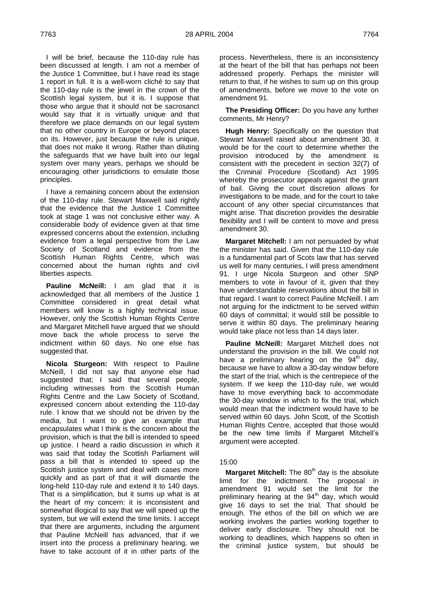I will be brief, because the 110-day rule has been discussed at length. I am not a member of the Justice 1 Committee, but I have read its stage 1 report in full. It is a well-worn cliché to say that the 110-day rule is the jewel in the crown of the Scottish legal system, but it is. I suppose that those who argue that it should not be sacrosanct would say that it is virtually unique and that therefore we place demands on our legal system that no other country in Europe or beyond places on its. However, just because the rule is unique, that does not make it wrong. Rather than diluting the safeguards that we have built into our legal system over many years, perhaps we should be encouraging other jurisdictions to emulate those principles.

I have a remaining concern about the extension of the 110-day rule. Stewart Maxwell said rightly that the evidence that the Justice 1 Committee took at stage 1 was not conclusive either way. A considerable body of evidence given at that time expressed concerns about the extension, including evidence from a legal perspective from the Law Society of Scotland and evidence from the Scottish Human Rights Centre, which was concerned about the human rights and civil liberties aspects.

**Pauline McNeill:** I am glad that it is acknowledged that all members of the Justice 1 Committee considered in great detail what members will know is a highly technical issue. However, only the Scottish Human Rights Centre and Margaret Mitchell have argued that we should move back the whole process to serve the indictment within 60 days. No one else has suggested that.

**Nicola Sturgeon:** With respect to Pauline McNeill, I did not say that anyone else had suggested that; I said that several people, including witnesses from the Scottish Human Rights Centre and the Law Society of Scotland, expressed concern about extending the 110-day rule. I know that we should not be driven by the media, but I want to give an example that encapsulates what I think is the concern about the provision, which is that the bill is intended to speed up justice. I heard a radio discussion in which it was said that today the Scottish Parliament will pass a bill that is intended to speed up the Scottish justice system and deal with cases more quickly and as part of that it will dismantle the long-held 110-day rule and extend it to 140 days. That is a simplification, but it sums up what is at the heart of my concern: it is inconsistent and somewhat illogical to say that we will speed up the system, but we will extend the time limits. I accept that there are arguments, including the argument that Pauline McNeill has advanced, that if we insert into the process a preliminary hearing, we have to take account of it in other parts of the

process. Nevertheless, there is an inconsistency at the heart of the bill that has perhaps not been addressed properly. Perhaps the minister will return to that, if he wishes to sum up on this group of amendments, before we move to the vote on amendment 91.

**The Presiding Officer:** Do you have any further comments, Mr Henry?

**Hugh Henry:** Specifically on the question that Stewart Maxwell raised about amendment 30, it would be for the court to determine whether the provision introduced by the amendment is consistent with the precedent in section 32(7) of the Criminal Procedure (Scotland) Act 1995 whereby the prosecutor appeals against the grant of bail. Giving the court discretion allows for investigations to be made, and for the court to take account of any other special circumstances that might arise. That discretion provides the desirable flexibility and I will be content to move and press amendment 30.

**Margaret Mitchell:** I am not persuaded by what the minister has said. Given that the 110-day rule is a fundamental part of Scots law that has served us well for many centuries, I will press amendment 91. I urge Nicola Sturgeon and other SNP members to vote in favour of it, given that they have understandable reservations about the bill in that regard. I want to correct Pauline McNeill. I am not arguing for the indictment to be served within 60 days of committal; it would still be possible to serve it within 80 days. The preliminary hearing would take place not less than 14 days later.

**Pauline McNeill:** Margaret Mitchell does not understand the provision in the bill. We could not have a preliminary hearing on the  $94<sup>th</sup>$  day, because we have to allow a 30-day window before the start of the trial, which is the centrepiece of the system. If we keep the 110-day rule, we would have to move everything back to accommodate the 30-day window in which to fix the trial, which would mean that the indictment would have to be served within 60 days. John Scott, of the Scottish Human Rights Centre, accepted that those would be the new time limits if Margaret Mitchell's argument were accepted.

# 15:00

**Margaret Mitchell:** The 80<sup>th</sup> day is the absolute limit for the indictment. The proposal in amendment 91 would set the limit for the preliminary hearing at the 94<sup>th</sup> day, which would give 16 days to set the trial. That should be enough. The ethos of the bill on which we are working involves the parties working together to deliver early disclosure. They should not be working to deadlines, which happens so often in the criminal justice system, but should be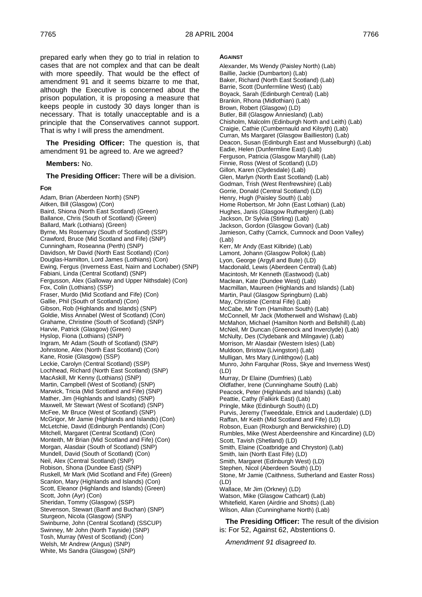prepared early when they go to trial in relation to cases that are not complex and that can be dealt with more speedily. That would be the effect of amendment 91 and it seems bizarre to me that, although the Executive is concerned about the prison population, it is proposing a measure that keeps people in custody 30 days longer than is necessary. That is totally unacceptable and is a principle that the Conservatives cannot support. That is why I will press the amendment.

**The Presiding Officer:** The question is, that amendment 91 be agreed to. Are we agreed?

#### **Members:** No.

**The Presiding Officer:** There will be a division.

#### **FOR**

Adam, Brian (Aberdeen North) (SNP) Aitken, Bill (Glasgow) (Con) Baird, Shiona (North East Scotland) (Green) Ballance, Chris (South of Scotland) (Green) Ballard, Mark (Lothians) (Green) Byrne, Ms Rosemary (South of Scotland) (SSP) Crawford, Bruce (Mid Scotland and Fife) (SNP) Cunningham, Roseanna (Perth) (SNP) Davidson, Mr David (North East Scotland) (Con) Douglas-Hamilton, Lord James (Lothians) (Con) Ewing, Fergus (Inverness East, Nairn and Lochaber) (SNP) Fabiani, Linda (Central Scotland) (SNP) Fergusson, Alex (Galloway and Upper Nithsdale) (Con) Fox, Colin (Lothians) (SSP) Fraser, Murdo (Mid Scotland and Fife) (Con) Gallie, Phil (South of Scotland) (Con) Gibson, Rob (Highlands and Islands) (SNP) Goldie, Miss Annabel (West of Scotland) (Con) Grahame, Christine (South of Scotland) (SNP) Harvie, Patrick (Glasgow) (Green) Hyslop, Fiona (Lothians) (SNP) Ingram, Mr Adam (South of Scotland) (SNP) Johnstone, Alex (North East Scotland) (Con) Kane, Rosie (Glasgow) (SSP) Leckie, Carolyn (Central Scotland) (SSP) Lochhead, Richard (North East Scotland) (SNP) MacAskill, Mr Kenny (Lothians) (SNP) Martin, Campbell (West of Scotland) (SNP) Marwick, Tricia (Mid Scotland and Fife) (SNP) Mather, Jim (Highlands and Islands) (SNP) Maxwell, Mr Stewart (West of Scotland) (SNP) McFee, Mr Bruce (West of Scotland) (SNP) McGrigor, Mr Jamie (Highlands and Islands) (Con) McLetchie, David (Edinburgh Pentlands) (Con) Mitchell, Margaret (Central Scotland) (Con) Monteith, Mr Brian (Mid Scotland and Fife) (Con) Morgan, Alasdair (South of Scotland) (SNP) Mundell, David (South of Scotland) (Con) Neil, Alex (Central Scotland) (SNP) Robison, Shona (Dundee East) (SNP) Ruskell, Mr Mark (Mid Scotland and Fife) (Green) Scanlon, Mary (Highlands and Islands) (Con) Scott, Eleanor (Highlands and Islands) (Green) Scott, John (Ayr) (Con) Sheridan, Tommy (Glasgow) (SSP) Stevenson, Stewart (Banff and Buchan) (SNP) Sturgeon, Nicola (Glasgow) (SNP) Swinburne, John (Central Scotland) (SSCUP) Swinney, Mr John (North Tayside) (SNP) Tosh, Murray (West of Scotland) (Con) Welsh, Mr Andrew (Angus) (SNP) White, Ms Sandra (Glasgow) (SNP)

#### **AGAINST**

Alexander, Ms Wendy (Paisley North) (Lab) Baillie, Jackie (Dumbarton) (Lab) Baker, Richard (North East Scotland) (Lab) Barrie, Scott (Dunfermline West) (Lab) Boyack, Sarah (Edinburgh Central) (Lab) Brankin, Rhona (Midlothian) (Lab) Brown, Robert (Glasgow) (LD) Butler, Bill (Glasgow Anniesland) (Lab) Chisholm, Malcolm (Edinburgh North and Leith) (Lab) Craigie, Cathie (Cumbernauld and Kilsyth) (Lab) Curran, Ms Margaret (Glasgow Baillieston) (Lab) Deacon, Susan (Edinburgh East and Musselburgh) (Lab) Eadie, Helen (Dunfermline East) (Lab) Ferguson, Patricia (Glasgow Maryhill) (Lab) Finnie, Ross (West of Scotland) (LD) Gillon, Karen (Clydesdale) (Lab) Glen, Marlyn (North East Scotland) (Lab) Godman, Trish (West Renfrewshire) (Lab) Gorrie, Donald (Central Scotland) (LD) Henry, Hugh (Paisley South) (Lab) Home Robertson, Mr John (East Lothian) (Lab) Hughes, Janis (Glasgow Rutherglen) (Lab) Jackson, Dr Sylvia (Stirling) (Lab) Jackson, Gordon (Glasgow Govan) (Lab) Jamieson, Cathy (Carrick, Cumnock and Doon Valley) (Lab) Kerr, Mr Andy (East Kilbride) (Lab) Lamont, Johann (Glasgow Pollok) (Lab) Lyon, George (Argyll and Bute) (LD) Macdonald, Lewis (Aberdeen Central) (Lab) Macintosh, Mr Kenneth (Eastwood) (Lab) Maclean, Kate (Dundee West) (Lab) Macmillan, Maureen (Highlands and Islands) (Lab) Martin, Paul (Glasgow Springburn) (Lab) May, Christine (Central Fife) (Lab) McCabe, Mr Tom (Hamilton South) (Lab) McConnell, Mr Jack (Motherwell and Wishaw) (Lab) McMahon, Michael (Hamilton North and Bellshill) (Lab) McNeil, Mr Duncan (Greenock and Inverclyde) (Lab) McNulty, Des (Clydebank and Milngavie) (Lab) Morrison, Mr Alasdair (Western Isles) (Lab) Muldoon, Bristow (Livingston) (Lab) Mulligan, Mrs Mary (Linlithgow) (Lab) Munro, John Farquhar (Ross, Skye and Inverness West) (LD) Murray, Dr Elaine (Dumfries) (Lab) Oldfather, Irene (Cunninghame South) (Lab) Peacock, Peter (Highlands and Islands) (Lab) Peattie, Cathy (Falkirk East) (Lab) Pringle, Mike (Edinburgh South) (LD) Purvis, Jeremy (Tweeddale, Ettrick and Lauderdale) (LD) Raffan, Mr Keith (Mid Scotland and Fife) (LD) Robson, Euan (Roxburgh and Berwickshire) (LD) Rumbles, Mike (West Aberdeenshire and Kincardine) (LD) Scott, Tavish (Shetland) (LD) Smith, Elaine (Coatbridge and Chryston) (Lab) Smith, Iain (North East Fife) (LD) Smith, Margaret (Edinburgh West) (LD) Stephen, Nicol (Aberdeen South) (LD) Stone, Mr Jamie (Caithness, Sutherland and Easter Ross) (LD) Wallace, Mr Jim (Orkney) (LD) Watson, Mike (Glasgow Cathcart) (Lab) Whitefield, Karen (Airdrie and Shotts) (Lab) Wilson, Allan (Cunninghame North) (Lab)

**The Presiding Officer:** The result of the division is: For 52, Against 62, Abstentions 0.

*Amendment 91 disagreed to.*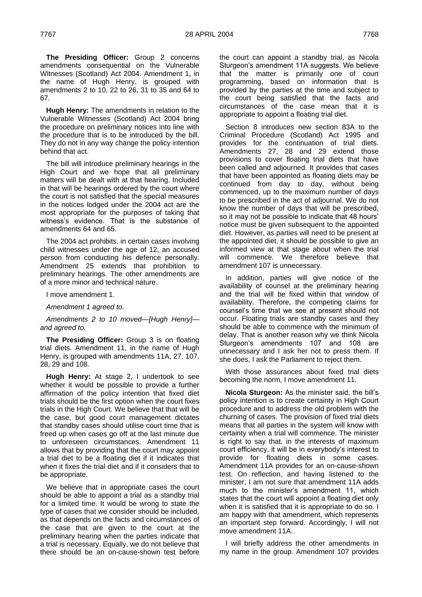**The Presiding Officer:** Group 2 concerns amendments consequential on the Vulnerable Witnesses (Scotland) Act 2004. Amendment 1, in the name of Hugh Henry, is grouped with amendments 2 to 10, 22 to 26, 31 to 35 and 64 to 67.

**Hugh Henry:** The amendments in relation to the Vulnerable Witnesses (Scotland) Act 2004 bring the procedure on preliminary notices into line with the procedure that is to be introduced by the bill. They do not in any way change the policy intention behind that act.

The bill will introduce preliminary hearings in the High Court and we hope that all preliminary matters will be dealt with at that hearing. Included in that will be hearings ordered by the court where the court is not satisfied that the special measures in the notices lodged under the 2004 act are the most appropriate for the purposes of taking that witness's evidence. That is the substance of amendments 64 and 65.

The 2004 act prohibits, in certain cases involving child witnesses under the age of 12, an accused person from conducting his defence personally. Amendment 25 extends that prohibition to preliminary hearings. The other amendments are of a more minor and technical nature.

I move amendment 1.

*Amendment 1 agreed to.*

*Amendments 2 to 10 moved—[Hugh Henry] and agreed to.*

**The Presiding Officer:** Group 3 is on floating trial diets. Amendment 11, in the name of Hugh Henry, is grouped with amendments 11A, 27, 107, 28, 29 and 108.

**Hugh Henry:** At stage 2, I undertook to see whether it would be possible to provide a further affirmation of the policy intention that fixed diet trials should be the first option when the court fixes trials in the High Court. We believe that that will be the case, but good court management dictates that standby cases should utilise court time that is freed up when cases go off at the last minute due to unforeseen circumstances. Amendment 11 allows that by providing that the court may appoint a trial diet to be a floating diet if it indicates that when it fixes the trial diet and if it considers that to be appropriate.

We believe that in appropriate cases the court should be able to appoint a trial as a standby trial for a limited time. It would be wrong to state the type of cases that we consider should be included, as that depends on the facts and circumstances of the case that are given to the court at the preliminary hearing when the parties indicate that a trial is necessary. Equally, we do not believe that there should be an on-cause-shown test before

the court can appoint a standby trial, as Nicola Sturgeon's amendment 11A suggests. We believe that the matter is primarily one of court programming, based on information that is provided by the parties at the time and subject to the court being satisfied that the facts and circumstances of the case mean that it is appropriate to appoint a floating trial diet.

Section 8 introduces new section 83A to the Criminal Procedure (Scotland) Act 1995 and provides for the continuation of trial diets. Amendments 27, 28 and 29 extend those provisions to cover floating trial diets that have been called and adjourned. It provides that cases that have been appointed as floating diets may be continued from day to day, without being commenced, up to the maximum number of days to be prescribed in the act of adjournal. We do not know the number of days that will be prescribed, so it may not be possible to indicate that 48 hours' notice must be given subsequent to the appointed diet. However, as parties will need to be present at the appointed diet, it should be possible to give an informed view at that stage about when the trial will commence. We therefore believe that amendment 107 is unnecessary.

In addition, parties will give notice of the availability of counsel at the preliminary hearing and the trial will be fixed within that window of availability. Therefore, the competing claims for counsel's time that we see at present should not occur. Floating trials are standby cases and they should be able to commence with the minimum of delay. That is another reason why we think Nicola Sturgeon's amendments 107 and 108 are unnecessary and I ask her not to press them. If she does, I ask the Parliament to reject them.

With those assurances about fixed trial diets becoming the norm, I move amendment 11.

**Nicola Sturgeon:** As the minister said, the bill's policy intention is to create certainty in High Court procedure and to address the old problem with the churning of cases. The provision of fixed trial diets means that all parties in the system will know with certainty when a trial will commence. The minister is right to say that, in the interests of maximum court efficiency, it will be in everybody's interest to provide for floating diets in some cases. Amendment 11A provides for an on-cause-shown test. On reflection, and having listened to the minister, I am not sure that amendment 11A adds much to the minister's amendment 11, which states that the court will appoint a floating diet only when it is satisfied that it is appropriate to do so. I am happy with that amendment, which represents an important step forward. Accordingly, I will not move amendment 11A.

I will briefly address the other amendments in my name in the group. Amendment 107 provides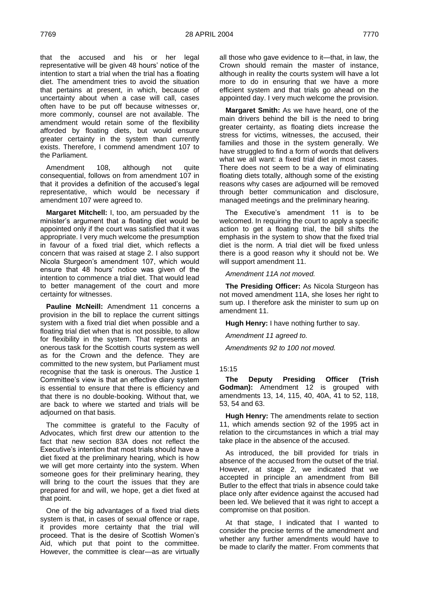that the accused and his or her legal representative will be given 48 hours' notice of the intention to start a trial when the trial has a floating diet. The amendment tries to avoid the situation that pertains at present, in which, because of uncertainty about when a case will call, cases often have to be put off because witnesses or, more commonly, counsel are not available. The amendment would retain some of the flexibility afforded by floating diets, but would ensure greater certainty in the system than currently exists. Therefore, I commend amendment 107 to the Parliament.

Amendment 108, although not quite consequential, follows on from amendment 107 in that it provides a definition of the accused's legal representative, which would be necessary if amendment 107 were agreed to.

**Margaret Mitchell:** I, too, am persuaded by the minister's argument that a floating diet would be appointed only if the court was satisfied that it was appropriate. I very much welcome the presumption in favour of a fixed trial diet, which reflects a concern that was raised at stage 2. I also support Nicola Sturgeon's amendment 107, which would ensure that 48 hours' notice was given of the intention to commence a trial diet. That would lead to better management of the court and more certainty for witnesses.

**Pauline McNeill:** Amendment 11 concerns a provision in the bill to replace the current sittings system with a fixed trial diet when possible and a floating trial diet when that is not possible, to allow for flexibility in the system. That represents an onerous task for the Scottish courts system as well as for the Crown and the defence. They are committed to the new system, but Parliament must recognise that the task is onerous. The Justice 1 Committee's view is that an effective diary system is essential to ensure that there is efficiency and that there is no double-booking. Without that, we are back to where we started and trials will be adjourned on that basis.

The committee is grateful to the Faculty of Advocates, which first drew our attention to the fact that new section 83A does not reflect the Executive's intention that most trials should have a diet fixed at the preliminary hearing, which is how we will get more certainty into the system. When someone goes for their preliminary hearing, they will bring to the court the issues that they are prepared for and will, we hope, get a diet fixed at that point.

One of the big advantages of a fixed trial diets system is that, in cases of sexual offence or rape, it provides more certainty that the trial will proceed. That is the desire of Scottish Women's Aid, which put that point to the committee. However, the committee is clear—as are virtually

all those who gave evidence to it—that, in law, the Crown should remain the master of instance, although in reality the courts system will have a lot more to do in ensuring that we have a more efficient system and that trials go ahead on the appointed day. I very much welcome the provision.

**Margaret Smith:** As we have heard, one of the main drivers behind the bill is the need to bring greater certainty, as floating diets increase the stress for victims, witnesses, the accused, their families and those in the system generally. We have struggled to find a form of words that delivers what we all want: a fixed trial diet in most cases. There does not seem to be a way of eliminating floating diets totally, although some of the existing reasons why cases are adjourned will be removed through better communication and disclosure, managed meetings and the preliminary hearing.

The Executive's amendment 11 is to be welcomed. In requiring the court to apply a specific action to get a floating trial, the bill shifts the emphasis in the system to show that the fixed trial diet is the norm. A trial diet will be fixed unless there is a good reason why it should not be. We will support amendment 11.

*Amendment 11A not moved.*

**The Presiding Officer:** As Nicola Sturgeon has not moved amendment 11A, she loses her right to sum up. I therefore ask the minister to sum up on amendment 11.

**Hugh Henry:** I have nothing further to say.

*Amendment 11 agreed to.*

*Amendments 92 to 100 not moved.*

# 15:15

**The Deputy Presiding Officer (Trish Godman):** Amendment 12 is grouped with amendments 13, 14, 115, 40, 40A, 41 to 52, 118, 53, 54 and 63.

**Hugh Henry:** The amendments relate to section 11, which amends section 92 of the 1995 act in relation to the circumstances in which a trial may take place in the absence of the accused.

As introduced, the bill provided for trials in absence of the accused from the outset of the trial. However, at stage 2, we indicated that we accepted in principle an amendment from Bill Butler to the effect that trials in absence could take place only after evidence against the accused had been led. We believed that it was right to accept a compromise on that position.

At that stage, I indicated that I wanted to consider the precise terms of the amendment and whether any further amendments would have to be made to clarify the matter. From comments that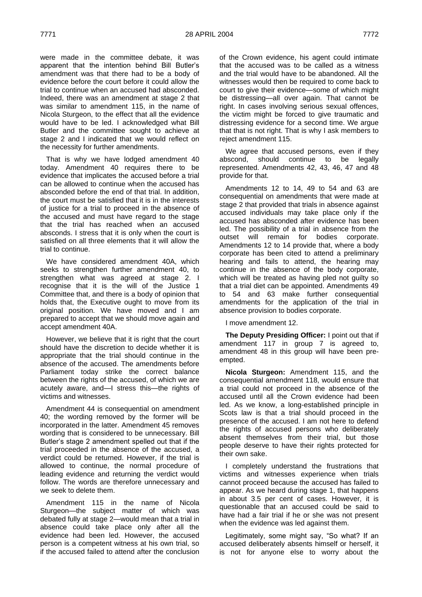were made in the committee debate, it was apparent that the intention behind Bill Butler's amendment was that there had to be a body of evidence before the court before it could allow the trial to continue when an accused had absconded. Indeed, there was an amendment at stage 2 that was similar to amendment 115, in the name of Nicola Sturgeon, to the effect that all the evidence would have to be led. I acknowledged what Bill Butler and the committee sought to achieve at stage 2 and I indicated that we would reflect on the necessity for further amendments.

That is why we have lodged amendment 40 today. Amendment 40 requires there to be evidence that implicates the accused before a trial can be allowed to continue when the accused has absconded before the end of that trial. In addition, the court must be satisfied that it is in the interests of justice for a trial to proceed in the absence of the accused and must have regard to the stage that the trial has reached when an accused absconds. I stress that it is only when the court is satisfied on all three elements that it will allow the trial to continue.

We have considered amendment 40A, which seeks to strengthen further amendment 40, to strengthen what was agreed at stage 2. I recognise that it is the will of the Justice 1 Committee that, and there is a body of opinion that holds that, the Executive ought to move from its original position. We have moved and I am prepared to accept that we should move again and accept amendment 40A.

However, we believe that it is right that the court should have the discretion to decide whether it is appropriate that the trial should continue in the absence of the accused. The amendments before Parliament today strike the correct balance between the rights of the accused, of which we are acutely aware, and—I stress this—the rights of victims and witnesses.

Amendment 44 is consequential on amendment 40; the wording removed by the former will be incorporated in the latter. Amendment 45 removes wording that is considered to be unnecessary. Bill Butler's stage 2 amendment spelled out that if the trial proceeded in the absence of the accused, a verdict could be returned. However, if the trial is allowed to continue, the normal procedure of leading evidence and returning the verdict would follow. The words are therefore unnecessary and we seek to delete them.

Amendment 115 in the name of Nicola Sturgeon—the subject matter of which was debated fully at stage 2—would mean that a trial in absence could take place only after all the evidence had been led. However, the accused person is a competent witness at his own trial, so if the accused failed to attend after the conclusion

of the Crown evidence, his agent could intimate that the accused was to be called as a witness and the trial would have to be abandoned. All the witnesses would then be required to come back to court to give their evidence—some of which might be distressing—all over again. That cannot be right. In cases involving serious sexual offences, the victim might be forced to give traumatic and distressing evidence for a second time. We argue that that is not right. That is why I ask members to reject amendment 115.

We agree that accused persons, even if they abscond, should continue to be legally represented. Amendments 42, 43, 46, 47 and 48 provide for that.

Amendments 12 to 14, 49 to 54 and 63 are consequential on amendments that were made at stage 2 that provided that trials in absence against accused individuals may take place only if the accused has absconded after evidence has been led. The possibility of a trial in absence from the outset will remain for bodies corporate. Amendments 12 to 14 provide that, where a body corporate has been cited to attend a preliminary hearing and fails to attend, the hearing may continue in the absence of the body corporate, which will be treated as having pled not guilty so that a trial diet can be appointed. Amendments 49 to 54 and 63 make further consequential amendments for the application of the trial in absence provision to bodies corporate.

I move amendment 12.

**The Deputy Presiding Officer:** I point out that if amendment 117 in group 7 is agreed to, amendment 48 in this group will have been preempted.

**Nicola Sturgeon:** Amendment 115, and the consequential amendment 118, would ensure that a trial could not proceed in the absence of the accused until all the Crown evidence had been led. As we know, a long-established principle in Scots law is that a trial should proceed in the presence of the accused. I am not here to defend the rights of accused persons who deliberately absent themselves from their trial, but those people deserve to have their rights protected for their own sake.

I completely understand the frustrations that victims and witnesses experience when trials cannot proceed because the accused has failed to appear. As we heard during stage 1, that happens in about 3.5 per cent of cases. However, it is questionable that an accused could be said to have had a fair trial if he or she was not present when the evidence was led against them.

Legitimately, some might say, "So what? If an accused deliberately absents himself or herself, it is not for anyone else to worry about the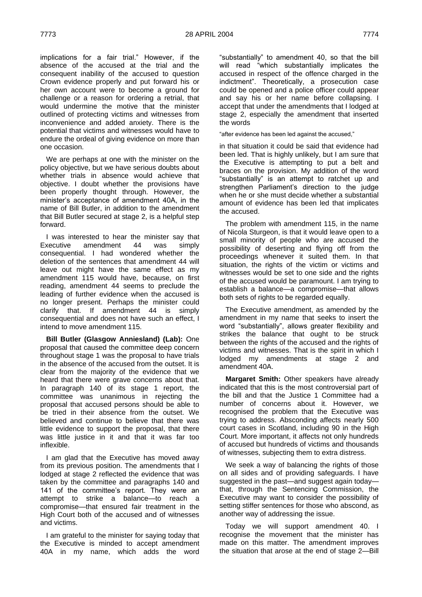implications for a fair trial." However, if the absence of the accused at the trial and the consequent inability of the accused to question Crown evidence properly and put forward his or her own account were to become a ground for challenge or a reason for ordering a retrial, that would undermine the motive that the minister outlined of protecting victims and witnesses from inconvenience and added anxiety. There is the potential that victims and witnesses would have to endure the ordeal of giving evidence on more than one occasion.

We are perhaps at one with the minister on the policy objective, but we have serious doubts about whether trials in absence would achieve that objective. I doubt whether the provisions have been properly thought through. However, the minister's acceptance of amendment 40A, in the name of Bill Butler, in addition to the amendment that Bill Butler secured at stage 2, is a helpful step forward.

I was interested to hear the minister say that Executive amendment 44 was simply consequential. I had wondered whether the deletion of the sentences that amendment 44 will leave out might have the same effect as my amendment 115 would have, because, on first reading, amendment 44 seems to preclude the leading of further evidence when the accused is no longer present. Perhaps the minister could clarify that. If amendment 44 is simply consequential and does not have such an effect, I intend to move amendment 115.

**Bill Butler (Glasgow Anniesland) (Lab):** One proposal that caused the committee deep concern throughout stage 1 was the proposal to have trials in the absence of the accused from the outset. It is clear from the majority of the evidence that we heard that there were grave concerns about that. In paragraph 140 of its stage 1 report, the committee was unanimous in rejecting the proposal that accused persons should be able to be tried in their absence from the outset. We believed and continue to believe that there was little evidence to support the proposal, that there was little justice in it and that it was far too inflexible.

I am glad that the Executive has moved away from its previous position. The amendments that I lodged at stage 2 reflected the evidence that was taken by the committee and paragraphs 140 and 141 of the committee's report. They were an attempt to strike a balance—to reach a compromise—that ensured fair treatment in the High Court both of the accused and of witnesses and victims.

I am grateful to the minister for saying today that the Executive is minded to accept amendment 40A in my name, which adds the word

"substantially" to amendment 40, so that the bill will read "which substantially implicates the accused in respect of the offence charged in the indictment". Theoretically, a prosecution case could be opened and a police officer could appear and say his or her name before collapsing. I accept that under the amendments that I lodged at stage 2, especially the amendment that inserted the words

"after evidence has been led against the accused,"

in that situation it could be said that evidence had been led. That is highly unlikely, but I am sure that the Executive is attempting to put a belt and braces on the provision. My addition of the word "substantially" is an attempt to ratchet up and strengthen Parliament's direction to the judge when he or she must decide whether a substantial amount of evidence has been led that implicates the accused.

The problem with amendment 115, in the name of Nicola Sturgeon, is that it would leave open to a small minority of people who are accused the possibility of deserting and flying off from the proceedings whenever it suited them. In that situation, the rights of the victim or victims and witnesses would be set to one side and the rights of the accused would be paramount. I am trying to establish a balance—a compromise—that allows both sets of rights to be regarded equally.

The Executive amendment, as amended by the amendment in my name that seeks to insert the word "substantially", allows greater flexibility and strikes the balance that ought to be struck between the rights of the accused and the rights of victims and witnesses. That is the spirit in which I lodged my amendments at stage 2 and amendment 40A.

**Margaret Smith:** Other speakers have already indicated that this is the most controversial part of the bill and that the Justice 1 Committee had a number of concerns about it. However, we recognised the problem that the Executive was trying to address. Absconding affects nearly 500 court cases in Scotland, including 90 in the High Court. More important, it affects not only hundreds of accused but hundreds of victims and thousands of witnesses, subjecting them to extra distress.

We seek a way of balancing the rights of those on all sides and of providing safeguards. I have suggested in the past—and suggest again today that, through the Sentencing Commission, the Executive may want to consider the possibility of setting stiffer sentences for those who abscond, as another way of addressing the issue.

Today we will support amendment 40. I recognise the movement that the minister has made on this matter. The amendment improves the situation that arose at the end of stage 2—Bill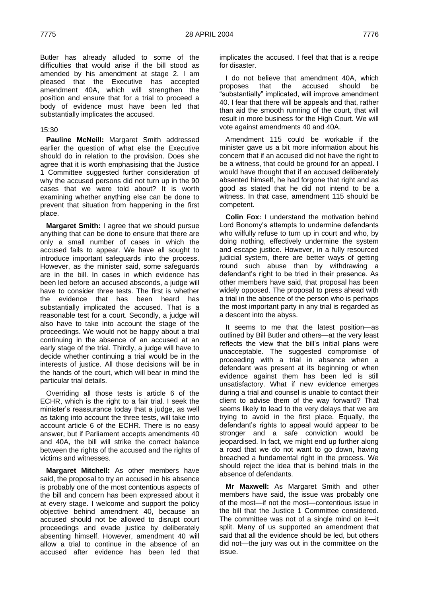Butler has already alluded to some of the difficulties that would arise if the bill stood as amended by his amendment at stage 2. I am pleased that the Executive has accepted amendment 40A, which will strengthen the position and ensure that for a trial to proceed a body of evidence must have been led that substantially implicates the accused.

# 15:30

**Pauline McNeill:** Margaret Smith addressed earlier the question of what else the Executive should do in relation to the provision. Does she agree that it is worth emphasising that the Justice 1 Committee suggested further consideration of why the accused persons did not turn up in the 90 cases that we were told about? It is worth examining whether anything else can be done to prevent that situation from happening in the first place.

**Margaret Smith:** I agree that we should pursue anything that can be done to ensure that there are only a small number of cases in which the accused fails to appear. We have all sought to introduce important safeguards into the process. However, as the minister said, some safeguards are in the bill. In cases in which evidence has been led before an accused absconds, a judge will have to consider three tests. The first is whether the evidence that has been heard has substantially implicated the accused. That is a reasonable test for a court. Secondly, a judge will also have to take into account the stage of the proceedings. We would not be happy about a trial continuing in the absence of an accused at an early stage of the trial. Thirdly, a judge will have to decide whether continuing a trial would be in the interests of justice. All those decisions will be in the hands of the court, which will bear in mind the particular trial details.

Overriding all those tests is article 6 of the ECHR, which is the right to a fair trial. I seek the minister's reassurance today that a judge, as well as taking into account the three tests, will take into account article 6 of the ECHR. There is no easy answer, but if Parliament accepts amendments 40 and 40A, the bill will strike the correct balance between the rights of the accused and the rights of victims and witnesses.

**Margaret Mitchell:** As other members have said, the proposal to try an accused in his absence is probably one of the most contentious aspects of the bill and concern has been expressed about it at every stage. I welcome and support the policy objective behind amendment 40, because an accused should not be allowed to disrupt court proceedings and evade justice by deliberately absenting himself. However, amendment 40 will allow a trial to continue in the absence of an accused after evidence has been led that

implicates the accused. I feel that that is a recipe for disaster.

I do not believe that amendment 40A, which proposes that the accused should be substantially" implicated, will improve amendment 40. I fear that there will be appeals and that, rather than aid the smooth running of the court, that will result in more business for the High Court. We will vote against amendments 40 and 40A.

Amendment 115 could be workable if the minister gave us a bit more information about his concern that if an accused did not have the right to be a witness, that could be ground for an appeal. I would have thought that if an accused deliberately absented himself, he had forgone that right and as good as stated that he did not intend to be a witness. In that case, amendment 115 should be competent.

**Colin Fox:** I understand the motivation behind Lord Bonomy's attempts to undermine defendants who wilfully refuse to turn up in court and who, by doing nothing, effectively undermine the system and escape justice. However, in a fully resourced judicial system, there are better ways of getting round such abuse than by withdrawing a defendant's right to be tried in their presence. As other members have said, that proposal has been widely opposed. The proposal to press ahead with a trial in the absence of the person who is perhaps the most important party in any trial is regarded as a descent into the abyss.

It seems to me that the latest position—as outlined by Bill Butler and others—at the very least reflects the view that the bill's initial plans were unacceptable. The suggested compromise of proceeding with a trial in absence when a defendant was present at its beginning or when evidence against them has been led is still unsatisfactory. What if new evidence emerges during a trial and counsel is unable to contact their client to advise them of the way forward? That seems likely to lead to the very delays that we are trying to avoid in the first place. Equally, the defendant's rights to appeal would appear to be stronger and a safe conviction would be jeopardised. In fact, we might end up further along a road that we do not want to go down, having breached a fundamental right in the process. We should reject the idea that is behind trials in the absence of defendants.

**Mr Maxwell:** As Margaret Smith and other members have said, the issue was probably one of the most—if not the most—contentious issue in the bill that the Justice 1 Committee considered. The committee was not of a single mind on it—it split. Many of us supported an amendment that said that all the evidence should be led, but others did not—the jury was out in the committee on the issue.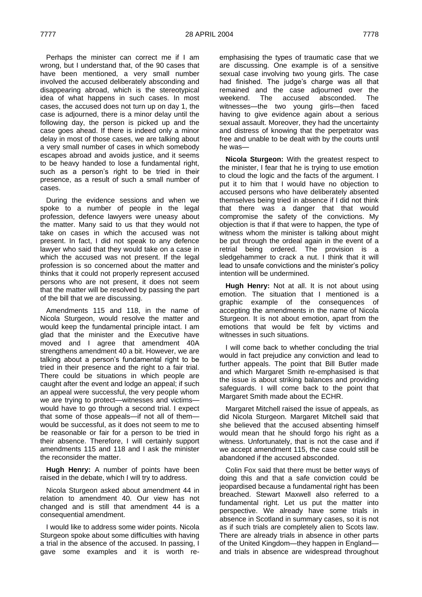Perhaps the minister can correct me if I am wrong, but I understand that, of the 90 cases that have been mentioned, a very small number involved the accused deliberately absconding and disappearing abroad, which is the stereotypical idea of what happens in such cases. In most cases, the accused does not turn up on day 1, the case is adjourned, there is a minor delay until the following day, the person is picked up and the case goes ahead. If there is indeed only a minor delay in most of those cases, we are talking about a very small number of cases in which somebody escapes abroad and avoids justice, and it seems to be heavy handed to lose a fundamental right, such as a person's right to be tried in their presence, as a result of such a small number of cases.

During the evidence sessions and when we spoke to a number of people in the legal profession, defence lawyers were uneasy about the matter. Many said to us that they would not take on cases in which the accused was not present. In fact, I did not speak to any defence lawyer who said that they would take on a case in which the accused was not present. If the legal profession is so concerned about the matter and thinks that it could not properly represent accused persons who are not present, it does not seem that the matter will be resolved by passing the part of the bill that we are discussing.

Amendments 115 and 118, in the name of Nicola Sturgeon, would resolve the matter and would keep the fundamental principle intact. I am glad that the minister and the Executive have moved and I agree that amendment 40A strengthens amendment 40 a bit. However, we are talking about a person's fundamental right to be tried in their presence and the right to a fair trial. There could be situations in which people are caught after the event and lodge an appeal; if such an appeal were successful, the very people whom we are trying to protect—witnesses and victims would have to go through a second trial. I expect that some of those appeals—if not all of them would be successful, as it does not seem to me to be reasonable or fair for a person to be tried in their absence. Therefore, I will certainly support amendments 115 and 118 and I ask the minister the reconsider the matter.

**Hugh Henry:** A number of points have been raised in the debate, which I will try to address.

Nicola Sturgeon asked about amendment 44 in relation to amendment 40. Our view has not changed and is still that amendment 44 is a consequential amendment.

I would like to address some wider points. Nicola Sturgeon spoke about some difficulties with having a trial in the absence of the accused. In passing, I gave some examples and it is worth reemphasising the types of traumatic case that we are discussing. One example is of a sensitive sexual case involving two young girls. The case had finished. The judge's charge was all that remained and the case adjourned over the weekend. The accused absconded. The witnesses—the two young girls—then faced having to give evidence again about a serious sexual assault. Moreover, they had the uncertainty and distress of knowing that the perpetrator was free and unable to be dealt with by the courts until he was—

**Nicola Sturgeon:** With the greatest respect to the minister, I fear that he is trying to use emotion to cloud the logic and the facts of the argument. I put it to him that I would have no objection to accused persons who have deliberately absented themselves being tried in absence if I did not think that there was a danger that that would compromise the safety of the convictions. My objection is that if that were to happen, the type of witness whom the minister is talking about might be put through the ordeal again in the event of a retrial being ordered. The provision is a sledgehammer to crack a nut. I think that it will lead to unsafe convictions and the minister's policy intention will be undermined.

**Hugh Henry:** Not at all. It is not about using emotion. The situation that I mentioned is a graphic example of the consequences of accepting the amendments in the name of Nicola Sturgeon. It is not about emotion, apart from the emotions that would be felt by victims and witnesses in such situations.

I will come back to whether concluding the trial would in fact prejudice any conviction and lead to further appeals. The point that Bill Butler made and which Margaret Smith re-emphasised is that the issue is about striking balances and providing safeguards. I will come back to the point that Margaret Smith made about the ECHR.

Margaret Mitchell raised the issue of appeals, as did Nicola Sturgeon. Margaret Mitchell said that she believed that the accused absenting himself would mean that he should forgo his right as a witness. Unfortunately, that is not the case and if we accept amendment 115, the case could still be abandoned if the accused absconded.

Colin Fox said that there must be better ways of doing this and that a safe conviction could be jeopardised because a fundamental right has been breached. Stewart Maxwell also referred to a fundamental right. Let us put the matter into perspective. We already have some trials in absence in Scotland in summary cases, so it is not as if such trials are completely alien to Scots law. There are already trials in absence in other parts of the United Kingdom—they happen in England and trials in absence are widespread throughout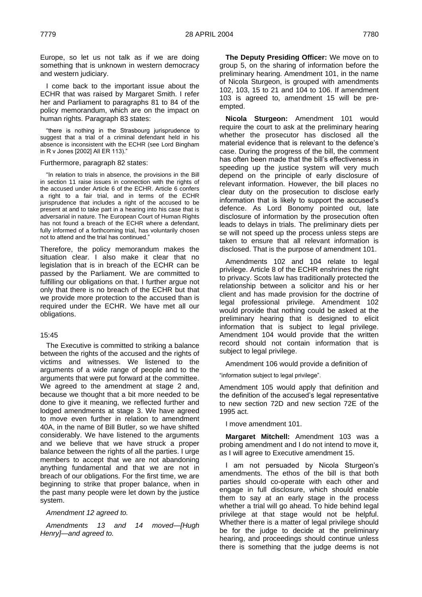Europe, so let us not talk as if we are doing something that is unknown in western democracy and western judiciary.

I come back to the important issue about the ECHR that was raised by Margaret Smith. I refer her and Parliament to paragraphs 81 to 84 of the policy memorandum, which are on the impact on human rights. Paragraph 83 states:

"there is nothing in the Strasbourg jurisprudence to suggest that a trial of a criminal defendant held in his absence is inconsistent with the ECHR (see Lord Bingham in R v Jones [2002] All ER 113)."

### Furthermore, paragraph 82 states:

"In relation to trials in absence, the provisions in the Bill in section 11 raise issues in connection with the rights of the accused under Article 6 of the ECHR. Article 6 confers a right to a fair trial, and in terms of the ECHR jurisprudence that includes a right of the accused to be present at and to take part in a hearing into his case that is adversarial in nature. The European Court of Human Rights has not found a breach of the ECHR where a defendant, fully informed of a forthcoming trial, has voluntarily chosen not to attend and the trial has continued."

Therefore, the policy memorandum makes the situation clear. I also make it clear that no legislation that is in breach of the ECHR can be passed by the Parliament. We are committed to fulfilling our obligations on that. I further argue not only that there is no breach of the ECHR but that we provide more protection to the accused than is required under the ECHR. We have met all our obligations.

# 15:45

The Executive is committed to striking a balance between the rights of the accused and the rights of victims and witnesses. We listened to the arguments of a wide range of people and to the arguments that were put forward at the committee. We agreed to the amendment at stage 2 and, because we thought that a bit more needed to be done to give it meaning, we reflected further and lodged amendments at stage 3. We have agreed to move even further in relation to amendment 40A, in the name of Bill Butler, so we have shifted considerably. We have listened to the arguments and we believe that we have struck a proper balance between the rights of all the parties. I urge members to accept that we are not abandoning anything fundamental and that we are not in breach of our obligations. For the first time, we are beginning to strike that proper balance, when in the past many people were let down by the justice system.

*Amendment 12 agreed to.*

*Amendments 13 and 14 moved—[Hugh Henry]—and agreed to.*

**The Deputy Presiding Officer:** We move on to group 5, on the sharing of information before the preliminary hearing. Amendment 101, in the name of Nicola Sturgeon, is grouped with amendments 102, 103, 15 to 21 and 104 to 106. If amendment 103 is agreed to, amendment 15 will be preempted.

**Nicola Sturgeon:** Amendment 101 would require the court to ask at the preliminary hearing whether the prosecutor has disclosed all the material evidence that is relevant to the defence's case. During the progress of the bill, the comment has often been made that the bill's effectiveness in speeding up the justice system will very much depend on the principle of early disclosure of relevant information. However, the bill places no clear duty on the prosecution to disclose early information that is likely to support the accused's defence. As Lord Bonomy pointed out, late disclosure of information by the prosecution often leads to delays in trials. The preliminary diets per se will not speed up the process unless steps are taken to ensure that all relevant information is disclosed. That is the purpose of amendment 101.

Amendments 102 and 104 relate to legal privilege. Article 8 of the ECHR enshrines the right to privacy. Scots law has traditionally protected the relationship between a solicitor and his or her client and has made provision for the doctrine of legal professional privilege. Amendment 102 would provide that nothing could be asked at the preliminary hearing that is designed to elicit information that is subject to legal privilege. Amendment 104 would provide that the written record should not contain information that is subject to legal privilege.

Amendment 106 would provide a definition of

"information subject to legal privilege".

Amendment 105 would apply that definition and the definition of the accused's legal representative to new section 72D and new section 72E of the 1995 act.

I move amendment 101.

**Margaret Mitchell:** Amendment 103 was a probing amendment and I do not intend to move it, as I will agree to Executive amendment 15.

I am not persuaded by Nicola Sturgeon's amendments. The ethos of the bill is that both parties should co-operate with each other and engage in full disclosure, which should enable them to say at an early stage in the process whether a trial will go ahead. To hide behind legal privilege at that stage would not be helpful. Whether there is a matter of legal privilege should be for the judge to decide at the preliminary hearing, and proceedings should continue unless there is something that the judge deems is not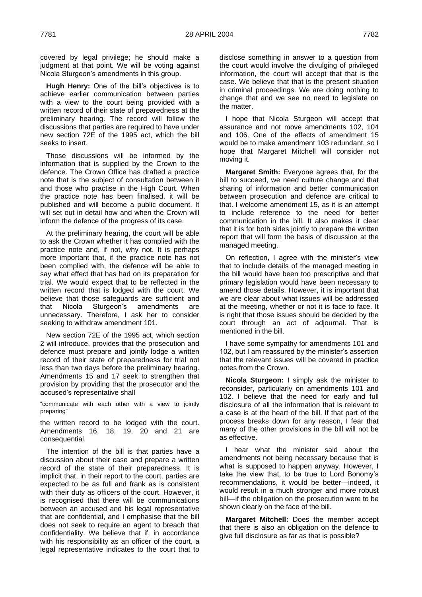covered by legal privilege; he should make a judgment at that point. We will be voting against Nicola Sturgeon's amendments in this group.

**Hugh Henry:** One of the bill's objectives is to achieve earlier communication between parties with a view to the court being provided with a written record of their state of preparedness at the preliminary hearing. The record will follow the discussions that parties are required to have under new section 72E of the 1995 act, which the bill seeks to insert.

Those discussions will be informed by the information that is supplied by the Crown to the defence. The Crown Office has drafted a practice note that is the subject of consultation between it and those who practise in the High Court. When the practice note has been finalised, it will be published and will become a public document. It will set out in detail how and when the Crown will inform the defence of the progress of its case.

At the preliminary hearing, the court will be able to ask the Crown whether it has complied with the practice note and, if not, why not. It is perhaps more important that, if the practice note has not been complied with, the defence will be able to say what effect that has had on its preparation for trial. We would expect that to be reflected in the written record that is lodged with the court. We believe that those safeguards are sufficient and that Nicola Sturgeon's amendments are unnecessary. Therefore, I ask her to consider seeking to withdraw amendment 101.

New section 72E of the 1995 act, which section 2 will introduce, provides that the prosecution and defence must prepare and jointly lodge a written record of their state of preparedness for trial not less than two days before the preliminary hearing. Amendments 15 and 17 seek to strengthen that provision by providing that the prosecutor and the accused's representative shall

―communicate with each other with a view to jointly preparing"

the written record to be lodged with the court. Amendments 16, 18, 19, 20 and 21 are consequential.

The intention of the bill is that parties have a discussion about their case and prepare a written record of the state of their preparedness. It is implicit that, in their report to the court, parties are expected to be as full and frank as is consistent with their duty as officers of the court. However, it is recognised that there will be communications between an accused and his legal representative that are confidential, and I emphasise that the bill does not seek to require an agent to breach that confidentiality. We believe that if, in accordance with his responsibility as an officer of the court, a legal representative indicates to the court that to

disclose something in answer to a question from the court would involve the divulging of privileged information, the court will accept that that is the case. We believe that that is the present situation in criminal proceedings. We are doing nothing to change that and we see no need to legislate on the matter.

I hope that Nicola Sturgeon will accept that assurance and not move amendments 102, 104 and 106. One of the effects of amendment 15 would be to make amendment 103 redundant, so I hope that Margaret Mitchell will consider not moving it.

**Margaret Smith:** Everyone agrees that, for the bill to succeed, we need culture change and that sharing of information and better communication between prosecution and defence are critical to that. I welcome amendment 15, as it is an attempt to include reference to the need for better communication in the bill. It also makes it clear that it is for both sides jointly to prepare the written report that will form the basis of discussion at the managed meeting.

On reflection, I agree with the minister's view that to include details of the managed meeting in the bill would have been too prescriptive and that primary legislation would have been necessary to amend those details. However, it is important that we are clear about what issues will be addressed at the meeting, whether or not it is face to face. It is right that those issues should be decided by the court through an act of adjournal. That is mentioned in the bill.

I have some sympathy for amendments 101 and 102, but I am reassured by the minister's assertion that the relevant issues will be covered in practice notes from the Crown.

**Nicola Sturgeon:** I simply ask the minister to reconsider, particularly on amendments 101 and 102. I believe that the need for early and full disclosure of all the information that is relevant to a case is at the heart of the bill. If that part of the process breaks down for any reason, I fear that many of the other provisions in the bill will not be as effective.

I hear what the minister said about the amendments not being necessary because that is what is supposed to happen anyway. However, I take the view that, to be true to Lord Bonomy's recommendations, it would be better—indeed, it would result in a much stronger and more robust bill—if the obligation on the prosecution were to be shown clearly on the face of the bill.

**Margaret Mitchell:** Does the member accept that there is also an obligation on the defence to give full disclosure as far as that is possible?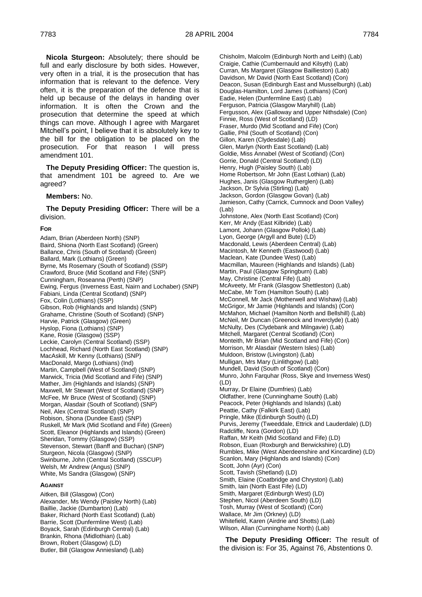**Nicola Sturgeon:** Absolutely; there should be full and early disclosure by both sides. However, very often in a trial, it is the prosecution that has information that is relevant to the defence. Very often, it is the preparation of the defence that is held up because of the delays in handing over information. It is often the Crown and the prosecution that determine the speed at which things can move. Although I agree with Margaret Mitchell's point, I believe that it is absolutely key to the bill for the obligation to be placed on the prosecution. For that reason I will press amendment 101.

**The Deputy Presiding Officer:** The question is, that amendment 101 be agreed to. Are we agreed?

#### **Members:** No.

**The Deputy Presiding Officer:** There will be a division.

#### **FOR**

Adam, Brian (Aberdeen North) (SNP) Baird, Shiona (North East Scotland) (Green) Ballance, Chris (South of Scotland) (Green) Ballard, Mark (Lothians) (Green) Byrne, Ms Rosemary (South of Scotland) (SSP) Crawford, Bruce (Mid Scotland and Fife) (SNP) Cunningham, Roseanna (Perth) (SNP) Ewing, Fergus (Inverness East, Nairn and Lochaber) (SNP) Fabiani, Linda (Central Scotland) (SNP) Fox, Colin (Lothians) (SSP) Gibson, Rob (Highlands and Islands) (SNP) Grahame, Christine (South of Scotland) (SNP) Harvie, Patrick (Glasgow) (Green) Hyslop, Fiona (Lothians) (SNP) Kane, Rosie (Glasgow) (SSP) Leckie, Carolyn (Central Scotland) (SSP) Lochhead, Richard (North East Scotland) (SNP) MacAskill, Mr Kenny (Lothians) (SNP) MacDonald, Margo (Lothians) (Ind) Martin, Campbell (West of Scotland) (SNP) Marwick, Tricia (Mid Scotland and Fife) (SNP) Mather, Jim (Highlands and Islands) (SNP) Maxwell, Mr Stewart (West of Scotland) (SNP) McFee, Mr Bruce (West of Scotland) (SNP) Morgan, Alasdair (South of Scotland) (SNP) Neil, Alex (Central Scotland) (SNP) Robison, Shona (Dundee East) (SNP) Ruskell, Mr Mark (Mid Scotland and Fife) (Green) Scott, Eleanor (Highlands and Islands) (Green) Sheridan, Tommy (Glasgow) (SSP) Stevenson, Stewart (Banff and Buchan) (SNP) Sturgeon, Nicola (Glasgow) (SNP) Swinburne, John (Central Scotland) (SSCUP) Welsh, Mr Andrew (Angus) (SNP) White, Ms Sandra (Glasgow) (SNP)

#### **AGAINST**

Aitken, Bill (Glasgow) (Con) Alexander, Ms Wendy (Paisley North) (Lab) Baillie, Jackie (Dumbarton) (Lab) Baker, Richard (North East Scotland) (Lab) Barrie, Scott (Dunfermline West) (Lab) Boyack, Sarah (Edinburgh Central) (Lab) Brankin, Rhona (Midlothian) (Lab) Brown, Robert (Glasgow) (LD) Butler, Bill (Glasgow Anniesland) (Lab)

Chisholm, Malcolm (Edinburgh North and Leith) (Lab) Craigie, Cathie (Cumbernauld and Kilsyth) (Lab) Curran, Ms Margaret (Glasgow Baillieston) (Lab) Davidson, Mr David (North East Scotland) (Con) Deacon, Susan (Edinburgh East and Musselburgh) (Lab) Douglas-Hamilton, Lord James (Lothians) (Con) Eadie, Helen (Dunfermline East) (Lab) Ferguson, Patricia (Glasgow Maryhill) (Lab) Fergusson, Alex (Galloway and Upper Nithsdale) (Con) Finnie, Ross (West of Scotland) (LD) Fraser, Murdo (Mid Scotland and Fife) (Con) Gallie, Phil (South of Scotland) (Con) Gillon, Karen (Clydesdale) (Lab) Glen, Marlyn (North East Scotland) (Lab) Goldie, Miss Annabel (West of Scotland) (Con) Gorrie, Donald (Central Scotland) (LD) Henry, Hugh (Paisley South) (Lab) Home Robertson, Mr John (East Lothian) (Lab) Hughes, Janis (Glasgow Rutherglen) (Lab) Jackson, Dr Sylvia (Stirling) (Lab) Jackson, Gordon (Glasgow Govan) (Lab) Jamieson, Cathy (Carrick, Cumnock and Doon Valley)  $($ l ab $)$ Johnstone, Alex (North East Scotland) (Con) Kerr, Mr Andy (East Kilbride) (Lab) Lamont, Johann (Glasgow Pollok) (Lab) Lyon, George (Argyll and Bute) (LD) Macdonald, Lewis (Aberdeen Central) (Lab) Macintosh, Mr Kenneth (Eastwood) (Lab) Maclean, Kate (Dundee West) (Lab) Macmillan, Maureen (Highlands and Islands) (Lab) Martin, Paul (Glasgow Springburn) (Lab) May, Christine (Central Fife) (Lab) McAveety, Mr Frank (Glasgow Shettleston) (Lab) McCabe, Mr Tom (Hamilton South) (Lab) McConnell, Mr Jack (Motherwell and Wishaw) (Lab) McGrigor, Mr Jamie (Highlands and Islands) (Con) McMahon, Michael (Hamilton North and Bellshill) (Lab) McNeil, Mr Duncan (Greenock and Inverclyde) (Lab) McNulty, Des (Clydebank and Milngavie) (Lab) Mitchell, Margaret (Central Scotland) (Con) Monteith, Mr Brian (Mid Scotland and Fife) (Con) Morrison, Mr Alasdair (Western Isles) (Lab) Muldoon, Bristow (Livingston) (Lab) Mulligan, Mrs Mary (Linlithgow) (Lab) Mundell, David (South of Scotland) (Con) Munro, John Farquhar (Ross, Skye and Inverness West) (LD) Murray, Dr Elaine (Dumfries) (Lab) Oldfather, Irene (Cunninghame South) (Lab) Peacock, Peter (Highlands and Islands) (Lab) Peattie, Cathy (Falkirk East) (Lab) Pringle, Mike (Edinburgh South) (LD) Purvis, Jeremy (Tweeddale, Ettrick and Lauderdale) (LD) Radcliffe, Nora (Gordon) (LD) Raffan, Mr Keith (Mid Scotland and Fife) (LD) Robson, Euan (Roxburgh and Berwickshire) (LD) Rumbles, Mike (West Aberdeenshire and Kincardine) (LD) Scanlon, Mary (Highlands and Islands) (Con) Scott, John (Ayr) (Con) Scott, Tavish (Shetland) (LD) Smith, Elaine (Coatbridge and Chryston) (Lab) Smith, Iain (North East Fife) (LD) Smith, Margaret (Edinburgh West) (LD) Stephen, Nicol (Aberdeen South) (LD) Tosh, Murray (West of Scotland) (Con) Wallace, Mr Jim (Orkney) (LD) Whitefield, Karen (Airdrie and Shotts) (Lab) Wilson, Allan (Cunninghame North) (Lab)

**The Deputy Presiding Officer:** The result of the division is: For 35, Against 76, Abstentions 0.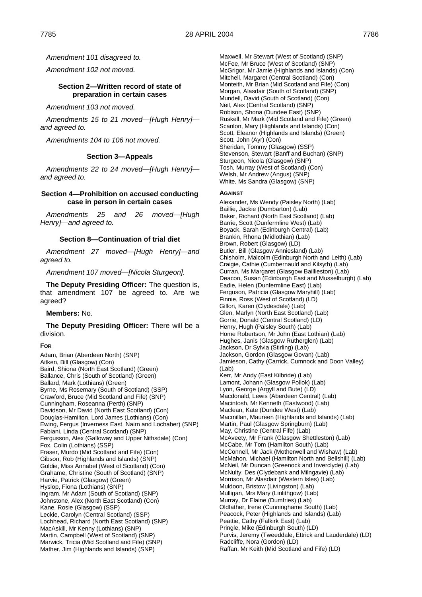*Amendment 101 disagreed to.*

*Amendment 102 not moved.*

# **Section 2—Written record of state of preparation in certain cases**

*Amendment 103 not moved.*

*Amendments 15 to 21 moved—[Hugh Henry] and agreed to.*

*Amendments 104 to 106 not moved.*

#### **Section 3—Appeals**

*Amendments 22 to 24 moved—[Hugh Henry] and agreed to.*

#### **Section 4—Prohibition on accused conducting case in person in certain cases**

*Amendments 25 and 26 moved—[Hugh Henry]—and agreed to.*

# **Section 8—Continuation of trial diet**

*Amendment 27 moved—[Hugh Henry]—and agreed to.* 

*Amendment 107 moved—[Nicola Sturgeon].*

**The Deputy Presiding Officer:** The question is, that amendment 107 be agreed to. Are we agreed?

**Members:** No.

#### **The Deputy Presiding Officer:** There will be a division.

#### **FOR**

Adam, Brian (Aberdeen North) (SNP) Aitken, Bill (Glasgow) (Con) Baird, Shiona (North East Scotland) (Green) Ballance, Chris (South of Scotland) (Green) Ballard, Mark (Lothians) (Green) Byrne, Ms Rosemary (South of Scotland) (SSP) Crawford, Bruce (Mid Scotland and Fife) (SNP) Cunningham, Roseanna (Perth) (SNP) Davidson, Mr David (North East Scotland) (Con) Douglas-Hamilton, Lord James (Lothians) (Con) Ewing, Fergus (Inverness East, Nairn and Lochaber) (SNP) Fabiani, Linda (Central Scotland) (SNP) Fergusson, Alex (Galloway and Upper Nithsdale) (Con) Fox, Colin (Lothians) (SSP) Fraser, Murdo (Mid Scotland and Fife) (Con) Gibson, Rob (Highlands and Islands) (SNP) Goldie, Miss Annabel (West of Scotland) (Con) Grahame, Christine (South of Scotland) (SNP) Harvie, Patrick (Glasgow) (Green) Hyslop, Fiona (Lothians) (SNP) Ingram, Mr Adam (South of Scotland) (SNP) Johnstone, Alex (North East Scotland) (Con) Kane, Rosie (Glasgow) (SSP) Leckie, Carolyn (Central Scotland) (SSP) Lochhead, Richard (North East Scotland) (SNP) MacAskill, Mr Kenny (Lothians) (SNP) Martin, Campbell (West of Scotland) (SNP) Marwick, Tricia (Mid Scotland and Fife) (SNP) Mather, Jim (Highlands and Islands) (SNP)

Maxwell, Mr Stewart (West of Scotland) (SNP) McFee, Mr Bruce (West of Scotland) (SNP) McGrigor, Mr Jamie (Highlands and Islands) (Con) Mitchell, Margaret (Central Scotland) (Con) Monteith, Mr Brian (Mid Scotland and Fife) (Con) Morgan, Alasdair (South of Scotland) (SNP) Mundell, David (South of Scotland) (Con) Neil, Alex (Central Scotland) (SNP) Robison, Shona (Dundee East) (SNP) Ruskell, Mr Mark (Mid Scotland and Fife) (Green) Scanlon, Mary (Highlands and Islands) (Con) Scott, Eleanor (Highlands and Islands) (Green) Scott, John (Ayr) (Con) Sheridan, Tommy (Glasgow) (SSP) Stevenson, Stewart (Banff and Buchan) (SNP) Sturgeon, Nicola (Glasgow) (SNP) Tosh, Murray (West of Scotland) (Con) Welsh, Mr Andrew (Angus) (SNP) White, Ms Sandra (Glasgow) (SNP)

#### **AGAINST**

Alexander, Ms Wendy (Paisley North) (Lab) Baillie, Jackie (Dumbarton) (Lab) Baker, Richard (North East Scotland) (Lab) Barrie, Scott (Dunfermline West) (Lab) Boyack, Sarah (Edinburgh Central) (Lab) Brankin, Rhona (Midlothian) (Lab) Brown, Robert (Glasgow) (LD) Butler, Bill (Glasgow Anniesland) (Lab) Chisholm, Malcolm (Edinburgh North and Leith) (Lab) Craigie, Cathie (Cumbernauld and Kilsyth) (Lab) Curran, Ms Margaret (Glasgow Baillieston) (Lab) Deacon, Susan (Edinburgh East and Musselburgh) (Lab) Eadie, Helen (Dunfermline East) (Lab) Ferguson, Patricia (Glasgow Maryhill) (Lab) Finnie, Ross (West of Scotland) (LD) Gillon, Karen (Clydesdale) (Lab) Glen, Marlyn (North East Scotland) (Lab) Gorrie, Donald (Central Scotland) (LD) Henry, Hugh (Paisley South) (Lab) Home Robertson, Mr John (East Lothian) (Lab) Hughes, Janis (Glasgow Rutherglen) (Lab) Jackson, Dr Sylvia (Stirling) (Lab) Jackson, Gordon (Glasgow Govan) (Lab) Jamieson, Cathy (Carrick, Cumnock and Doon Valley) (Lab) Kerr, Mr Andy (East Kilbride) (Lab) Lamont, Johann (Glasgow Pollok) (Lab) Lyon, George (Argyll and Bute) (LD) Macdonald, Lewis (Aberdeen Central) (Lab) Macintosh, Mr Kenneth (Eastwood) (Lab) Maclean, Kate (Dundee West) (Lab) Macmillan, Maureen (Highlands and Islands) (Lab) Martin, Paul (Glasgow Springburn) (Lab) May, Christine (Central Fife) (Lab) McAveety, Mr Frank (Glasgow Shettleston) (Lab) McCabe, Mr Tom (Hamilton South) (Lab) McConnell, Mr Jack (Motherwell and Wishaw) (Lab) McMahon, Michael (Hamilton North and Bellshill) (Lab) McNeil, Mr Duncan (Greenock and Inverclyde) (Lab) McNulty, Des (Clydebank and Milngavie) (Lab) Morrison, Mr Alasdair (Western Isles) (Lab) Muldoon, Bristow (Livingston) (Lab) Mulligan, Mrs Mary (Linlithgow) (Lab) Murray, Dr Elaine (Dumfries) (Lab) Oldfather, Irene (Cunninghame South) (Lab) Peacock, Peter (Highlands and Islands) (Lab) Peattie, Cathy (Falkirk East) (Lab) Pringle, Mike (Edinburgh South) (LD) Purvis, Jeremy (Tweeddale, Ettrick and Lauderdale) (LD) Radcliffe, Nora (Gordon) (LD) Raffan, Mr Keith (Mid Scotland and Fife) (LD)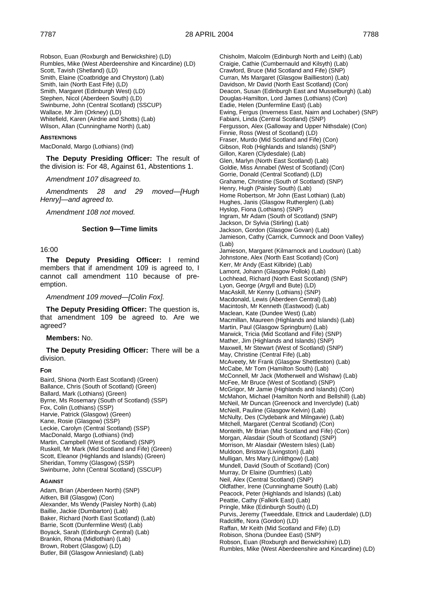Robson, Euan (Roxburgh and Berwickshire) (LD) Rumbles, Mike (West Aberdeenshire and Kincardine) (LD) Scott, Tavish (Shetland) (LD) Smith, Elaine (Coatbridge and Chryston) (Lab) Smith, Iain (North East Fife) (LD) Smith, Margaret (Edinburgh West) (LD) Stephen, Nicol (Aberdeen South) (LD) Swinburne, John (Central Scotland) (SSCUP) Wallace, Mr Jim (Orkney) (LD) Whitefield, Karen (Airdrie and Shotts) (Lab) Wilson, Allan (Cunninghame North) (Lab)

# **ABSTENTIONS**

MacDonald, Margo (Lothians) (Ind)

**The Deputy Presiding Officer:** The result of the division is: For 48, Against 61, Abstentions 1.

*Amendment 107 disagreed to.*

*Amendments 28 and 29 moved—[Hugh Henry]—and agreed to.*

*Amendment 108 not moved.*

# **Section 9—Time limits**

16:00

**The Deputy Presiding Officer:** I remind members that if amendment 109 is agreed to, I cannot call amendment 110 because of preemption.

*Amendment 109 moved—[Colin Fox].*

**The Deputy Presiding Officer:** The question is, that amendment 109 be agreed to. Are we agreed?

**Members:** No.

**The Deputy Presiding Officer:** There will be a division.

#### **FOR**

Baird, Shiona (North East Scotland) (Green) Ballance, Chris (South of Scotland) (Green) Ballard, Mark (Lothians) (Green) Byrne, Ms Rosemary (South of Scotland) (SSP) Fox, Colin (Lothians) (SSP) Harvie, Patrick (Glasgow) (Green) Kane, Rosie (Glasgow) (SSP) Leckie, Carolyn (Central Scotland) (SSP) MacDonald, Margo (Lothians) (Ind) Martin, Campbell (West of Scotland) (SNP) Ruskell, Mr Mark (Mid Scotland and Fife) (Green) Scott, Eleanor (Highlands and Islands) (Green) Sheridan, Tommy (Glasgow) (SSP) Swinburne, John (Central Scotland) (SSCUP)

#### **AGAINST**

Adam, Brian (Aberdeen North) (SNP) Aitken, Bill (Glasgow) (Con) Alexander, Ms Wendy (Paisley North) (Lab) Baillie, Jackie (Dumbarton) (Lab) Baker, Richard (North East Scotland) (Lab) Barrie, Scott (Dunfermline West) (Lab) Boyack, Sarah (Edinburgh Central) (Lab) Brankin, Rhona (Midlothian) (Lab) Brown, Robert (Glasgow) (LD) Butler, Bill (Glasgow Anniesland) (Lab)

Chisholm, Malcolm (Edinburgh North and Leith) (Lab) Craigie, Cathie (Cumbernauld and Kilsyth) (Lab) Crawford, Bruce (Mid Scotland and Fife) (SNP) Curran, Ms Margaret (Glasgow Baillieston) (Lab) Davidson, Mr David (North East Scotland) (Con) Deacon, Susan (Edinburgh East and Musselburgh) (Lab) Douglas-Hamilton, Lord James (Lothians) (Con) Eadie, Helen (Dunfermline East) (Lab) Ewing, Fergus (Inverness East, Nairn and Lochaber) (SNP) Fabiani, Linda (Central Scotland) (SNP) Fergusson, Alex (Galloway and Upper Nithsdale) (Con) Finnie, Ross (West of Scotland) (LD) Fraser, Murdo (Mid Scotland and Fife) (Con) Gibson, Rob (Highlands and Islands) (SNP) Gillon, Karen (Clydesdale) (Lab) Glen, Marlyn (North East Scotland) (Lab) Goldie, Miss Annabel (West of Scotland) (Con) Gorrie, Donald (Central Scotland) (LD) Grahame, Christine (South of Scotland) (SNP) Henry, Hugh (Paisley South) (Lab) Home Robertson, Mr John (East Lothian) (Lab) Hughes, Janis (Glasgow Rutherglen) (Lab) Hyslop, Fiona (Lothians) (SNP) Ingram, Mr Adam (South of Scotland) (SNP) Jackson, Dr Sylvia (Stirling) (Lab) Jackson, Gordon (Glasgow Govan) (Lab) Jamieson, Cathy (Carrick, Cumnock and Doon Valley) (Lab) Jamieson, Margaret (Kilmarnock and Loudoun) (Lab) Johnstone, Alex (North East Scotland) (Con) Kerr, Mr Andy (East Kilbride) (Lab) Lamont, Johann (Glasgow Pollok) (Lab) Lochhead, Richard (North East Scotland) (SNP) Lyon, George (Argyll and Bute) (LD) MacAskill, Mr Kenny (Lothians) (SNP) Macdonald, Lewis (Aberdeen Central) (Lab) Macintosh, Mr Kenneth (Eastwood) (Lab) Maclean, Kate (Dundee West) (Lab) Macmillan, Maureen (Highlands and Islands) (Lab) Martin, Paul (Glasgow Springburn) (Lab) Marwick, Tricia (Mid Scotland and Fife) (SNP) Mather, Jim (Highlands and Islands) (SNP) Maxwell, Mr Stewart (West of Scotland) (SNP) May, Christine (Central Fife) (Lab) McAveety, Mr Frank (Glasgow Shettleston) (Lab) McCabe, Mr Tom (Hamilton South) (Lab) McConnell, Mr Jack (Motherwell and Wishaw) (Lab) McFee, Mr Bruce (West of Scotland) (SNP) McGrigor, Mr Jamie (Highlands and Islands) (Con) McMahon, Michael (Hamilton North and Bellshill) (Lab) McNeil, Mr Duncan (Greenock and Inverclyde) (Lab) McNeill, Pauline (Glasgow Kelvin) (Lab) McNulty, Des (Clydebank and Milngavie) (Lab) Mitchell, Margaret (Central Scotland) (Con) Monteith, Mr Brian (Mid Scotland and Fife) (Con) Morgan, Alasdair (South of Scotland) (SNP) Morrison, Mr Alasdair (Western Isles) (Lab) Muldoon, Bristow (Livingston) (Lab) Mulligan, Mrs Mary (Linlithgow) (Lab) Mundell, David (South of Scotland) (Con) Murray, Dr Elaine (Dumfries) (Lab) Neil, Alex (Central Scotland) (SNP) Oldfather, Irene (Cunninghame South) (Lab) Peacock, Peter (Highlands and Islands) (Lab) Peattie, Cathy (Falkirk East) (Lab) Pringle, Mike (Edinburgh South) (LD) Purvis, Jeremy (Tweeddale, Ettrick and Lauderdale) (LD) Radcliffe, Nora (Gordon) (LD) Raffan, Mr Keith (Mid Scotland and Fife) (LD) Robison, Shona (Dundee East) (SNP) Robson, Euan (Roxburgh and Berwickshire) (LD) Rumbles, Mike (West Aberdeenshire and Kincardine) (LD)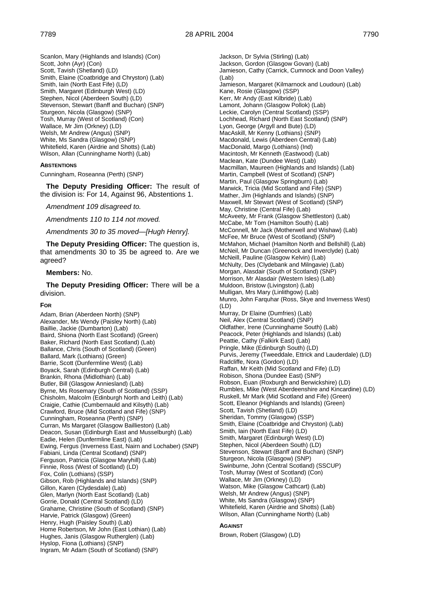Scanlon, Mary (Highlands and Islands) (Con) Scott, John (Ayr) (Con) Scott, Tavish (Shetland) (LD) Smith, Elaine (Coatbridge and Chryston) (Lab) Smith, Iain (North East Fife) (LD) Smith, Margaret (Edinburgh West) (LD) Stephen, Nicol (Aberdeen South) (LD) Stevenson, Stewart (Banff and Buchan) (SNP) Sturgeon, Nicola (Glasgow) (SNP) Tosh, Murray (West of Scotland) (Con) Wallace, Mr Jim (Orkney) (LD) Welsh, Mr Andrew (Angus) (SNP) White, Ms Sandra (Glasgow) (SNP) Whitefield, Karen (Airdrie and Shotts) (Lab) Wilson, Allan (Cunninghame North) (Lab)

#### **ABSTENTIONS**

Cunningham, Roseanna (Perth) (SNP)

**The Deputy Presiding Officer:** The result of the division is: For 14, Against 96, Abstentions 1.

*Amendment 109 disagreed to.*

*Amendments 110 to 114 not moved.*

*Amendments 30 to 35 moved—[Hugh Henry].*

**The Deputy Presiding Officer:** The question is, that amendments 30 to 35 be agreed to. Are we agreed?

#### **Members:** No.

**The Deputy Presiding Officer:** There will be a division.

#### **FOR**

Adam, Brian (Aberdeen North) (SNP) Alexander, Ms Wendy (Paisley North) (Lab) Baillie, Jackie (Dumbarton) (Lab) Baird, Shiona (North East Scotland) (Green) Baker, Richard (North East Scotland) (Lab) Ballance, Chris (South of Scotland) (Green) Ballard, Mark (Lothians) (Green) Barrie, Scott (Dunfermline West) (Lab) Boyack, Sarah (Edinburgh Central) (Lab) Brankin, Rhona (Midlothian) (Lab) Butler, Bill (Glasgow Anniesland) (Lab) Byrne, Ms Rosemary (South of Scotland) (SSP) Chisholm, Malcolm (Edinburgh North and Leith) (Lab) Craigie, Cathie (Cumbernauld and Kilsyth) (Lab) Crawford, Bruce (Mid Scotland and Fife) (SNP) Cunningham, Roseanna (Perth) (SNP) Curran, Ms Margaret (Glasgow Baillieston) (Lab) Deacon, Susan (Edinburgh East and Musselburgh) (Lab) Eadie, Helen (Dunfermline East) (Lab) Ewing, Fergus (Inverness East, Nairn and Lochaber) (SNP) Fabiani, Linda (Central Scotland) (SNP) Ferguson, Patricia (Glasgow Maryhill) (Lab) Finnie, Ross (West of Scotland) (LD) Fox, Colin (Lothians) (SSP) Gibson, Rob (Highlands and Islands) (SNP) Gillon, Karen (Clydesdale) (Lab) Glen, Marlyn (North East Scotland) (Lab) Gorrie, Donald (Central Scotland) (LD) Grahame, Christine (South of Scotland) (SNP) Harvie, Patrick (Glasgow) (Green) Henry, Hugh (Paisley South) (Lab) Home Robertson, Mr John (East Lothian) (Lab) Hughes, Janis (Glasgow Rutherglen) (Lab) Hyslop, Fiona (Lothians) (SNP) Ingram, Mr Adam (South of Scotland) (SNP)

Jackson, Dr Sylvia (Stirling) (Lab) Jackson, Gordon (Glasgow Govan) (Lab) Jamieson, Cathy (Carrick, Cumnock and Doon Valley) (Lab) Jamieson, Margaret (Kilmarnock and Loudoun) (Lab) Kane, Rosie (Glasgow) (SSP) Kerr, Mr Andy (East Kilbride) (Lab) Lamont, Johann (Glasgow Pollok) (Lab) Leckie, Carolyn (Central Scotland) (SSP) Lochhead, Richard (North East Scotland) (SNP) Lyon, George (Argyll and Bute) (LD) MacAskill, Mr Kenny (Lothians) (SNP) Macdonald, Lewis (Aberdeen Central) (Lab) MacDonald, Margo (Lothians) (Ind) Macintosh, Mr Kenneth (Eastwood) (Lab) Maclean, Kate (Dundee West) (Lab) Macmillan, Maureen (Highlands and Islands) (Lab) Martin, Campbell (West of Scotland) (SNP) Martin, Paul (Glasgow Springburn) (Lab) Marwick, Tricia (Mid Scotland and Fife) (SNP) Mather, Jim (Highlands and Islands) (SNP) Maxwell, Mr Stewart (West of Scotland) (SNP) May, Christine (Central Fife) (Lab) McAveety, Mr Frank (Glasgow Shettleston) (Lab) McCabe, Mr Tom (Hamilton South) (Lab) McConnell, Mr Jack (Motherwell and Wishaw) (Lab) McFee, Mr Bruce (West of Scotland) (SNP) McMahon, Michael (Hamilton North and Bellshill) (Lab) McNeil, Mr Duncan (Greenock and Inverclyde) (Lab) McNeill, Pauline (Glasgow Kelvin) (Lab) McNulty, Des (Clydebank and Milngavie) (Lab) Morgan, Alasdair (South of Scotland) (SNP) Morrison, Mr Alasdair (Western Isles) (Lab) Muldoon, Bristow (Livingston) (Lab) Mulligan, Mrs Mary (Linlithgow) (Lab) Munro, John Farquhar (Ross, Skye and Inverness West) (LD) Murray, Dr Elaine (Dumfries) (Lab) Neil, Alex (Central Scotland) (SNP) Oldfather, Irene (Cunninghame South) (Lab) Peacock, Peter (Highlands and Islands) (Lab) Peattie, Cathy (Falkirk East) (Lab) Pringle, Mike (Edinburgh South) (LD) Purvis, Jeremy (Tweeddale, Ettrick and Lauderdale) (LD) Radcliffe, Nora (Gordon) (LD) Raffan, Mr Keith (Mid Scotland and Fife) (LD) Robison, Shona (Dundee East) (SNP) Robson, Euan (Roxburgh and Berwickshire) (LD) Rumbles, Mike (West Aberdeenshire and Kincardine) (LD) Ruskell, Mr Mark (Mid Scotland and Fife) (Green) Scott, Eleanor (Highlands and Islands) (Green) Scott, Tavish (Shetland) (LD) Sheridan, Tommy (Glasgow) (SSP) Smith, Elaine (Coatbridge and Chryston) (Lab) Smith, Iain (North East Fife) (LD) Smith, Margaret (Edinburgh West) (LD) Stephen, Nicol (Aberdeen South) (LD) Stevenson, Stewart (Banff and Buchan) (SNP) Sturgeon, Nicola (Glasgow) (SNP) Swinburne, John (Central Scotland) (SSCUP) Tosh, Murray (West of Scotland) (Con) Wallace, Mr Jim (Orkney) (LD) Watson, Mike (Glasgow Cathcart) (Lab) Welsh, Mr Andrew (Angus) (SNP) White, Ms Sandra (Glasgow) (SNP) Whitefield, Karen (Airdrie and Shotts) (Lab) Wilson, Allan (Cunninghame North) (Lab)

### **AGAINST**

Brown, Robert (Glasgow) (LD)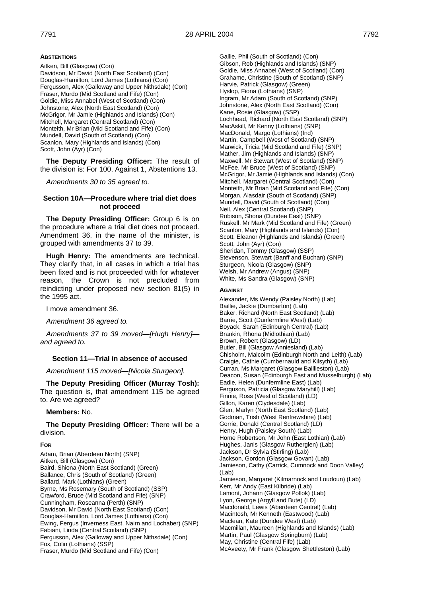#### **ABSTENTIONS**

Aitken, Bill (Glasgow) (Con) Davidson, Mr David (North East Scotland) (Con) Douglas-Hamilton, Lord James (Lothians) (Con) Fergusson, Alex (Galloway and Upper Nithsdale) (Con) Fraser, Murdo (Mid Scotland and Fife) (Con) Goldie, Miss Annabel (West of Scotland) (Con) Johnstone, Alex (North East Scotland) (Con) McGrigor, Mr Jamie (Highlands and Islands) (Con) Mitchell, Margaret (Central Scotland) (Con) Monteith, Mr Brian (Mid Scotland and Fife) (Con) Mundell, David (South of Scotland) (Con) Scanlon, Mary (Highlands and Islands) (Con) Scott, John (Ayr) (Con)

**The Deputy Presiding Officer:** The result of the division is: For 100, Against 1, Abstentions 13.

*Amendments 30 to 35 agreed to.*

### **Section 10A—Procedure where trial diet does not proceed**

**The Deputy Presiding Officer:** Group 6 is on the procedure where a trial diet does not proceed. Amendment 36, in the name of the minister, is grouped with amendments 37 to 39.

**Hugh Henry:** The amendments are technical. They clarify that, in all cases in which a trial has been fixed and is not proceeded with for whatever reason, the Crown is not precluded from reindicting under proposed new section 81(5) in the 1995 act.

I move amendment 36.

*Amendment 36 agreed to.*

*Amendments 37 to 39 moved—[Hugh Henry] and agreed to.*

# **Section 11—Trial in absence of accused**

*Amendment 115 moved—[Nicola Sturgeon].*

**The Deputy Presiding Officer (Murray Tosh):**  The question is, that amendment 115 be agreed to. Are we agreed?

#### **Members:** No.

**The Deputy Presiding Officer:** There will be a division.

#### **FOR**

Adam, Brian (Aberdeen North) (SNP) Aitken, Bill (Glasgow) (Con) Baird, Shiona (North East Scotland) (Green) Ballance, Chris (South of Scotland) (Green) Ballard, Mark (Lothians) (Green) Byrne, Ms Rosemary (South of Scotland) (SSP) Crawford, Bruce (Mid Scotland and Fife) (SNP) Cunningham, Roseanna (Perth) (SNP) Davidson, Mr David (North East Scotland) (Con) Douglas-Hamilton, Lord James (Lothians) (Con) Ewing, Fergus (Inverness East, Nairn and Lochaber) (SNP) Fabiani, Linda (Central Scotland) (SNP) Fergusson, Alex (Galloway and Upper Nithsdale) (Con) Fox, Colin (Lothians) (SSP) Fraser, Murdo (Mid Scotland and Fife) (Con)

Gallie, Phil (South of Scotland) (Con) Gibson, Rob (Highlands and Islands) (SNP) Goldie, Miss Annabel (West of Scotland) (Con) Grahame, Christine (South of Scotland) (SNP) Harvie, Patrick (Glasgow) (Green) Hyslop, Fiona (Lothians) (SNP) Ingram, Mr Adam (South of Scotland) (SNP) Johnstone, Alex (North East Scotland) (Con) Kane, Rosie (Glasgow) (SSP) Lochhead, Richard (North East Scotland) (SNP) MacAskill, Mr Kenny (Lothians) (SNP) MacDonald, Margo (Lothians) (Ind) Martin, Campbell (West of Scotland) (SNP) Marwick, Tricia (Mid Scotland and Fife) (SNP) Mather, Jim (Highlands and Islands) (SNP) Maxwell, Mr Stewart (West of Scotland) (SNP) McFee, Mr Bruce (West of Scotland) (SNP) McGrigor, Mr Jamie (Highlands and Islands) (Con) Mitchell, Margaret (Central Scotland) (Con) Monteith, Mr Brian (Mid Scotland and Fife) (Con) Morgan, Alasdair (South of Scotland) (SNP) Mundell, David (South of Scotland) (Con) Neil, Alex (Central Scotland) (SNP) Robison, Shona (Dundee East) (SNP) Ruskell, Mr Mark (Mid Scotland and Fife) (Green) Scanlon, Mary (Highlands and Islands) (Con) Scott, Eleanor (Highlands and Islands) (Green) Scott, John (Ayr) (Con) Sheridan, Tommy (Glasgow) (SSP) Stevenson, Stewart (Banff and Buchan) (SNP) Sturgeon, Nicola (Glasgow) (SNP) Welsh, Mr Andrew (Angus) (SNP) White, Ms Sandra (Glasgow) (SNP)

#### **AGAINST**

Alexander, Ms Wendy (Paisley North) (Lab) Baillie, Jackie (Dumbarton) (Lab) Baker, Richard (North East Scotland) (Lab) Barrie, Scott (Dunfermline West) (Lab) Boyack, Sarah (Edinburgh Central) (Lab) Brankin, Rhona (Midlothian) (Lab) Brown, Robert (Glasgow) (LD) Butler, Bill (Glasgow Anniesland) (Lab) Chisholm, Malcolm (Edinburgh North and Leith) (Lab) Craigie, Cathie (Cumbernauld and Kilsyth) (Lab) Curran, Ms Margaret (Glasgow Baillieston) (Lab) Deacon, Susan (Edinburgh East and Musselburgh) (Lab) Eadie, Helen (Dunfermline East) (Lab) Ferguson, Patricia (Glasgow Maryhill) (Lab) Finnie, Ross (West of Scotland) (LD) Gillon, Karen (Clydesdale) (Lab) Glen, Marlyn (North East Scotland) (Lab) Godman, Trish (West Renfrewshire) (Lab) Gorrie, Donald (Central Scotland) (LD) Henry, Hugh (Paisley South) (Lab) Home Robertson, Mr John (East Lothian) (Lab) Hughes, Janis (Glasgow Rutherglen) (Lab) Jackson, Dr Sylvia (Stirling) (Lab) Jackson, Gordon (Glasgow Govan) (Lab) Jamieson, Cathy (Carrick, Cumnock and Doon Valley) (Lab) Jamieson, Margaret (Kilmarnock and Loudoun) (Lab) Kerr, Mr Andy (East Kilbride) (Lab) Lamont, Johann (Glasgow Pollok) (Lab) Lyon, George (Argyll and Bute) (LD) Macdonald, Lewis (Aberdeen Central) (Lab) Macintosh, Mr Kenneth (Eastwood) (Lab) Maclean, Kate (Dundee West) (Lab) Macmillan, Maureen (Highlands and Islands) (Lab) Martin, Paul (Glasgow Springburn) (Lab) May, Christine (Central Fife) (Lab) McAveety, Mr Frank (Glasgow Shettleston) (Lab)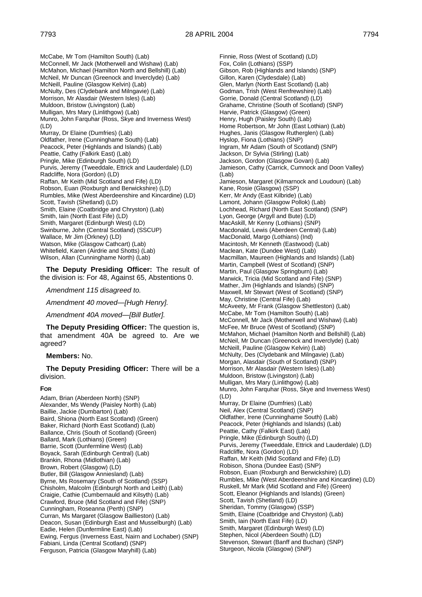McCabe, Mr Tom (Hamilton South) (Lab) McConnell, Mr Jack (Motherwell and Wishaw) (Lab) McMahon, Michael (Hamilton North and Bellshill) (Lab) McNeil, Mr Duncan (Greenock and Inverclyde) (Lab) McNeill, Pauline (Glasgow Kelvin) (Lab) McNulty, Des (Clydebank and Milngavie) (Lab) Morrison, Mr Alasdair (Western Isles) (Lab) Muldoon, Bristow (Livingston) (Lab) Mulligan, Mrs Mary (Linlithgow) (Lab) Munro, John Farquhar (Ross, Skye and Inverness West) (LD) Murray, Dr Elaine (Dumfries) (Lab) Oldfather, Irene (Cunninghame South) (Lab) Peacock, Peter (Highlands and Islands) (Lab) Peattie, Cathy (Falkirk East) (Lab) Pringle, Mike (Edinburgh South) (LD) Purvis, Jeremy (Tweeddale, Ettrick and Lauderdale) (LD) Radcliffe, Nora (Gordon) (LD) Raffan, Mr Keith (Mid Scotland and Fife) (LD) Robson, Euan (Roxburgh and Berwickshire) (LD) Rumbles, Mike (West Aberdeenshire and Kincardine) (LD) Scott, Tavish (Shetland) (LD) Smith, Elaine (Coatbridge and Chryston) (Lab) Smith, Iain (North East Fife) (LD) Smith, Margaret (Edinburgh West) (LD) Swinburne, John (Central Scotland) (SSCUP) Wallace, Mr Jim (Orkney) (LD) Watson, Mike (Glasgow Cathcart) (Lab) Whitefield, Karen (Airdrie and Shotts) (Lab) Wilson, Allan (Cunninghame North) (Lab)

**The Deputy Presiding Officer:** The result of the division is: For 48, Against 65, Abstentions 0.

*Amendment 115 disagreed to.*

*Amendment 40 moved—[Hugh Henry].*

*Amendment 40A moved—[Bill Butler].*

**The Deputy Presiding Officer:** The question is, that amendment 40A be agreed to. Are we agreed?

#### **Members:** No.

**The Deputy Presiding Officer:** There will be a division.

#### **FOR**

Adam, Brian (Aberdeen North) (SNP) Alexander, Ms Wendy (Paisley North) (Lab) Baillie, Jackie (Dumbarton) (Lab) Baird, Shiona (North East Scotland) (Green) Baker, Richard (North East Scotland) (Lab) Ballance, Chris (South of Scotland) (Green) Ballard, Mark (Lothians) (Green) Barrie, Scott (Dunfermline West) (Lab) Boyack, Sarah (Edinburgh Central) (Lab) Brankin, Rhona (Midlothian) (Lab) Brown, Robert (Glasgow) (LD) Butler, Bill (Glasgow Anniesland) (Lab) Byrne, Ms Rosemary (South of Scotland) (SSP) Chisholm, Malcolm (Edinburgh North and Leith) (Lab) Craigie, Cathie (Cumbernauld and Kilsyth) (Lab) Crawford, Bruce (Mid Scotland and Fife) (SNP) Cunningham, Roseanna (Perth) (SNP) Curran, Ms Margaret (Glasgow Baillieston) (Lab) Deacon, Susan (Edinburgh East and Musselburgh) (Lab) Eadie, Helen (Dunfermline East) (Lab) Ewing, Fergus (Inverness East, Nairn and Lochaber) (SNP) Fabiani, Linda (Central Scotland) (SNP) Ferguson, Patricia (Glasgow Maryhill) (Lab)

Finnie, Ross (West of Scotland) (LD) Fox, Colin (Lothians) (SSP) Gibson, Rob (Highlands and Islands) (SNP) Gillon, Karen (Clydesdale) (Lab) Glen, Marlyn (North East Scotland) (Lab) Godman, Trish (West Renfrewshire) (Lab) Gorrie, Donald (Central Scotland) (LD) Grahame, Christine (South of Scotland) (SNP) Harvie, Patrick (Glasgow) (Green) Henry, Hugh (Paisley South) (Lab) Home Robertson, Mr John (East Lothian) (Lab) Hughes, Janis (Glasgow Rutherglen) (Lab) Hyslop, Fiona (Lothians) (SNP) Ingram, Mr Adam (South of Scotland) (SNP) Jackson, Dr Sylvia (Stirling) (Lab) Jackson, Gordon (Glasgow Govan) (Lab) Jamieson, Cathy (Carrick, Cumnock and Doon Valley) (Lab) Jamieson, Margaret (Kilmarnock and Loudoun) (Lab) Kane, Rosie (Glasgow) (SSP) Kerr, Mr Andy (East Kilbride) (Lab) Lamont, Johann (Glasgow Pollok) (Lab) Lochhead, Richard (North East Scotland) (SNP) Lyon, George (Argyll and Bute) (LD) MacAskill, Mr Kenny (Lothians) (SNP) Macdonald, Lewis (Aberdeen Central) (Lab) MacDonald, Margo (Lothians) (Ind) Macintosh, Mr Kenneth (Eastwood) (Lab) Maclean, Kate (Dundee West) (Lab) Macmillan, Maureen (Highlands and Islands) (Lab) Martin, Campbell (West of Scotland) (SNP) Martin, Paul (Glasgow Springburn) (Lab) Marwick, Tricia (Mid Scotland and Fife) (SNP) Mather, Jim (Highlands and Islands) (SNP) Maxwell, Mr Stewart (West of Scotland) (SNP) May, Christine (Central Fife) (Lab) McAveety, Mr Frank (Glasgow Shettleston) (Lab) McCabe, Mr Tom (Hamilton South) (Lab) McConnell, Mr Jack (Motherwell and Wishaw) (Lab) McFee, Mr Bruce (West of Scotland) (SNP) McMahon, Michael (Hamilton North and Bellshill) (Lab) McNeil, Mr Duncan (Greenock and Inverclyde) (Lab) McNeill, Pauline (Glasgow Kelvin) (Lab) McNulty, Des (Clydebank and Milngavie) (Lab) Morgan, Alasdair (South of Scotland) (SNP) Morrison, Mr Alasdair (Western Isles) (Lab) Muldoon, Bristow (Livingston) (Lab) Mulligan, Mrs Mary (Linlithgow) (Lab) Munro, John Farquhar (Ross, Skye and Inverness West) (LD) Murray, Dr Elaine (Dumfries) (Lab) Neil, Alex (Central Scotland) (SNP) Oldfather, Irene (Cunninghame South) (Lab) Peacock, Peter (Highlands and Islands) (Lab) Peattie, Cathy (Falkirk East) (Lab) Pringle, Mike (Edinburgh South) (LD) Purvis, Jeremy (Tweeddale, Ettrick and Lauderdale) (LD) Radcliffe, Nora (Gordon) (LD) Raffan, Mr Keith (Mid Scotland and Fife) (LD) Robison, Shona (Dundee East) (SNP) Robson, Euan (Roxburgh and Berwickshire) (LD) Rumbles, Mike (West Aberdeenshire and Kincardine) (LD) Ruskell, Mr Mark (Mid Scotland and Fife) (Green) Scott, Eleanor (Highlands and Islands) (Green) Scott, Tavish (Shetland) (LD) Sheridan, Tommy (Glasgow) (SSP) Smith, Elaine (Coatbridge and Chryston) (Lab) Smith, Iain (North East Fife) (LD) Smith, Margaret (Edinburgh West) (LD) Stephen, Nicol (Aberdeen South) (LD) Stevenson, Stewart (Banff and Buchan) (SNP) Sturgeon, Nicola (Glasgow) (SNP)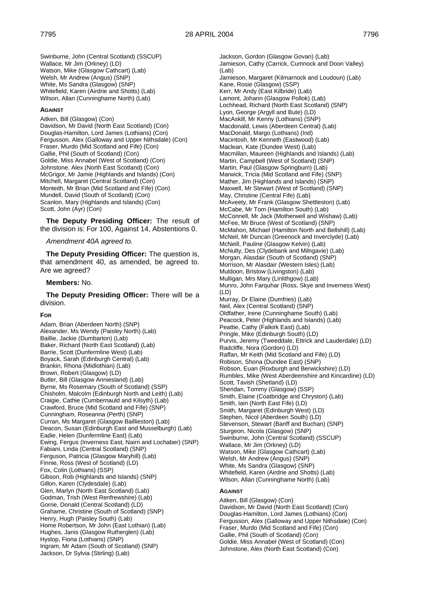Swinburne, John (Central Scotland) (SSCUP) Wallace, Mr Jim (Orkney) (LD) Watson, Mike (Glasgow Cathcart) (Lab) Welsh, Mr Andrew (Angus) (SNP) White, Ms Sandra (Glasgow) (SNP) Whitefield, Karen (Airdrie and Shotts) (Lab) Wilson, Allan (Cunninghame North) (Lab)

#### **AGAINST**

Aitken, Bill (Glasgow) (Con) Davidson, Mr David (North East Scotland) (Con) Douglas-Hamilton, Lord James (Lothians) (Con) Fergusson, Alex (Galloway and Upper Nithsdale) (Con) Fraser, Murdo (Mid Scotland and Fife) (Con) Gallie, Phil (South of Scotland) (Con) Goldie, Miss Annabel (West of Scotland) (Con) Johnstone, Alex (North East Scotland) (Con) McGrigor, Mr Jamie (Highlands and Islands) (Con) Mitchell, Margaret (Central Scotland) (Con) Monteith, Mr Brian (Mid Scotland and Fife) (Con) Mundell, David (South of Scotland) (Con) Scanlon, Mary (Highlands and Islands) (Con) Scott, John (Ayr) (Con)

**The Deputy Presiding Officer:** The result of the division is: For 100, Against 14, Abstentions 0.

#### *Amendment 40A agreed to.*

**The Deputy Presiding Officer:** The question is, that amendment 40, as amended, be agreed to. Are we agreed?

#### **Members:** No.

**The Deputy Presiding Officer:** There will be a division.

#### **FOR**

Adam, Brian (Aberdeen North) (SNP) Alexander, Ms Wendy (Paisley North) (Lab) Baillie, Jackie (Dumbarton) (Lab) Baker, Richard (North East Scotland) (Lab) Barrie, Scott (Dunfermline West) (Lab) Boyack, Sarah (Edinburgh Central) (Lab) Brankin, Rhona (Midlothian) (Lab) Brown, Robert (Glasgow) (LD) Butler, Bill (Glasgow Anniesland) (Lab) Byrne, Ms Rosemary (South of Scotland) (SSP) Chisholm, Malcolm (Edinburgh North and Leith) (Lab) Craigie, Cathie (Cumbernauld and Kilsyth) (Lab) Crawford, Bruce (Mid Scotland and Fife) (SNP) Cunningham, Roseanna (Perth) (SNP) Curran, Ms Margaret (Glasgow Baillieston) (Lab) Deacon, Susan (Edinburgh East and Musselburgh) (Lab) Eadie, Helen (Dunfermline East) (Lab) Ewing, Fergus (Inverness East, Nairn and Lochaber) (SNP) Fabiani, Linda (Central Scotland) (SNP) Ferguson, Patricia (Glasgow Maryhill) (Lab) Finnie, Ross (West of Scotland) (LD) Fox, Colin (Lothians) (SSP) Gibson, Rob (Highlands and Islands) (SNP) Gillon, Karen (Clydesdale) (Lab) Glen, Marlyn (North East Scotland) (Lab) Godman, Trish (West Renfrewshire) (Lab) Gorrie, Donald (Central Scotland) (LD) Grahame, Christine (South of Scotland) (SNP) Henry, Hugh (Paisley South) (Lab) Home Robertson, Mr John (East Lothian) (Lab) Hughes, Janis (Glasgow Rutherglen) (Lab) Hyslop, Fiona (Lothians) (SNP) Ingram, Mr Adam (South of Scotland) (SNP) Jackson, Dr Sylvia (Stirling) (Lab)

Jackson, Gordon (Glasgow Govan) (Lab) Jamieson, Cathy (Carrick, Cumnock and Doon Valley) (Lab) Jamieson, Margaret (Kilmarnock and Loudoun) (Lab) Kane, Rosie (Glasgow) (SSP) Kerr, Mr Andy (East Kilbride) (Lab) Lamont, Johann (Glasgow Pollok) (Lab) Lochhead, Richard (North East Scotland) (SNP) Lyon, George (Argyll and Bute) (LD) MacAskill, Mr Kenny (Lothians) (SNP) Macdonald, Lewis (Aberdeen Central) (Lab) MacDonald, Margo (Lothians) (Ind) Macintosh, Mr Kenneth (Eastwood) (Lab) Maclean, Kate (Dundee West) (Lab) Macmillan, Maureen (Highlands and Islands) (Lab) Martin, Campbell (West of Scotland) (SNP) Martin, Paul (Glasgow Springburn) (Lab) Marwick, Tricia (Mid Scotland and Fife) (SNP) Mather, Jim (Highlands and Islands) (SNP) Maxwell, Mr Stewart (West of Scotland) (SNP) May, Christine (Central Fife) (Lab) McAveety, Mr Frank (Glasgow Shettleston) (Lab) McCabe, Mr Tom (Hamilton South) (Lab) McConnell, Mr Jack (Motherwell and Wishaw) (Lab) McFee, Mr Bruce (West of Scotland) (SNP) McMahon, Michael (Hamilton North and Bellshill) (Lab) McNeil, Mr Duncan (Greenock and Inverclyde) (Lab) McNeill, Pauline (Glasgow Kelvin) (Lab) McNulty, Des (Clydebank and Milngavie) (Lab) Morgan, Alasdair (South of Scotland) (SNP) Morrison, Mr Alasdair (Western Isles) (Lab) Muldoon, Bristow (Livingston) (Lab) Mulligan, Mrs Mary (Linlithgow) (Lab) Munro, John Farquhar (Ross, Skye and Inverness West) (LD) Murray, Dr Elaine (Dumfries) (Lab) Neil, Alex (Central Scotland) (SNP) Oldfather, Irene (Cunninghame South) (Lab) Peacock, Peter (Highlands and Islands) (Lab) Peattie, Cathy (Falkirk East) (Lab) Pringle, Mike (Edinburgh South) (LD) Purvis, Jeremy (Tweeddale, Ettrick and Lauderdale) (LD) Radcliffe, Nora (Gordon) (LD) Raffan, Mr Keith (Mid Scotland and Fife) (LD) Robison, Shona (Dundee East) (SNP) Robson, Euan (Roxburgh and Berwickshire) (LD) Rumbles, Mike (West Aberdeenshire and Kincardine) (LD) Scott, Tavish (Shetland) (LD) Sheridan, Tommy (Glasgow) (SSP) Smith, Elaine (Coatbridge and Chryston) (Lab) Smith, Iain (North East Fife) (LD) Smith, Margaret (Edinburgh West) (LD) Stephen, Nicol (Aberdeen South) (LD) Stevenson, Stewart (Banff and Buchan) (SNP) Sturgeon, Nicola (Glasgow) (SNP) Swinburne, John (Central Scotland) (SSCUP) Wallace, Mr Jim (Orkney) (LD) Watson, Mike (Glasgow Cathcart) (Lab) Welsh, Mr Andrew (Angus) (SNP) White, Ms Sandra (Glasgow) (SNP) Whitefield, Karen (Airdrie and Shotts) (Lab) Wilson, Allan (Cunninghame North) (Lab)

#### **AGAINST**

Aitken, Bill (Glasgow) (Con) Davidson, Mr David (North East Scotland) (Con) Douglas-Hamilton, Lord James (Lothians) (Con) Fergusson, Alex (Galloway and Upper Nithsdale) (Con) Fraser, Murdo (Mid Scotland and Fife) (Con) Gallie, Phil (South of Scotland) (Con) Goldie, Miss Annabel (West of Scotland) (Con) Johnstone, Alex (North East Scotland) (Con)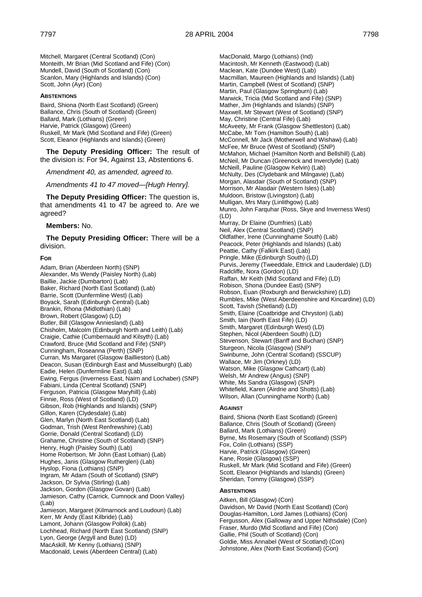Mitchell, Margaret (Central Scotland) (Con) Monteith, Mr Brian (Mid Scotland and Fife) (Con) Mundell, David (South of Scotland) (Con) Scanlon, Mary (Highlands and Islands) (Con) Scott, John (Ayr) (Con)

#### **ABSTENTIONS**

Baird, Shiona (North East Scotland) (Green) Ballance, Chris (South of Scotland) (Green) Ballard, Mark (Lothians) (Green) Harvie, Patrick (Glasgow) (Green) Ruskell, Mr Mark (Mid Scotland and Fife) (Green) Scott, Eleanor (Highlands and Islands) (Green)

**The Deputy Presiding Officer:** The result of the division is: For 94, Against 13, Abstentions 6.

*Amendment 40, as amended, agreed to.*

*Amendments 41 to 47 moved—[Hugh Henry].*

**The Deputy Presiding Officer:** The question is, that amendments 41 to 47 be agreed to. Are we agreed?

#### **Members:** No.

**The Deputy Presiding Officer:** There will be a division.

#### **FOR**

Adam, Brian (Aberdeen North) (SNP) Alexander, Ms Wendy (Paisley North) (Lab) Baillie, Jackie (Dumbarton) (Lab) Baker, Richard (North East Scotland) (Lab) Barrie, Scott (Dunfermline West) (Lab) Boyack, Sarah (Edinburgh Central) (Lab) Brankin, Rhona (Midlothian) (Lab) Brown, Robert (Glasgow) (LD) Butler, Bill (Glasgow Anniesland) (Lab) Chisholm, Malcolm (Edinburgh North and Leith) (Lab) Craigie, Cathie (Cumbernauld and Kilsyth) (Lab) Crawford, Bruce (Mid Scotland and Fife) (SNP) Cunningham, Roseanna (Perth) (SNP) Curran, Ms Margaret (Glasgow Baillieston) (Lab) Deacon, Susan (Edinburgh East and Musselburgh) (Lab) Eadie, Helen (Dunfermline East) (Lab) Ewing, Fergus (Inverness East, Nairn and Lochaber) (SNP) Fabiani, Linda (Central Scotland) (SNP) Ferguson, Patricia (Glasgow Maryhill) (Lab) Finnie, Ross (West of Scotland) (LD) Gibson, Rob (Highlands and Islands) (SNP) Gillon, Karen (Clydesdale) (Lab) Glen, Marlyn (North East Scotland) (Lab) Godman, Trish (West Renfrewshire) (Lab) Gorrie, Donald (Central Scotland) (LD) Grahame, Christine (South of Scotland) (SNP) Henry, Hugh (Paisley South) (Lab) Home Robertson, Mr John (East Lothian) (Lab) Hughes, Janis (Glasgow Rutherglen) (Lab) Hyslop, Fiona (Lothians) (SNP) Ingram, Mr Adam (South of Scotland) (SNP) Jackson, Dr Sylvia (Stirling) (Lab) Jackson, Gordon (Glasgow Govan) (Lab) Jamieson, Cathy (Carrick, Cumnock and Doon Valley)  $($ l ab $)$ Jamieson, Margaret (Kilmarnock and Loudoun) (Lab) Kerr, Mr Andy (East Kilbride) (Lab) Lamont, Johann (Glasgow Pollok) (Lab) Lochhead, Richard (North East Scotland) (SNP) Lyon, George (Argyll and Bute) (LD) MacAskill, Mr Kenny (Lothians) (SNP) Macdonald, Lewis (Aberdeen Central) (Lab)

MacDonald, Margo (Lothians) (Ind) Macintosh, Mr Kenneth (Eastwood) (Lab) Maclean, Kate (Dundee West) (Lab) Macmillan, Maureen (Highlands and Islands) (Lab) Martin, Campbell (West of Scotland) (SNP) Martin, Paul (Glasgow Springburn) (Lab) Marwick, Tricia (Mid Scotland and Fife) (SNP) Mather, Jim (Highlands and Islands) (SNP) Maxwell, Mr Stewart (West of Scotland) (SNP) May, Christine (Central Fife) (Lab) McAveety, Mr Frank (Glasgow Shettleston) (Lab) McCabe, Mr Tom (Hamilton South) (Lab) McConnell, Mr Jack (Motherwell and Wishaw) (Lab) McFee, Mr Bruce (West of Scotland) (SNP) McMahon, Michael (Hamilton North and Bellshill) (Lab) McNeil, Mr Duncan (Greenock and Inverclyde) (Lab) McNeill, Pauline (Glasgow Kelvin) (Lab) McNulty, Des (Clydebank and Milngavie) (Lab) Morgan, Alasdair (South of Scotland) (SNP) Morrison, Mr Alasdair (Western Isles) (Lab) Muldoon, Bristow (Livingston) (Lab) Mulligan, Mrs Mary (Linlithgow) (Lab) Munro, John Farquhar (Ross, Skye and Inverness West) (LD) Murray, Dr Elaine (Dumfries) (Lab) Neil, Alex (Central Scotland) (SNP) Oldfather, Irene (Cunninghame South) (Lab) Peacock, Peter (Highlands and Islands) (Lab) Peattie, Cathy (Falkirk East) (Lab) Pringle, Mike (Edinburgh South) (LD) Purvis, Jeremy (Tweeddale, Ettrick and Lauderdale) (LD) Radcliffe, Nora (Gordon) (LD) Raffan, Mr Keith (Mid Scotland and Fife) (LD) Robison, Shona (Dundee East) (SNP) Robson, Euan (Roxburgh and Berwickshire) (LD) Rumbles, Mike (West Aberdeenshire and Kincardine) (LD) Scott, Tavish (Shetland) (LD) Smith, Elaine (Coatbridge and Chryston) (Lab) Smith, Iain (North East Fife) (LD) Smith, Margaret (Edinburgh West) (LD) Stephen, Nicol (Aberdeen South) (LD) Stevenson, Stewart (Banff and Buchan) (SNP) Sturgeon, Nicola (Glasgow) (SNP) Swinburne, John (Central Scotland) (SSCUP) Wallace, Mr Jim (Orkney) (LD) Watson, Mike (Glasgow Cathcart) (Lab) Welsh, Mr Andrew (Angus) (SNP) White, Ms Sandra (Glasgow) (SNP) Whitefield, Karen (Airdrie and Shotts) (Lab) Wilson, Allan (Cunninghame North) (Lab)

#### **AGAINST**

Baird, Shiona (North East Scotland) (Green) Ballance, Chris (South of Scotland) (Green) Ballard, Mark (Lothians) (Green) Byrne, Ms Rosemary (South of Scotland) (SSP) Fox, Colin (Lothians) (SSP) Harvie, Patrick (Glasgow) (Green) Kane, Rosie (Glasgow) (SSP) Ruskell, Mr Mark (Mid Scotland and Fife) (Green) Scott, Eleanor (Highlands and Islands) (Green) Sheridan, Tommy (Glasgow) (SSP)

#### **ABSTENTIONS**

Aitken, Bill (Glasgow) (Con) Davidson, Mr David (North East Scotland) (Con) Douglas-Hamilton, Lord James (Lothians) (Con) Fergusson, Alex (Galloway and Upper Nithsdale) (Con) Fraser, Murdo (Mid Scotland and Fife) (Con) Gallie, Phil (South of Scotland) (Con) Goldie, Miss Annabel (West of Scotland) (Con) Johnstone, Alex (North East Scotland) (Con)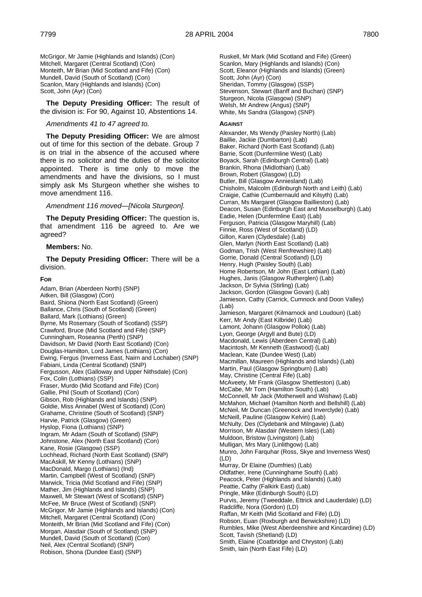McGrigor, Mr Jamie (Highlands and Islands) (Con) Mitchell, Margaret (Central Scotland) (Con) Monteith, Mr Brian (Mid Scotland and Fife) (Con) Mundell, David (South of Scotland) (Con) Scanlon, Mary (Highlands and Islands) (Con) Scott, John (Ayr) (Con)

**The Deputy Presiding Officer:** The result of the division is: For 90, Against 10, Abstentions 14.

#### *Amendments 41 to 47 agreed to.*

**The Deputy Presiding Officer:** We are almost out of time for this section of the debate. Group 7 is on trial in the absence of the accused where there is no solicitor and the duties of the solicitor appointed. There is time only to move the amendments and have the divisions, so I must simply ask Ms Sturgeon whether she wishes to move amendment 116.

#### *Amendment 116 moved—[Nicola Sturgeon].*

**The Deputy Presiding Officer:** The question is, that amendment 116 be agreed to. Are we agreed?

# **Members:** No.

**The Deputy Presiding Officer:** There will be a division.

#### **FOR**

Adam, Brian (Aberdeen North) (SNP) Aitken, Bill (Glasgow) (Con) Baird, Shiona (North East Scotland) (Green) Ballance, Chris (South of Scotland) (Green) Ballard, Mark (Lothians) (Green) Byrne, Ms Rosemary (South of Scotland) (SSP) Crawford, Bruce (Mid Scotland and Fife) (SNP) Cunningham, Roseanna (Perth) (SNP) Davidson, Mr David (North East Scotland) (Con) Douglas-Hamilton, Lord James (Lothians) (Con) Ewing, Fergus (Inverness East, Nairn and Lochaber) (SNP) Fabiani, Linda (Central Scotland) (SNP) Fergusson, Alex (Galloway and Upper Nithsdale) (Con) Fox, Colin (Lothians) (SSP) Fraser, Murdo (Mid Scotland and Fife) (Con) Gallie, Phil (South of Scotland) (Con) Gibson, Rob (Highlands and Islands) (SNP) Goldie, Miss Annabel (West of Scotland) (Con) Grahame, Christine (South of Scotland) (SNP) Harvie, Patrick (Glasgow) (Green) Hyslop, Fiona (Lothians) (SNP) Ingram, Mr Adam (South of Scotland) (SNP) Johnstone, Alex (North East Scotland) (Con) Kane, Rosie (Glasgow) (SSP) Lochhead, Richard (North East Scotland) (SNP) MacAskill, Mr Kenny (Lothians) (SNP) MacDonald, Margo (Lothians) (Ind) Martin, Campbell (West of Scotland) (SNP) Marwick, Tricia (Mid Scotland and Fife) (SNP) Mather, Jim (Highlands and Islands) (SNP) Maxwell, Mr Stewart (West of Scotland) (SNP) McFee, Mr Bruce (West of Scotland) (SNP) McGrigor, Mr Jamie (Highlands and Islands) (Con) Mitchell, Margaret (Central Scotland) (Con) Monteith, Mr Brian (Mid Scotland and Fife) (Con) Morgan, Alasdair (South of Scotland) (SNP) Mundell, David (South of Scotland) (Con) Neil, Alex (Central Scotland) (SNP) Robison, Shona (Dundee East) (SNP)

Ruskell, Mr Mark (Mid Scotland and Fife) (Green) Scanlon, Mary (Highlands and Islands) (Con) Scott, Eleanor (Highlands and Islands) (Green) Scott, John (Ayr) (Con) Sheridan, Tommy (Glasgow) (SSP) Stevenson, Stewart (Banff and Buchan) (SNP) Sturgeon, Nicola (Glasgow) (SNP) Welsh, Mr Andrew (Angus) (SNP) White, Ms Sandra (Glasgow) (SNP)

#### **AGAINST**

Alexander, Ms Wendy (Paisley North) (Lab) Baillie, Jackie (Dumbarton) (Lab) Baker, Richard (North East Scotland) (Lab) Barrie, Scott (Dunfermline West) (Lab) Boyack, Sarah (Edinburgh Central) (Lab) Brankin, Rhona (Midlothian) (Lab) Brown, Robert (Glasgow) (LD) Butler, Bill (Glasgow Anniesland) (Lab) Chisholm, Malcolm (Edinburgh North and Leith) (Lab) Craigie, Cathie (Cumbernauld and Kilsyth) (Lab) Curran, Ms Margaret (Glasgow Baillieston) (Lab) Deacon, Susan (Edinburgh East and Musselburgh) (Lab) Eadie, Helen (Dunfermline East) (Lab) Ferguson, Patricia (Glasgow Maryhill) (Lab) Finnie, Ross (West of Scotland) (LD) Gillon, Karen (Clydesdale) (Lab) Glen, Marlyn (North East Scotland) (Lab) Godman, Trish (West Renfrewshire) (Lab) Gorrie, Donald (Central Scotland) (LD) Henry, Hugh (Paisley South) (Lab) Home Robertson, Mr John (East Lothian) (Lab) Hughes, Janis (Glasgow Rutherglen) (Lab) Jackson, Dr Sylvia (Stirling) (Lab) Jackson, Gordon (Glasgow Govan) (Lab) Jamieson, Cathy (Carrick, Cumnock and Doon Valley) (Lab) Jamieson, Margaret (Kilmarnock and Loudoun) (Lab) Kerr, Mr Andy (East Kilbride) (Lab) Lamont, Johann (Glasgow Pollok) (Lab) Lyon, George (Argyll and Bute) (LD) Macdonald, Lewis (Aberdeen Central) (Lab) Macintosh, Mr Kenneth (Eastwood) (Lab) Maclean, Kate (Dundee West) (Lab) Macmillan, Maureen (Highlands and Islands) (Lab) Martin, Paul (Glasgow Springburn) (Lab) May, Christine (Central Fife) (Lab) McAveety, Mr Frank (Glasgow Shettleston) (Lab) McCabe, Mr Tom (Hamilton South) (Lab) McConnell, Mr Jack (Motherwell and Wishaw) (Lab) McMahon, Michael (Hamilton North and Bellshill) (Lab) McNeil, Mr Duncan (Greenock and Inverclyde) (Lab) McNeill, Pauline (Glasgow Kelvin) (Lab) McNulty, Des (Clydebank and Milngavie) (Lab) Morrison, Mr Alasdair (Western Isles) (Lab) Muldoon, Bristow (Livingston) (Lab) Mulligan, Mrs Mary (Linlithgow) (Lab) Munro, John Farquhar (Ross, Skye and Inverness West) (LD) Murray, Dr Elaine (Dumfries) (Lab) Oldfather, Irene (Cunninghame South) (Lab) Peacock, Peter (Highlands and Islands) (Lab) Peattie, Cathy (Falkirk East) (Lab) Pringle, Mike (Edinburgh South) (LD) Purvis, Jeremy (Tweeddale, Ettrick and Lauderdale) (LD) Radcliffe, Nora (Gordon) (LD) Raffan, Mr Keith (Mid Scotland and Fife) (LD) Robson, Euan (Roxburgh and Berwickshire) (LD) Rumbles, Mike (West Aberdeenshire and Kincardine) (LD) Scott, Tavish (Shetland) (LD) Smith, Elaine (Coatbridge and Chryston) (Lab)

Smith, Iain (North East Fife) (LD)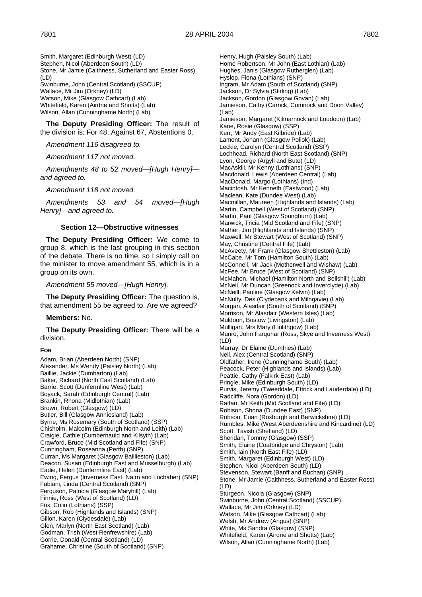Smith, Margaret (Edinburgh West) (LD) Stephen, Nicol (Aberdeen South) (LD) Stone, Mr Jamie (Caithness, Sutherland and Easter Ross) (LD) Swinburne, John (Central Scotland) (SSCUP) Wallace, Mr Jim (Orkney) (LD) Watson, Mike (Glasgow Cathcart) (Lab) Whitefield, Karen (Airdrie and Shotts) (Lab) Wilson, Allan (Cunninghame North) (Lab)

**The Deputy Presiding Officer:** The result of the division is: For 48, Against 67, Abstentions 0.

*Amendment 116 disagreed to.*

*Amendment 117 not moved.*

*Amendments 48 to 52 moved—[Hugh Henry] and agreed to.*

*Amendment 118 not moved.*

*Amendments 53 and 54 moved—[Hugh Henry]—and agreed to.*

#### **Section 12—Obstructive witnesses**

**The Deputy Presiding Officer:** We come to group 8, which is the last grouping in this section of the debate. There is no time, so I simply call on the minister to move amendment 55, which is in a group on its own.

*Amendment 55 moved—[Hugh Henry].*

**The Deputy Presiding Officer:** The question is, that amendment 55 be agreed to. Are we agreed?

#### **Members:** No.

**The Deputy Presiding Officer:** There will be a division.

#### **FOR**

Adam, Brian (Aberdeen North) (SNP) Alexander, Ms Wendy (Paisley North) (Lab) Baillie, Jackie (Dumbarton) (Lab) Baker, Richard (North East Scotland) (Lab) Barrie, Scott (Dunfermline West) (Lab) Boyack, Sarah (Edinburgh Central) (Lab) Brankin, Rhona (Midlothian) (Lab) Brown, Robert (Glasgow) (LD) Butler, Bill (Glasgow Anniesland) (Lab) Byrne, Ms Rosemary (South of Scotland) (SSP) Chisholm, Malcolm (Edinburgh North and Leith) (Lab) Craigie, Cathie (Cumbernauld and Kilsyth) (Lab) Crawford, Bruce (Mid Scotland and Fife) (SNP) Cunningham, Roseanna (Perth) (SNP) Curran, Ms Margaret (Glasgow Baillieston) (Lab) Deacon, Susan (Edinburgh East and Musselburgh) (Lab) Eadie, Helen (Dunfermline East) (Lab) Ewing, Fergus (Inverness East, Nairn and Lochaber) (SNP) Fabiani, Linda (Central Scotland) (SNP) Ferguson, Patricia (Glasgow Maryhill) (Lab) Finnie, Ross (West of Scotland) (LD) Fox, Colin (Lothians) (SSP) Gibson, Rob (Highlands and Islands) (SNP) Gillon, Karen (Clydesdale) (Lab) Glen, Marlyn (North East Scotland) (Lab) Godman, Trish (West Renfrewshire) (Lab) Gorrie, Donald (Central Scotland) (LD) Grahame, Christine (South of Scotland) (SNP)

Henry, Hugh (Paisley South) (Lab) Home Robertson, Mr John (East Lothian) (Lab) Hughes, Janis (Glasgow Rutherglen) (Lab) Hyslop, Fiona (Lothians) (SNP) Ingram, Mr Adam (South of Scotland) (SNP) Jackson, Dr Sylvia (Stirling) (Lab) Jackson, Gordon (Glasgow Govan) (Lab) Jamieson, Cathy (Carrick, Cumnock and Doon Valley) (Lab) Jamieson, Margaret (Kilmarnock and Loudoun) (Lab) Kane, Rosie (Glasgow) (SSP) Kerr, Mr Andy (East Kilbride) (Lab) Lamont, Johann (Glasgow Pollok) (Lab) Leckie, Carolyn (Central Scotland) (SSP) Lochhead, Richard (North East Scotland) (SNP) Lyon, George (Argyll and Bute) (LD) MacAskill, Mr Kenny (Lothians) (SNP) Macdonald, Lewis (Aberdeen Central) (Lab) MacDonald, Margo (Lothians) (Ind) Macintosh, Mr Kenneth (Eastwood) (Lab) Maclean, Kate (Dundee West) (Lab) Macmillan, Maureen (Highlands and Islands) (Lab) Martin, Campbell (West of Scotland) (SNP) Martin, Paul (Glasgow Springburn) (Lab) Marwick, Tricia (Mid Scotland and Fife) (SNP) Mather, Jim (Highlands and Islands) (SNP) Maxwell, Mr Stewart (West of Scotland) (SNP) May, Christine (Central Fife) (Lab) McAveety, Mr Frank (Glasgow Shettleston) (Lab) McCabe, Mr Tom (Hamilton South) (Lab) McConnell, Mr Jack (Motherwell and Wishaw) (Lab) McFee, Mr Bruce (West of Scotland) (SNP) McMahon, Michael (Hamilton North and Bellshill) (Lab) McNeil, Mr Duncan (Greenock and Inverclyde) (Lab) McNeill, Pauline (Glasgow Kelvin) (Lab) McNulty, Des (Clydebank and Milngavie) (Lab) Morgan, Alasdair (South of Scotland) (SNP) Morrison, Mr Alasdair (Western Isles) (Lab) Muldoon, Bristow (Livingston) (Lab) Mulligan, Mrs Mary (Linlithgow) (Lab) Munro, John Farquhar (Ross, Skye and Inverness West)  $(1, D)$ Murray, Dr Elaine (Dumfries) (Lab) Neil, Alex (Central Scotland) (SNP) Oldfather, Irene (Cunninghame South) (Lab) Peacock, Peter (Highlands and Islands) (Lab) Peattie, Cathy (Falkirk East) (Lab) Pringle, Mike (Edinburgh South) (LD) Purvis, Jeremy (Tweeddale, Ettrick and Lauderdale) (LD) Radcliffe, Nora (Gordon) (LD) Raffan, Mr Keith (Mid Scotland and Fife) (LD) Robison, Shona (Dundee East) (SNP) Robson, Euan (Roxburgh and Berwickshire) (LD) Rumbles, Mike (West Aberdeenshire and Kincardine) (LD) Scott, Tavish (Shetland) (LD) Sheridan, Tommy (Glasgow) (SSP) Smith, Elaine (Coatbridge and Chryston) (Lab) Smith, Iain (North East Fife) (LD) Smith, Margaret (Edinburgh West) (LD) Stephen, Nicol (Aberdeen South) (LD) Stevenson, Stewart (Banff and Buchan) (SNP) Stone, Mr Jamie (Caithness, Sutherland and Easter Ross) (LD) Sturgeon, Nicola (Glasgow) (SNP) Swinburne, John (Central Scotland) (SSCUP) Wallace, Mr Jim (Orkney) (LD) Watson, Mike (Glasgow Cathcart) (Lab) Welsh, Mr Andrew (Angus) (SNP) White, Ms Sandra (Glasgow) (SNP) Whitefield, Karen (Airdrie and Shotts) (Lab) Wilson, Allan (Cunninghame North) (Lab)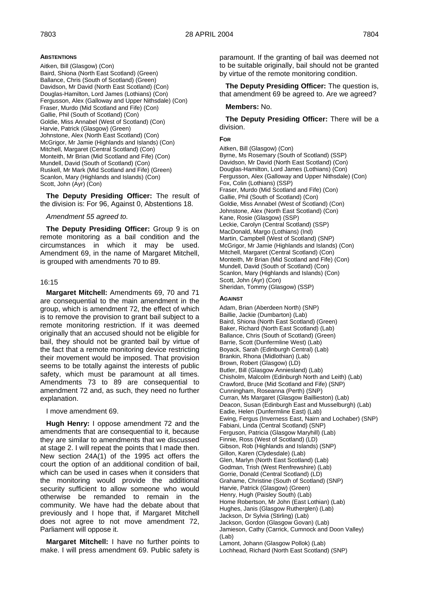# **ABSTENTIONS**

Aitken, Bill (Glasgow) (Con) Baird, Shiona (North East Scotland) (Green) Ballance, Chris (South of Scotland) (Green) Davidson, Mr David (North East Scotland) (Con) Douglas-Hamilton, Lord James (Lothians) (Con) Fergusson, Alex (Galloway and Upper Nithsdale) (Con) Fraser, Murdo (Mid Scotland and Fife) (Con) Gallie, Phil (South of Scotland) (Con) Goldie, Miss Annabel (West of Scotland) (Con) Harvie, Patrick (Glasgow) (Green) Johnstone, Alex (North East Scotland) (Con) McGrigor, Mr Jamie (Highlands and Islands) (Con) Mitchell, Margaret (Central Scotland) (Con) Monteith, Mr Brian (Mid Scotland and Fife) (Con) Mundell, David (South of Scotland) (Con) Ruskell, Mr Mark (Mid Scotland and Fife) (Green) Scanlon, Mary (Highlands and Islands) (Con) Scott, John (Ayr) (Con)

**The Deputy Presiding Officer:** The result of the division is: For 96, Against 0, Abstentions 18.

### *Amendment 55 agreed to.*

**The Deputy Presiding Officer:** Group 9 is on remote monitoring as a bail condition and the circumstances in which it may be used. Amendment 69, in the name of Margaret Mitchell, is grouped with amendments 70 to 89.

# 16:15

**Margaret Mitchell:** Amendments 69, 70 and 71 are consequential to the main amendment in the group, which is amendment 72, the effect of which is to remove the provision to grant bail subject to a remote monitoring restriction. If it was deemed originally that an accused should not be eligible for bail, they should not be granted bail by virtue of the fact that a remote monitoring device restricting their movement would be imposed. That provision seems to be totally against the interests of public safety, which must be paramount at all times. Amendments 73 to 89 are consequential to amendment 72 and, as such, they need no further explanation.

I move amendment 69.

**Hugh Henry:** I oppose amendment 72 and the amendments that are consequential to it, because they are similar to amendments that we discussed at stage 2. I will repeat the points that I made then. New section 24A(1) of the 1995 act offers the court the option of an additional condition of bail, which can be used in cases when it considers that the monitoring would provide the additional security sufficient to allow someone who would otherwise be remanded to remain in the community. We have had the debate about that previously and I hope that, if Margaret Mitchell does not agree to not move amendment 72, Parliament will oppose it.

**Margaret Mitchell:** I have no further points to make. I will press amendment 69. Public safety is paramount. If the granting of bail was deemed not to be suitable originally, bail should not be granted by virtue of the remote monitoring condition.

**The Deputy Presiding Officer:** The question is, that amendment 69 be agreed to. Are we agreed?

# **Members:** No.

**The Deputy Presiding Officer:** There will be a division.

# **FOR**

Aitken, Bill (Glasgow) (Con) Byrne, Ms Rosemary (South of Scotland) (SSP) Davidson, Mr David (North East Scotland) (Con) Douglas-Hamilton, Lord James (Lothians) (Con) Fergusson, Alex (Galloway and Upper Nithsdale) (Con) Fox, Colin (Lothians) (SSP) Fraser, Murdo (Mid Scotland and Fife) (Con) Gallie, Phil (South of Scotland) (Con) Goldie, Miss Annabel (West of Scotland) (Con) Johnstone, Alex (North East Scotland) (Con) Kane, Rosie (Glasgow) (SSP) Leckie, Carolyn (Central Scotland) (SSP) MacDonald, Margo (Lothians) (Ind) Martin, Campbell (West of Scotland) (SNP) McGrigor, Mr Jamie (Highlands and Islands) (Con) Mitchell, Margaret (Central Scotland) (Con) Monteith, Mr Brian (Mid Scotland and Fife) (Con) Mundell, David (South of Scotland) (Con) Scanlon, Mary (Highlands and Islands) (Con) Scott, John (Ayr) (Con) Sheridan, Tommy (Glasgow) (SSP)

#### **AGAINST**

Adam, Brian (Aberdeen North) (SNP) Baillie, Jackie (Dumbarton) (Lab) Baird, Shiona (North East Scotland) (Green) Baker, Richard (North East Scotland) (Lab) Ballance, Chris (South of Scotland) (Green) Barrie, Scott (Dunfermline West) (Lab) Boyack, Sarah (Edinburgh Central) (Lab) Brankin, Rhona (Midlothian) (Lab) Brown, Robert (Glasgow) (LD) Butler, Bill (Glasgow Anniesland) (Lab) Chisholm, Malcolm (Edinburgh North and Leith) (Lab) Crawford, Bruce (Mid Scotland and Fife) (SNP) Cunningham, Roseanna (Perth) (SNP) Curran, Ms Margaret (Glasgow Baillieston) (Lab) Deacon, Susan (Edinburgh East and Musselburgh) (Lab) Eadie, Helen (Dunfermline East) (Lab) Ewing, Fergus (Inverness East, Nairn and Lochaber) (SNP) Fabiani, Linda (Central Scotland) (SNP) Ferguson, Patricia (Glasgow Maryhill) (Lab) Finnie, Ross (West of Scotland) (LD) Gibson, Rob (Highlands and Islands) (SNP) Gillon, Karen (Clydesdale) (Lab) Glen, Marlyn (North East Scotland) (Lab) Godman, Trish (West Renfrewshire) (Lab) Gorrie, Donald (Central Scotland) (LD) Grahame, Christine (South of Scotland) (SNP) Harvie, Patrick (Glasgow) (Green) Henry, Hugh (Paisley South) (Lab) Home Robertson, Mr John (East Lothian) (Lab) Hughes, Janis (Glasgow Rutherglen) (Lab) Jackson, Dr Sylvia (Stirling) (Lab) Jackson, Gordon (Glasgow Govan) (Lab) Jamieson, Cathy (Carrick, Cumnock and Doon Valley) (Lab) Lamont, Johann (Glasgow Pollok) (Lab) Lochhead, Richard (North East Scotland) (SNP)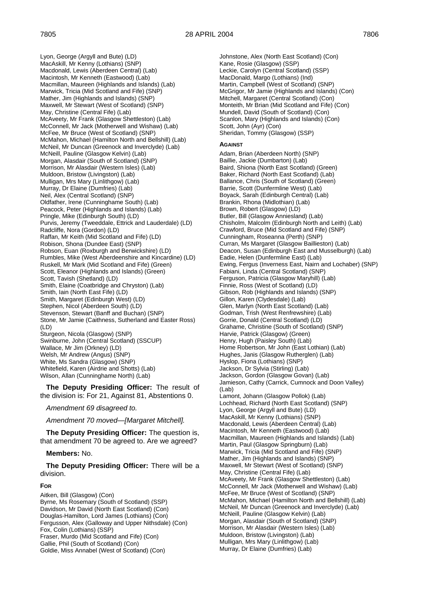Lyon, George (Argyll and Bute) (LD) MacAskill, Mr Kenny (Lothians) (SNP) Macdonald, Lewis (Aberdeen Central) (Lab) Macintosh, Mr Kenneth (Eastwood) (Lab) Macmillan, Maureen (Highlands and Islands) (Lab) Marwick, Tricia (Mid Scotland and Fife) (SNP) Mather, Jim (Highlands and Islands) (SNP) Maxwell, Mr Stewart (West of Scotland) (SNP) May, Christine (Central Fife) (Lab) McAveety, Mr Frank (Glasgow Shettleston) (Lab) McConnell, Mr Jack (Motherwell and Wishaw) (Lab) McFee, Mr Bruce (West of Scotland) (SNP) McMahon, Michael (Hamilton North and Bellshill) (Lab) McNeil, Mr Duncan (Greenock and Inverclyde) (Lab) McNeill, Pauline (Glasgow Kelvin) (Lab) Morgan, Alasdair (South of Scotland) (SNP) Morrison, Mr Alasdair (Western Isles) (Lab) Muldoon, Bristow (Livingston) (Lab) Mulligan, Mrs Mary (Linlithgow) (Lab) Murray, Dr Elaine (Dumfries) (Lab) Neil, Alex (Central Scotland) (SNP) Oldfather, Irene (Cunninghame South) (Lab) Peacock, Peter (Highlands and Islands) (Lab) Pringle, Mike (Edinburgh South) (LD) Purvis, Jeremy (Tweeddale, Ettrick and Lauderdale) (LD) Radcliffe, Nora (Gordon) (LD) Raffan, Mr Keith (Mid Scotland and Fife) (LD) Robison, Shona (Dundee East) (SNP) Robson, Euan (Roxburgh and Berwickshire) (LD) Rumbles, Mike (West Aberdeenshire and Kincardine) (LD) Ruskell, Mr Mark (Mid Scotland and Fife) (Green) Scott, Eleanor (Highlands and Islands) (Green) Scott, Tavish (Shetland) (LD) Smith, Elaine (Coatbridge and Chryston) (Lab) Smith, Iain (North East Fife) (LD) Smith, Margaret (Edinburgh West) (LD) Stephen, Nicol (Aberdeen South) (LD) Stevenson, Stewart (Banff and Buchan) (SNP) Stone, Mr Jamie (Caithness, Sutherland and Easter Ross)  $(1D)$ Sturgeon, Nicola (Glasgow) (SNP)

Swinburne, John (Central Scotland) (SSCUP) Wallace, Mr Jim (Orkney) (LD) Welsh, Mr Andrew (Angus) (SNP) White, Ms Sandra (Glasgow) (SNP) Whitefield, Karen (Airdrie and Shotts) (Lab) Wilson, Allan (Cunninghame North) (Lab)

**The Deputy Presiding Officer:** The result of the division is: For 21, Against 81, Abstentions 0.

*Amendment 69 disagreed to.*

*Amendment 70 moved—[Margaret Mitchell].*

**The Deputy Presiding Officer:** The question is, that amendment 70 be agreed to. Are we agreed?

# **Members:** No.

**The Deputy Presiding Officer:** There will be a division.

# **FOR**

Aitken, Bill (Glasgow) (Con) Byrne, Ms Rosemary (South of Scotland) (SSP) Davidson, Mr David (North East Scotland) (Con) Douglas-Hamilton, Lord James (Lothians) (Con) Fergusson, Alex (Galloway and Upper Nithsdale) (Con) Fox, Colin (Lothians) (SSP) Fraser, Murdo (Mid Scotland and Fife) (Con) Gallie, Phil (South of Scotland) (Con) Goldie, Miss Annabel (West of Scotland) (Con)

Johnstone, Alex (North East Scotland) (Con) Kane, Rosie (Glasgow) (SSP) Leckie, Carolyn (Central Scotland) (SSP) MacDonald, Margo (Lothians) (Ind) Martin, Campbell (West of Scotland) (SNP) McGrigor, Mr Jamie (Highlands and Islands) (Con) Mitchell, Margaret (Central Scotland) (Con) Monteith, Mr Brian (Mid Scotland and Fife) (Con) Mundell, David (South of Scotland) (Con) Scanlon, Mary (Highlands and Islands) (Con) Scott, John (Ayr) (Con) Sheridan, Tommy (Glasgow) (SSP)

#### **AGAINST**

Adam, Brian (Aberdeen North) (SNP) Baillie, Jackie (Dumbarton) (Lab) Baird, Shiona (North East Scotland) (Green) Baker, Richard (North East Scotland) (Lab) Ballance, Chris (South of Scotland) (Green) Barrie, Scott (Dunfermline West) (Lab) Boyack, Sarah (Edinburgh Central) (Lab) Brankin, Rhona (Midlothian) (Lab) Brown, Robert (Glasgow) (LD) Butler, Bill (Glasgow Anniesland) (Lab) Chisholm, Malcolm (Edinburgh North and Leith) (Lab) Crawford, Bruce (Mid Scotland and Fife) (SNP) Cunningham, Roseanna (Perth) (SNP) Curran, Ms Margaret (Glasgow Baillieston) (Lab) Deacon, Susan (Edinburgh East and Musselburgh) (Lab) Eadie, Helen (Dunfermline East) (Lab) Ewing, Fergus (Inverness East, Nairn and Lochaber) (SNP) Fabiani, Linda (Central Scotland) (SNP) Ferguson, Patricia (Glasgow Maryhill) (Lab) Finnie, Ross (West of Scotland) (LD) Gibson, Rob (Highlands and Islands) (SNP) Gillon, Karen (Clydesdale) (Lab) Glen, Marlyn (North East Scotland) (Lab) Godman, Trish (West Renfrewshire) (Lab) Gorrie, Donald (Central Scotland) (LD) Grahame, Christine (South of Scotland) (SNP) Harvie, Patrick (Glasgow) (Green) Henry, Hugh (Paisley South) (Lab) Home Robertson, Mr John (East Lothian) (Lab) Hughes, Janis (Glasgow Rutherglen) (Lab) Hyslop, Fiona (Lothians) (SNP) Jackson, Dr Sylvia (Stirling) (Lab) Jackson, Gordon (Glasgow Govan) (Lab) Jamieson, Cathy (Carrick, Cumnock and Doon Valley)  $($ l ab $)$ Lamont, Johann (Glasgow Pollok) (Lab) Lochhead, Richard (North East Scotland) (SNP) Lyon, George (Argyll and Bute) (LD) MacAskill, Mr Kenny (Lothians) (SNP) Macdonald, Lewis (Aberdeen Central) (Lab) Macintosh, Mr Kenneth (Eastwood) (Lab) Macmillan, Maureen (Highlands and Islands) (Lab) Martin, Paul (Glasgow Springburn) (Lab) Marwick, Tricia (Mid Scotland and Fife) (SNP) Mather, Jim (Highlands and Islands) (SNP) Maxwell, Mr Stewart (West of Scotland) (SNP) May, Christine (Central Fife) (Lab) McAveety, Mr Frank (Glasgow Shettleston) (Lab) McConnell, Mr Jack (Motherwell and Wishaw) (Lab) McFee, Mr Bruce (West of Scotland) (SNP) McMahon, Michael (Hamilton North and Bellshill) (Lab) McNeil, Mr Duncan (Greenock and Inverclyde) (Lab) McNeill, Pauline (Glasgow Kelvin) (Lab) Morgan, Alasdair (South of Scotland) (SNP) Morrison, Mr Alasdair (Western Isles) (Lab) Muldoon, Bristow (Livingston) (Lab) Mulligan, Mrs Mary (Linlithgow) (Lab) Murray, Dr Elaine (Dumfries) (Lab)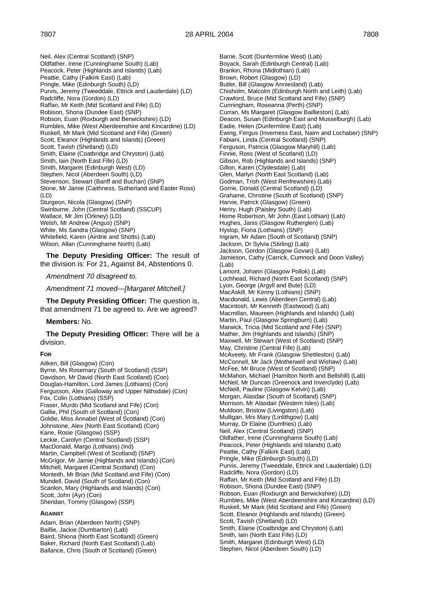Neil, Alex (Central Scotland) (SNP) Oldfather, Irene (Cunninghame South) (Lab) Peacock, Peter (Highlands and Islands) (Lab) Peattie, Cathy (Falkirk East) (Lab) Pringle, Mike (Edinburgh South) (LD) Purvis, Jeremy (Tweeddale, Ettrick and Lauderdale) (LD) Radcliffe, Nora (Gordon) (LD) Raffan, Mr Keith (Mid Scotland and Fife) (LD) Robison, Shona (Dundee East) (SNP) Robson, Euan (Roxburgh and Berwickshire) (LD) Rumbles, Mike (West Aberdeenshire and Kincardine) (LD) Ruskell, Mr Mark (Mid Scotland and Fife) (Green) Scott, Eleanor (Highlands and Islands) (Green) Scott, Tavish (Shetland) (LD) Smith, Elaine (Coatbridge and Chryston) (Lab) Smith, Iain (North East Fife) (LD) Smith, Margaret (Edinburgh West) (LD) Stephen, Nicol (Aberdeen South) (LD) Stevenson, Stewart (Banff and Buchan) (SNP) Stone, Mr Jamie (Caithness, Sutherland and Easter Ross) (LD) Sturgeon, Nicola (Glasgow) (SNP) Swinburne, John (Central Scotland) (SSCUP) Wallace, Mr Jim (Orkney) (LD) Welsh, Mr Andrew (Angus) (SNP) White, Ms Sandra (Glasgow) (SNP) Whitefield, Karen (Airdrie and Shotts) (Lab) Wilson, Allan (Cunninghame North) (Lab)

**The Deputy Presiding Officer:** The result of the division is: For 21, Against 84, Abstentions 0.

*Amendment 70 disagreed to.*

*Amendment 71 moved—[Margaret Mitchell.]*

**The Deputy Presiding Officer:** The question is, that amendment 71 be agreed to. Are we agreed?

**Members:** No.

**The Deputy Presiding Officer:** There will be a division.

#### **FOR**

Aitken, Bill (Glasgow) (Con) Byrne, Ms Rosemary (South of Scotland) (SSP) Davidson, Mr David (North East Scotland) (Con) Douglas-Hamilton, Lord James (Lothians) (Con) Fergusson, Alex (Galloway and Upper Nithsdale) (Con) Fox, Colin (Lothians) (SSP) Fraser, Murdo (Mid Scotland and Fife) (Con) Gallie, Phil (South of Scotland) (Con) Goldie, Miss Annabel (West of Scotland) (Con) Johnstone, Alex (North East Scotland) (Con) Kane, Rosie (Glasgow) (SSP) Leckie, Carolyn (Central Scotland) (SSP) MacDonald, Margo (Lothians) (Ind) Martin, Campbell (West of Scotland) (SNP) McGrigor, Mr Jamie (Highlands and Islands) (Con) Mitchell, Margaret (Central Scotland) (Con) Monteith, Mr Brian (Mid Scotland and Fife) (Con) Mundell, David (South of Scotland) (Con) Scanlon, Mary (Highlands and Islands) (Con) Scott, John (Ayr) (Con) Sheridan, Tommy (Glasgow) (SSP)

#### **AGAINST**

Adam, Brian (Aberdeen North) (SNP) Baillie, Jackie (Dumbarton) (Lab) Baird, Shiona (North East Scotland) (Green) Baker, Richard (North East Scotland) (Lab) Ballance, Chris (South of Scotland) (Green)

Barrie, Scott (Dunfermline West) (Lab) Boyack, Sarah (Edinburgh Central) (Lab) Brankin, Rhona (Midlothian) (Lab) Brown, Robert (Glasgow) (LD) Butler, Bill (Glasgow Anniesland) (Lab) Chisholm, Malcolm (Edinburgh North and Leith) (Lab) Crawford, Bruce (Mid Scotland and Fife) (SNP) Cunningham, Roseanna (Perth) (SNP) Curran, Ms Margaret (Glasgow Baillieston) (Lab) Deacon, Susan (Edinburgh East and Musselburgh) (Lab) Eadie, Helen (Dunfermline East) (Lab) Ewing, Fergus (Inverness East, Nairn and Lochaber) (SNP) Fabiani, Linda (Central Scotland) (SNP) Ferguson, Patricia (Glasgow Maryhill) (Lab) Finnie, Ross (West of Scotland) (LD) Gibson, Rob (Highlands and Islands) (SNP) Gillon, Karen (Clydesdale) (Lab) Glen, Marlyn (North East Scotland) (Lab) Godman, Trish (West Renfrewshire) (Lab) Gorrie, Donald (Central Scotland) (LD) Grahame, Christine (South of Scotland) (SNP) Harvie, Patrick (Glasgow) (Green) Henry, Hugh (Paisley South) (Lab) Home Robertson, Mr John (East Lothian) (Lab) Hughes, Janis (Glasgow Rutherglen) (Lab) Hyslop, Fiona (Lothians) (SNP) Ingram, Mr Adam (South of Scotland) (SNP) Jackson, Dr Sylvia (Stirling) (Lab) Jackson, Gordon (Glasgow Govan) (Lab) Jamieson, Cathy (Carrick, Cumnock and Doon Valley)  $($ l ah $)$ Lamont, Johann (Glasgow Pollok) (Lab) Lochhead, Richard (North East Scotland) (SNP) Lyon, George (Argyll and Bute) (LD) MacAskill, Mr Kenny (Lothians) (SNP) Macdonald, Lewis (Aberdeen Central) (Lab) Macintosh, Mr Kenneth (Eastwood) (Lab) Macmillan, Maureen (Highlands and Islands) (Lab) Martin, Paul (Glasgow Springburn) (Lab) Marwick, Tricia (Mid Scotland and Fife) (SNP) Mather, Jim (Highlands and Islands) (SNP) Maxwell, Mr Stewart (West of Scotland) (SNP) May, Christine (Central Fife) (Lab) McAveety, Mr Frank (Glasgow Shettleston) (Lab) McConnell, Mr Jack (Motherwell and Wishaw) (Lab) McFee, Mr Bruce (West of Scotland) (SNP) McMahon, Michael (Hamilton North and Bellshill) (Lab) McNeil, Mr Duncan (Greenock and Inverclyde) (Lab) McNeill, Pauline (Glasgow Kelvin) (Lab) Morgan, Alasdair (South of Scotland) (SNP) Morrison, Mr Alasdair (Western Isles) (Lab) Muldoon, Bristow (Livingston) (Lab) Mulligan, Mrs Mary (Linlithgow) (Lab) Murray, Dr Elaine (Dumfries) (Lab) Neil, Alex (Central Scotland) (SNP) Oldfather, Irene (Cunninghame South) (Lab) Peacock, Peter (Highlands and Islands) (Lab) Peattie, Cathy (Falkirk East) (Lab) Pringle, Mike (Edinburgh South) (LD) Purvis, Jeremy (Tweeddale, Ettrick and Lauderdale) (LD) Radcliffe, Nora (Gordon) (LD) Raffan, Mr Keith (Mid Scotland and Fife) (LD) Robison, Shona (Dundee East) (SNP) Robson, Euan (Roxburgh and Berwickshire) (LD) Rumbles, Mike (West Aberdeenshire and Kincardine) (LD) Ruskell, Mr Mark (Mid Scotland and Fife) (Green) Scott, Eleanor (Highlands and Islands) (Green) Scott, Tavish (Shetland) (LD) Smith, Elaine (Coatbridge and Chryston) (Lab) Smith, Iain (North East Fife) (LD) Smith, Margaret (Edinburgh West) (LD) Stephen, Nicol (Aberdeen South) (LD)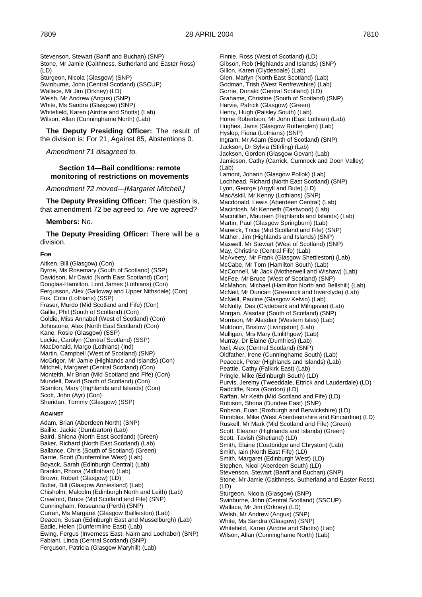Stevenson, Stewart (Banff and Buchan) (SNP) Stone, Mr Jamie (Caithness, Sutherland and Easter Ross) (LD) Sturgeon, Nicola (Glasgow) (SNP) Swinburne, John (Central Scotland) (SSCUP) Wallace, Mr Jim (Orkney) (LD) Welsh, Mr Andrew (Angus) (SNP) White, Ms Sandra (Glasgow) (SNP) Whitefield, Karen (Airdrie and Shotts) (Lab) Wilson, Allan (Cunninghame North) (Lab)

**The Deputy Presiding Officer:** The result of the division is: For 21, Against 85, Abstentions 0.

*Amendment 71 disagreed to.*

#### **Section 14—Bail conditions: remote monitoring of restrictions on movements**

*Amendment 72 moved—[Margaret Mitchell.]*

**The Deputy Presiding Officer:** The question is, that amendment 72 be agreed to. Are we agreed?

#### **Members:** No.

**The Deputy Presiding Officer:** There will be a division.

#### **FOR**

Aitken, Bill (Glasgow) (Con) Byrne, Ms Rosemary (South of Scotland) (SSP) Davidson, Mr David (North East Scotland) (Con) Douglas-Hamilton, Lord James (Lothians) (Con) Fergusson, Alex (Galloway and Upper Nithsdale) (Con) Fox, Colin (Lothians) (SSP) Fraser, Murdo (Mid Scotland and Fife) (Con) Gallie, Phil (South of Scotland) (Con) Goldie, Miss Annabel (West of Scotland) (Con) Johnstone, Alex (North East Scotland) (Con) Kane, Rosie (Glasgow) (SSP) Leckie, Carolyn (Central Scotland) (SSP) MacDonald, Margo (Lothians) (Ind) Martin, Campbell (West of Scotland) (SNP) McGrigor, Mr Jamie (Highlands and Islands) (Con) Mitchell, Margaret (Central Scotland) (Con) Monteith, Mr Brian (Mid Scotland and Fife) (Con) Mundell, David (South of Scotland) (Con) Scanlon, Mary (Highlands and Islands) (Con) Scott, John (Ayr) (Con) Sheridan, Tommy (Glasgow) (SSP)

#### **AGAINST**

Adam, Brian (Aberdeen North) (SNP) Baillie, Jackie (Dumbarton) (Lab) Baird, Shiona (North East Scotland) (Green) Baker, Richard (North East Scotland) (Lab) Ballance, Chris (South of Scotland) (Green) Barrie, Scott (Dunfermline West) (Lab) Boyack, Sarah (Edinburgh Central) (Lab) Brankin, Rhona (Midlothian) (Lab) Brown, Robert (Glasgow) (LD) Butler, Bill (Glasgow Anniesland) (Lab) Chisholm, Malcolm (Edinburgh North and Leith) (Lab) Crawford, Bruce (Mid Scotland and Fife) (SNP) Cunningham, Roseanna (Perth) (SNP) Curran, Ms Margaret (Glasgow Baillieston) (Lab) Deacon, Susan (Edinburgh East and Musselburgh) (Lab) Eadie, Helen (Dunfermline East) (Lab) Ewing, Fergus (Inverness East, Nairn and Lochaber) (SNP) Fabiani, Linda (Central Scotland) (SNP) Ferguson, Patricia (Glasgow Maryhill) (Lab)

Finnie, Ross (West of Scotland) (LD) Gibson, Rob (Highlands and Islands) (SNP) Gillon, Karen (Clydesdale) (Lab) Glen, Marlyn (North East Scotland) (Lab) Godman, Trish (West Renfrewshire) (Lab) Gorrie, Donald (Central Scotland) (LD) Grahame, Christine (South of Scotland) (SNP) Harvie, Patrick (Glasgow) (Green) Henry, Hugh (Paisley South) (Lab) Home Robertson, Mr John (East Lothian) (Lab) Hughes, Janis (Glasgow Rutherglen) (Lab) Hyslop, Fiona (Lothians) (SNP) Ingram, Mr Adam (South of Scotland) (SNP) Jackson, Dr Sylvia (Stirling) (Lab) Jackson, Gordon (Glasgow Govan) (Lab) Jamieson, Cathy (Carrick, Cumnock and Doon Valley)  $($ l ab $)$ Lamont, Johann (Glasgow Pollok) (Lab) Lochhead, Richard (North East Scotland) (SNP) Lyon, George (Argyll and Bute) (LD) MacAskill, Mr Kenny (Lothians) (SNP) Macdonald, Lewis (Aberdeen Central) (Lab) Macintosh, Mr Kenneth (Eastwood) (Lab) Macmillan, Maureen (Highlands and Islands) (Lab) Martin, Paul (Glasgow Springburn) (Lab) Marwick, Tricia (Mid Scotland and Fife) (SNP) Mather, Jim (Highlands and Islands) (SNP) Maxwell, Mr Stewart (West of Scotland) (SNP) May, Christine (Central Fife) (Lab) McAveety, Mr Frank (Glasgow Shettleston) (Lab) McCabe, Mr Tom (Hamilton South) (Lab) McConnell, Mr Jack (Motherwell and Wishaw) (Lab) McFee, Mr Bruce (West of Scotland) (SNP) McMahon, Michael (Hamilton North and Bellshill) (Lab) McNeil, Mr Duncan (Greenock and Inverclyde) (Lab) McNeill, Pauline (Glasgow Kelvin) (Lab) McNulty, Des (Clydebank and Milngavie) (Lab) Morgan, Alasdair (South of Scotland) (SNP) Morrison, Mr Alasdair (Western Isles) (Lab) Muldoon, Bristow (Livingston) (Lab) Mulligan, Mrs Mary (Linlithgow) (Lab) Murray, Dr Elaine (Dumfries) (Lab) Neil, Alex (Central Scotland) (SNP) Oldfather, Irene (Cunninghame South) (Lab) Peacock, Peter (Highlands and Islands) (Lab) Peattie, Cathy (Falkirk East) (Lab) Pringle, Mike (Edinburgh South) (LD) Purvis, Jeremy (Tweeddale, Ettrick and Lauderdale) (LD) Radcliffe, Nora (Gordon) (LD) Raffan, Mr Keith (Mid Scotland and Fife) (LD) Robison, Shona (Dundee East) (SNP) Robson, Euan (Roxburgh and Berwickshire) (LD) Rumbles, Mike (West Aberdeenshire and Kincardine) (LD) Ruskell, Mr Mark (Mid Scotland and Fife) (Green) Scott, Eleanor (Highlands and Islands) (Green) Scott, Tavish (Shetland) (LD) Smith, Elaine (Coatbridge and Chryston) (Lab) Smith, Iain (North East Fife) (LD) Smith, Margaret (Edinburgh West) (LD) Stephen, Nicol (Aberdeen South) (LD) Stevenson, Stewart (Banff and Buchan) (SNP) Stone, Mr Jamie (Caithness, Sutherland and Easter Ross) (LD) Sturgeon, Nicola (Glasgow) (SNP) Swinburne, John (Central Scotland) (SSCUP) Wallace, Mr Jim (Orkney) (LD) Welsh, Mr Andrew (Angus) (SNP) White, Ms Sandra (Glasgow) (SNP) Whitefield, Karen (Airdrie and Shotts) (Lab) Wilson, Allan (Cunninghame North) (Lab)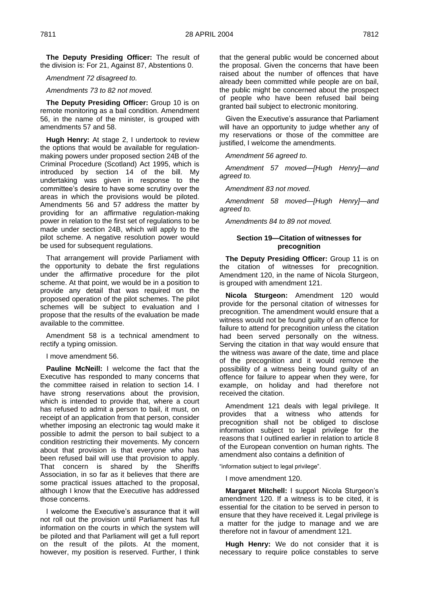**The Deputy Presiding Officer:** The result of the division is: For 21, Against 87, Abstentions 0.

*Amendment 72 disagreed to.*

*Amendments 73 to 82 not moved.*

**The Deputy Presiding Officer:** Group 10 is on remote monitoring as a bail condition. Amendment 56, in the name of the minister, is grouped with amendments 57 and 58.

**Hugh Henry:** At stage 2, I undertook to review the options that would be available for regulationmaking powers under proposed section 24B of the Criminal Procedure (Scotland) Act 1995, which is introduced by section 14 of the bill. My undertaking was given in response to the committee's desire to have some scrutiny over the areas in which the provisions would be piloted. Amendments 56 and 57 address the matter by providing for an affirmative regulation-making power in relation to the first set of regulations to be made under section 24B, which will apply to the pilot scheme. A negative resolution power would be used for subsequent regulations.

That arrangement will provide Parliament with the opportunity to debate the first regulations under the affirmative procedure for the pilot scheme. At that point, we would be in a position to provide any detail that was required on the proposed operation of the pilot schemes. The pilot schemes will be subject to evaluation and I propose that the results of the evaluation be made available to the committee.

Amendment 58 is a technical amendment to rectify a typing omission.

I move amendment 56.

**Pauline McNeill:** I welcome the fact that the Executive has responded to many concerns that the committee raised in relation to section 14. I have strong reservations about the provision, which is intended to provide that, where a court has refused to admit a person to bail, it must, on receipt of an application from that person, consider whether imposing an electronic tag would make it possible to admit the person to bail subject to a condition restricting their movements. My concern about that provision is that everyone who has been refused bail will use that provision to apply. That concern is shared by the Sheriffs Association, in so far as it believes that there are some practical issues attached to the proposal, although I know that the Executive has addressed those concerns.

I welcome the Executive's assurance that it will not roll out the provision until Parliament has full information on the courts in which the system will be piloted and that Parliament will get a full report on the result of the pilots. At the moment, however, my position is reserved. Further, I think

that the general public would be concerned about the proposal. Given the concerns that have been raised about the number of offences that have already been committed while people are on bail, the public might be concerned about the prospect of people who have been refused bail being granted bail subject to electronic monitoring.

Given the Executive's assurance that Parliament will have an opportunity to judge whether any of my reservations or those of the committee are justified, I welcome the amendments.

*Amendment 56 agreed to.*

*Amendment 57 moved—[Hugh Henry]—and agreed to.*

*Amendment 83 not moved.*

*Amendment 58 moved—[Hugh Henry]—and agreed to.*

*Amendments 84 to 89 not moved.*

# **Section 19—Citation of witnesses for precognition**

**The Deputy Presiding Officer:** Group 11 is on the citation of witnesses for precognition. Amendment 120, in the name of Nicola Sturgeon, is grouped with amendment 121.

**Nicola Sturgeon:** Amendment 120 would provide for the personal citation of witnesses for precognition. The amendment would ensure that a witness would not be found guilty of an offence for failure to attend for precognition unless the citation had been served personally on the witness. Serving the citation in that way would ensure that the witness was aware of the date, time and place of the precognition and it would remove the possibility of a witness being found guilty of an offence for failure to appear when they were, for example, on holiday and had therefore not received the citation.

Amendment 121 deals with legal privilege. It provides that a witness who attends for precognition shall not be obliged to disclose information subject to legal privilege for the reasons that I outlined earlier in relation to article 8 of the European convention on human rights. The amendment also contains a definition of

"information subject to legal privilege".

I move amendment 120.

**Margaret Mitchell:** I support Nicola Sturgeon's amendment 120. If a witness is to be cited, it is essential for the citation to be served in person to ensure that they have received it. Legal privilege is a matter for the judge to manage and we are therefore not in favour of amendment 121.

**Hugh Henry:** We do not consider that it is necessary to require police constables to serve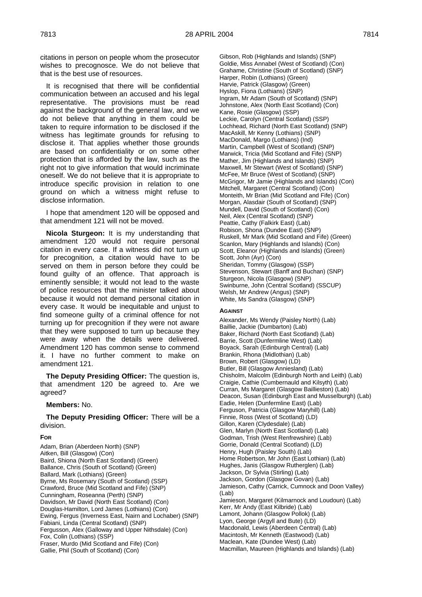citations in person on people whom the prosecutor wishes to precognosce. We do not believe that that is the best use of resources.

It is recognised that there will be confidential communication between an accused and his legal representative. The provisions must be read against the background of the general law, and we do not believe that anything in them could be taken to require information to be disclosed if the witness has legitimate grounds for refusing to disclose it. That applies whether those grounds are based on confidentiality or on some other protection that is afforded by the law, such as the right not to give information that would incriminate oneself. We do not believe that it is appropriate to introduce specific provision in relation to one ground on which a witness might refuse to disclose information.

I hope that amendment 120 will be opposed and that amendment 121 will not be moved.

**Nicola Sturgeon:** It is my understanding that amendment 120 would not require personal citation in every case. If a witness did not turn up for precognition, a citation would have to be served on them in person before they could be found guilty of an offence. That approach is eminently sensible; it would not lead to the waste of police resources that the minister talked about because it would not demand personal citation in every case. It would be inequitable and unjust to find someone guilty of a criminal offence for not turning up for precognition if they were not aware that they were supposed to turn up because they were away when the details were delivered. Amendment 120 has common sense to commend it. I have no further comment to make on amendment 121.

**The Deputy Presiding Officer:** The question is, that amendment 120 be agreed to. Are we agreed?

#### **Members:** No.

**The Deputy Presiding Officer:** There will be a division.

# **FOR**

Adam, Brian (Aberdeen North) (SNP) Aitken, Bill (Glasgow) (Con) Baird, Shiona (North East Scotland) (Green) Ballance, Chris (South of Scotland) (Green) Ballard, Mark (Lothians) (Green) Byrne, Ms Rosemary (South of Scotland) (SSP) Crawford, Bruce (Mid Scotland and Fife) (SNP) Cunningham, Roseanna (Perth) (SNP) Davidson, Mr David (North East Scotland) (Con) Douglas-Hamilton, Lord James (Lothians) (Con) Ewing, Fergus (Inverness East, Nairn and Lochaber) (SNP) Fabiani, Linda (Central Scotland) (SNP) Fergusson, Alex (Galloway and Upper Nithsdale) (Con) Fox, Colin (Lothians) (SSP) Fraser, Murdo (Mid Scotland and Fife) (Con) Gallie, Phil (South of Scotland) (Con)

Gibson, Rob (Highlands and Islands) (SNP) Goldie, Miss Annabel (West of Scotland) (Con) Grahame, Christine (South of Scotland) (SNP) Harper, Robin (Lothians) (Green) Harvie, Patrick (Glasgow) (Green) Hyslop, Fiona (Lothians) (SNP) Ingram, Mr Adam (South of Scotland) (SNP) Johnstone, Alex (North East Scotland) (Con) Kane, Rosie (Glasgow) (SSP) Leckie, Carolyn (Central Scotland) (SSP) Lochhead, Richard (North East Scotland) (SNP) MacAskill, Mr Kenny (Lothians) (SNP) MacDonald, Margo (Lothians) (Ind) Martin, Campbell (West of Scotland) (SNP) Marwick, Tricia (Mid Scotland and Fife) (SNP) Mather, Jim (Highlands and Islands) (SNP) Maxwell, Mr Stewart (West of Scotland) (SNP) McFee, Mr Bruce (West of Scotland) (SNP) McGrigor, Mr Jamie (Highlands and Islands) (Con) Mitchell, Margaret (Central Scotland) (Con) Monteith, Mr Brian (Mid Scotland and Fife) (Con) Morgan, Alasdair (South of Scotland) (SNP) Mundell, David (South of Scotland) (Con) Neil, Alex (Central Scotland) (SNP) Peattie, Cathy (Falkirk East) (Lab) Robison, Shona (Dundee East) (SNP) Ruskell, Mr Mark (Mid Scotland and Fife) (Green) Scanlon, Mary (Highlands and Islands) (Con) Scott, Eleanor (Highlands and Islands) (Green) Scott, John (Ayr) (Con) Sheridan, Tommy (Glasgow) (SSP) Stevenson, Stewart (Banff and Buchan) (SNP) Sturgeon, Nicola (Glasgow) (SNP) Swinburne, John (Central Scotland) (SSCUP) Welsh, Mr Andrew (Angus) (SNP) White, Ms Sandra (Glasgow) (SNP)

#### **AGAINST**

Alexander, Ms Wendy (Paisley North) (Lab) Baillie, Jackie (Dumbarton) (Lab) Baker, Richard (North East Scotland) (Lab) Barrie, Scott (Dunfermline West) (Lab) Boyack, Sarah (Edinburgh Central) (Lab) Brankin, Rhona (Midlothian) (Lab) Brown, Robert (Glasgow) (LD) Butler, Bill (Glasgow Anniesland) (Lab) Chisholm, Malcolm (Edinburgh North and Leith) (Lab) Craigie, Cathie (Cumbernauld and Kilsyth) (Lab) Curran, Ms Margaret (Glasgow Baillieston) (Lab) Deacon, Susan (Edinburgh East and Musselburgh) (Lab) Eadie, Helen (Dunfermline East) (Lab) Ferguson, Patricia (Glasgow Maryhill) (Lab) Finnie, Ross (West of Scotland) (LD) Gillon, Karen (Clydesdale) (Lab) Glen, Marlyn (North East Scotland) (Lab) Godman, Trish (West Renfrewshire) (Lab) Gorrie, Donald (Central Scotland) (LD) Henry, Hugh (Paisley South) (Lab) Home Robertson, Mr John (East Lothian) (Lab) Hughes, Janis (Glasgow Rutherglen) (Lab) Jackson, Dr Sylvia (Stirling) (Lab) Jackson, Gordon (Glasgow Govan) (Lab) Jamieson, Cathy (Carrick, Cumnock and Doon Valley) (Lab) Jamieson, Margaret (Kilmarnock and Loudoun) (Lab) Kerr, Mr Andy (East Kilbride) (Lab) Lamont, Johann (Glasgow Pollok) (Lab) Lyon, George (Argyll and Bute) (LD) Macdonald, Lewis (Aberdeen Central) (Lab) Macintosh, Mr Kenneth (Eastwood) (Lab) Maclean, Kate (Dundee West) (Lab) Macmillan, Maureen (Highlands and Islands) (Lab)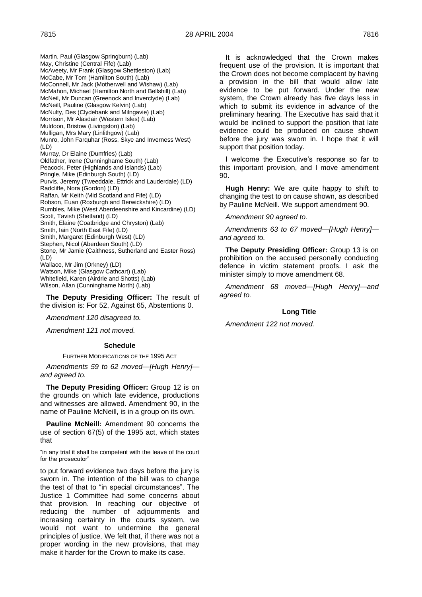Martin, Paul (Glasgow Springburn) (Lab) May, Christine (Central Fife) (Lab) McAveety, Mr Frank (Glasgow Shettleston) (Lab) McCabe, Mr Tom (Hamilton South) (Lab) McConnell, Mr Jack (Motherwell and Wishaw) (Lab) McMahon, Michael (Hamilton North and Bellshill) (Lab) McNeil, Mr Duncan (Greenock and Inverclyde) (Lab) McNeill, Pauline (Glasgow Kelvin) (Lab) McNulty, Des (Clydebank and Milngavie) (Lab) Morrison, Mr Alasdair (Western Isles) (Lab) Muldoon, Bristow (Livingston) (Lab) Mulligan, Mrs Mary (Linlithgow) (Lab) Munro, John Farquhar (Ross, Skye and Inverness West) (LD) Murray, Dr Elaine (Dumfries) (Lab) Oldfather, Irene (Cunninghame South) (Lab) Peacock, Peter (Highlands and Islands) (Lab) Pringle, Mike (Edinburgh South) (LD) Purvis, Jeremy (Tweeddale, Ettrick and Lauderdale) (LD) Radcliffe, Nora (Gordon) (LD) Raffan, Mr Keith (Mid Scotland and Fife) (LD) Robson, Euan (Roxburgh and Berwickshire) (LD) Rumbles, Mike (West Aberdeenshire and Kincardine) (LD) Scott, Tavish (Shetland) (LD) Smith, Elaine (Coatbridge and Chryston) (Lab) Smith, Iain (North East Fife) (LD) Smith, Margaret (Edinburgh West) (LD) Stephen, Nicol (Aberdeen South) (LD) Stone, Mr Jamie (Caithness, Sutherland and Easter Ross) (LD) Wallace, Mr Jim (Orkney) (LD) Watson, Mike (Glasgow Cathcart) (Lab) Whitefield, Karen (Airdrie and Shotts) (Lab) Wilson, Allan (Cunninghame North) (Lab)

**The Deputy Presiding Officer:** The result of the division is: For 52, Against 65, Abstentions 0.

*Amendment 120 disagreed to.*

*Amendment 121 not moved.*

#### **Schedule**

FURTHER MODIFICATIONS OF THE 1995 ACT

*Amendments 59 to 62 moved—[Hugh Henry] and agreed to.*

**The Deputy Presiding Officer:** Group 12 is on the grounds on which late evidence, productions and witnesses are allowed. Amendment 90, in the name of Pauline McNeill, is in a group on its own.

**Pauline McNeill:** Amendment 90 concerns the use of section 67(5) of the 1995 act, which states that

"in any trial it shall be competent with the leave of the court for the prosecutor"

to put forward evidence two days before the jury is sworn in. The intention of the bill was to change the test of that to "in special circumstances". The Justice 1 Committee had some concerns about that provision. In reaching our objective of reducing the number of adjournments and increasing certainty in the courts system, we would not want to undermine the general principles of justice. We felt that, if there was not a proper wording in the new provisions, that may make it harder for the Crown to make its case.

It is acknowledged that the Crown makes frequent use of the provision. It is important that the Crown does not become complacent by having a provision in the bill that would allow late evidence to be put forward. Under the new system, the Crown already has five days less in which to submit its evidence in advance of the preliminary hearing. The Executive has said that it would be inclined to support the position that late evidence could be produced on cause shown before the jury was sworn in. I hope that it will support that position today.

I welcome the Executive's response so far to this important provision, and I move amendment 90.

**Hugh Henry:** We are quite happy to shift to changing the test to on cause shown, as described by Pauline McNeill. We support amendment 90.

*Amendment 90 agreed to.*

*Amendments 63 to 67 moved—[Hugh Henry] and agreed to.*

**The Deputy Presiding Officer:** Group 13 is on prohibition on the accused personally conducting defence in victim statement proofs. I ask the minister simply to move amendment 68.

*Amendment 68 moved—[Hugh Henry]—and agreed to.*

#### **Long Title**

*Amendment 122 not moved.*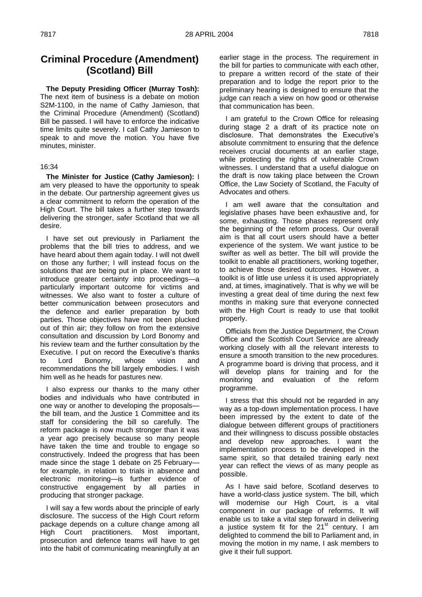# **Criminal Procedure (Amendment) (Scotland) Bill**

**The Deputy Presiding Officer (Murray Tosh):**  The next item of business is a debate on motion S2M-1100, in the name of Cathy Jamieson, that the Criminal Procedure (Amendment) (Scotland) Bill be passed. I will have to enforce the indicative time limits quite severely. I call Cathy Jamieson to speak to and move the motion. You have five minutes, minister.

# 16:34

**The Minister for Justice (Cathy Jamieson):** I am very pleased to have the opportunity to speak in the debate. Our partnership agreement gives us a clear commitment to reform the operation of the High Court. The bill takes a further step towards delivering the stronger, safer Scotland that we all desire.

I have set out previously in Parliament the problems that the bill tries to address, and we have heard about them again today. I will not dwell on those any further; I will instead focus on the solutions that are being put in place. We want to introduce greater certainty into proceedings—a particularly important outcome for victims and witnesses. We also want to foster a culture of better communication between prosecutors and the defence and earlier preparation by both parties. Those objectives have not been plucked out of thin air; they follow on from the extensive consultation and discussion by Lord Bonomy and his review team and the further consultation by the Executive. I put on record the Executive's thanks to Lord Bonomy, whose vision and recommendations the bill largely embodies. I wish him well as he heads for pastures new.

I also express our thanks to the many other bodies and individuals who have contributed in one way or another to developing the proposals the bill team, and the Justice 1 Committee and its staff for considering the bill so carefully. The reform package is now much stronger than it was a year ago precisely because so many people have taken the time and trouble to engage so constructively. Indeed the progress that has been made since the stage 1 debate on 25 February for example, in relation to trials in absence and electronic monitoring—is further evidence of constructive engagement by all parties in producing that stronger package.

I will say a few words about the principle of early disclosure. The success of the High Court reform package depends on a culture change among all High Court practitioners. Most important, prosecution and defence teams will have to get into the habit of communicating meaningfully at an

earlier stage in the process. The requirement in the bill for parties to communicate with each other, to prepare a written record of the state of their preparation and to lodge the report prior to the preliminary hearing is designed to ensure that the judge can reach a view on how good or otherwise that communication has been.

I am grateful to the Crown Office for releasing during stage 2 a draft of its practice note on disclosure. That demonstrates the Executive's absolute commitment to ensuring that the defence receives crucial documents at an earlier stage, while protecting the rights of vulnerable Crown witnesses. I understand that a useful dialogue on the draft is now taking place between the Crown Office, the Law Society of Scotland, the Faculty of Advocates and others.

I am well aware that the consultation and legislative phases have been exhaustive and, for some, exhausting. Those phases represent only the beginning of the reform process. Our overall aim is that all court users should have a better experience of the system. We want justice to be swifter as well as better. The bill will provide the toolkit to enable all practitioners, working together, to achieve those desired outcomes. However, a toolkit is of little use unless it is used appropriately and, at times, imaginatively. That is why we will be investing a great deal of time during the next few months in making sure that everyone connected with the High Court is ready to use that toolkit properly.

Officials from the Justice Department, the Crown Office and the Scottish Court Service are already working closely with all the relevant interests to ensure a smooth transition to the new procedures. A programme board is driving that process, and it will develop plans for training and for the monitoring and evaluation of the reform programme.

I stress that this should not be regarded in any way as a top-down implementation process. I have been impressed by the extent to date of the dialogue between different groups of practitioners and their willingness to discuss possible obstacles and develop new approaches. I want the implementation process to be developed in the same spirit, so that detailed training early next year can reflect the views of as many people as possible.

As I have said before, Scotland deserves to have a world-class justice system. The bill, which will modernise our High Court, is a vital component in our package of reforms. It will enable us to take a vital step forward in delivering a justice system fit for the  $21<sup>st</sup>$  century. I am delighted to commend the bill to Parliament and, in moving the motion in my name, I ask members to give it their full support.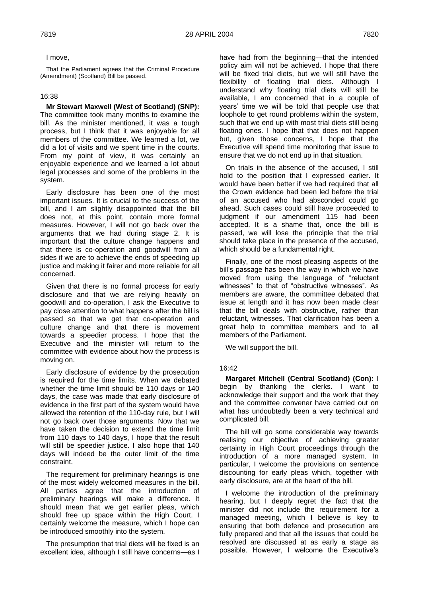# I move,

That the Parliament agrees that the Criminal Procedure (Amendment) (Scotland) Bill be passed.

# 16:38

# **Mr Stewart Maxwell (West of Scotland) (SNP):**  The committee took many months to examine the bill. As the minister mentioned, it was a tough process, but I think that it was enjoyable for all members of the committee. We learned a lot, we did a lot of visits and we spent time in the courts. From my point of view, it was certainly an enjoyable experience and we learned a lot about legal processes and some of the problems in the system.

Early disclosure has been one of the most important issues. It is crucial to the success of the bill, and I am slightly disappointed that the bill does not, at this point, contain more formal measures. However, I will not go back over the arguments that we had during stage 2. It is important that the culture change happens and that there is co-operation and goodwill from all sides if we are to achieve the ends of speeding up justice and making it fairer and more reliable for all concerned.

Given that there is no formal process for early disclosure and that we are relying heavily on goodwill and co-operation, I ask the Executive to pay close attention to what happens after the bill is passed so that we get that co-operation and culture change and that there is movement towards a speedier process. I hope that the Executive and the minister will return to the committee with evidence about how the process is moving on.

Early disclosure of evidence by the prosecution is required for the time limits. When we debated whether the time limit should be 110 days or 140 days, the case was made that early disclosure of evidence in the first part of the system would have allowed the retention of the 110-day rule, but I will not go back over those arguments. Now that we have taken the decision to extend the time limit from 110 days to 140 days, I hope that the result will still be speedier justice. I also hope that 140 days will indeed be the outer limit of the time constraint.

The requirement for preliminary hearings is one of the most widely welcomed measures in the bill. All parties agree that the introduction of preliminary hearings will make a difference. It should mean that we get earlier pleas, which should free up space within the High Court. I certainly welcome the measure, which I hope can be introduced smoothly into the system.

The presumption that trial diets will be fixed is an excellent idea, although I still have concerns—as I

have had from the beginning—that the intended policy aim will not be achieved. I hope that there will be fixed trial diets, but we will still have the flexibility of floating trial diets. Although I understand why floating trial diets will still be available, I am concerned that in a couple of years' time we will be told that people use that loophole to get round problems within the system, such that we end up with most trial diets still being floating ones. I hope that that does not happen but, given those concerns, I hope that the Executive will spend time monitoring that issue to ensure that we do not end up in that situation.

On trials in the absence of the accused, I still hold to the position that I expressed earlier. It would have been better if we had required that all the Crown evidence had been led before the trial of an accused who had absconded could go ahead. Such cases could still have proceeded to judgment if our amendment 115 had been accepted. It is a shame that, once the bill is passed, we will lose the principle that the trial should take place in the presence of the accused, which should be a fundamental right.

Finally, one of the most pleasing aspects of the bill's passage has been the way in which we have moved from using the language of "reluctant witnesses" to that of "obstructive witnesses". As members are aware, the committee debated that issue at length and it has now been made clear that the bill deals with obstructive, rather than reluctant, witnesses. That clarification has been a great help to committee members and to all members of the Parliament.

We will support the bill.

# 16:42

**Margaret Mitchell (Central Scotland) (Con):** I begin by thanking the clerks. I want to acknowledge their support and the work that they and the committee convener have carried out on what has undoubtedly been a very technical and complicated bill.

The bill will go some considerable way towards realising our objective of achieving greater certainty in High Court proceedings through the introduction of a more managed system. In particular, I welcome the provisions on sentence discounting for early pleas which, together with early disclosure, are at the heart of the bill.

I welcome the introduction of the preliminary hearing, but I deeply regret the fact that the minister did not include the requirement for a managed meeting, which I believe is key to ensuring that both defence and prosecution are fully prepared and that all the issues that could be resolved are discussed at as early a stage as possible. However, I welcome the Executive's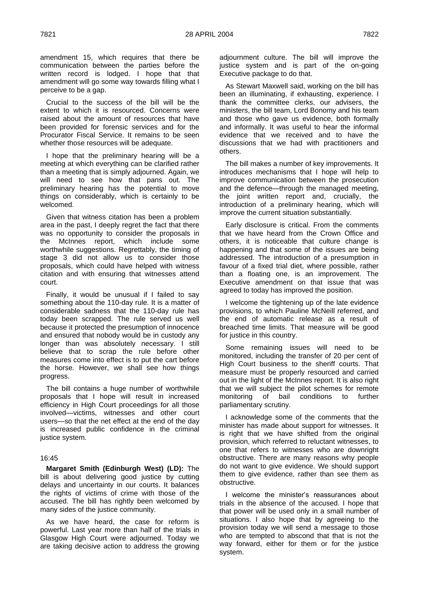amendment 15, which requires that there be communication between the parties before the written record is lodged. I hope that that amendment will go some way towards filling what I perceive to be a gap.

Crucial to the success of the bill will be the extent to which it is resourced. Concerns were raised about the amount of resources that have been provided for forensic services and for the Procurator Fiscal Service. It remains to be seen whether those resources will be adequate.

I hope that the preliminary hearing will be a meeting at which everything can be clarified rather than a meeting that is simply adjourned. Again, we will need to see how that pans out. The preliminary hearing has the potential to move things on considerably, which is certainly to be welcomed.

Given that witness citation has been a problem area in the past, I deeply regret the fact that there was no opportunity to consider the proposals in the McInnes report, which include some worthwhile suggestions. Regrettably, the timing of stage 3 did not allow us to consider those proposals, which could have helped with witness citation and with ensuring that witnesses attend court.

Finally, it would be unusual if I failed to say something about the 110-day rule. It is a matter of considerable sadness that the 110-day rule has today been scrapped. The rule served us well because it protected the presumption of innocence and ensured that nobody would be in custody any longer than was absolutely necessary. I still believe that to scrap the rule before other measures come into effect is to put the cart before the horse. However, we shall see how things progress.

The bill contains a huge number of worthwhile proposals that I hope will result in increased efficiency in High Court proceedings for all those involved—victims, witnesses and other court users—so that the net effect at the end of the day is increased public confidence in the criminal justice system.

### 16:45

**Margaret Smith (Edinburgh West) (LD):** The bill is about delivering good justice by cutting delays and uncertainty in our courts. It balances the rights of victims of crime with those of the accused. The bill has rightly been welcomed by many sides of the justice community.

As we have heard, the case for reform is powerful. Last year more than half of the trials in Glasgow High Court were adjourned. Today we are taking decisive action to address the growing adjournment culture. The bill will improve the justice system and is part of the on-going Executive package to do that.

As Stewart Maxwell said, working on the bill has been an illuminating, if exhausting, experience. I thank the committee clerks, our advisers, the ministers, the bill team, Lord Bonomy and his team and those who gave us evidence, both formally and informally. It was useful to hear the informal evidence that we received and to have the discussions that we had with practitioners and others.

The bill makes a number of key improvements. It introduces mechanisms that I hope will help to improve communication between the prosecution and the defence—through the managed meeting, the joint written report and, crucially, the introduction of a preliminary hearing, which will improve the current situation substantially.

Early disclosure is critical. From the comments that we have heard from the Crown Office and others, it is noticeable that culture change is happening and that some of the issues are being addressed. The introduction of a presumption in favour of a fixed trial diet, where possible, rather than a floating one, is an improvement. The Executive amendment on that issue that was agreed to today has improved the position.

I welcome the tightening up of the late evidence provisions, to which Pauline McNeill referred, and the end of automatic release as a result of breached time limits. That measure will be good for justice in this country.

Some remaining issues will need to be monitored, including the transfer of 20 per cent of High Court business to the sheriff courts. That measure must be properly resourced and carried out in the light of the McInnes report. It is also right that we will subject the pilot schemes for remote monitoring of bail conditions to further parliamentary scrutiny.

I acknowledge some of the comments that the minister has made about support for witnesses. It is right that we have shifted from the original provision, which referred to reluctant witnesses, to one that refers to witnesses who are downright obstructive. There are many reasons why people do not want to give evidence. We should support them to give evidence, rather than see them as obstructive.

I welcome the minister's reassurances about trials in the absence of the accused. I hope that that power will be used only in a small number of situations. I also hope that by agreeing to the provision today we will send a message to those who are tempted to abscond that that is not the way forward, either for them or for the justice system.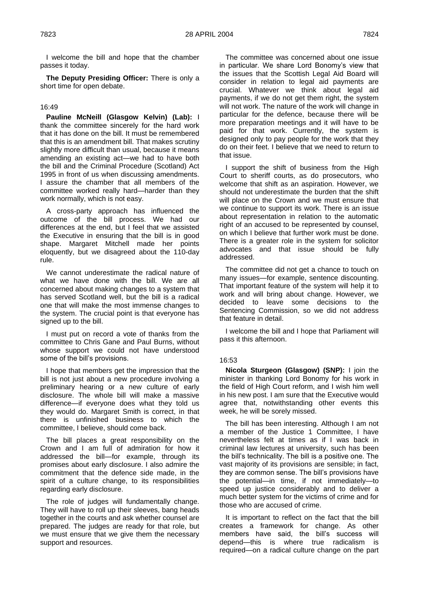I welcome the bill and hope that the chamber passes it today.

**The Deputy Presiding Officer:** There is only a short time for open debate.

# 16:49

**Pauline McNeill (Glasgow Kelvin) (Lab):** I thank the committee sincerely for the hard work that it has done on the bill. It must be remembered that this is an amendment bill. That makes scrutiny slightly more difficult than usual, because it means amending an existing act—we had to have both the bill and the Criminal Procedure (Scotland) Act 1995 in front of us when discussing amendments. I assure the chamber that all members of the committee worked really hard—harder than they work normally, which is not easy.

A cross-party approach has influenced the outcome of the bill process. We had our differences at the end, but I feel that we assisted the Executive in ensuring that the bill is in good shape. Margaret Mitchell made her points eloquently, but we disagreed about the 110-day rule.

We cannot underestimate the radical nature of what we have done with the bill. We are all concerned about making changes to a system that has served Scotland well, but the bill is a radical one that will make the most immense changes to the system. The crucial point is that everyone has signed up to the bill.

I must put on record a vote of thanks from the committee to Chris Gane and Paul Burns, without whose support we could not have understood some of the bill's provisions.

I hope that members get the impression that the bill is not just about a new procedure involving a preliminary hearing or a new culture of early disclosure. The whole bill will make a massive difference—if everyone does what they told us they would do. Margaret Smith is correct, in that there is unfinished business to which the committee, I believe, should come back.

The bill places a great responsibility on the Crown and I am full of admiration for how it addressed the bill—for example, through its promises about early disclosure. I also admire the commitment that the defence side made, in the spirit of a culture change, to its responsibilities regarding early disclosure.

The role of judges will fundamentally change. They will have to roll up their sleeves, bang heads together in the courts and ask whether counsel are prepared. The judges are ready for that role, but we must ensure that we give them the necessary support and resources.

The committee was concerned about one issue in particular. We share Lord Bonomy's view that the issues that the Scottish Legal Aid Board will consider in relation to legal aid payments are crucial. Whatever we think about legal aid payments, if we do not get them right, the system will not work. The nature of the work will change in particular for the defence, because there will be more preparation meetings and it will have to be paid for that work. Currently, the system is designed only to pay people for the work that they do on their feet. I believe that we need to return to that issue.

I support the shift of business from the High Court to sheriff courts, as do prosecutors, who welcome that shift as an aspiration. However, we should not underestimate the burden that the shift will place on the Crown and we must ensure that we continue to support its work. There is an issue about representation in relation to the automatic right of an accused to be represented by counsel, on which I believe that further work must be done. There is a greater role in the system for solicitor advocates and that issue should be fully addressed.

The committee did not get a chance to touch on many issues—for example, sentence discounting. That important feature of the system will help it to work and will bring about change. However, we decided to leave some decisions to the Sentencing Commission, so we did not address that feature in detail.

I welcome the bill and I hope that Parliament will pass it this afternoon.

# 16:53

**Nicola Sturgeon (Glasgow) (SNP):** I join the minister in thanking Lord Bonomy for his work in the field of High Court reform, and I wish him well in his new post. I am sure that the Executive would agree that, notwithstanding other events this week, he will be sorely missed.

The bill has been interesting. Although I am not a member of the Justice 1 Committee, I have nevertheless felt at times as if I was back in criminal law lectures at university, such has been the bill's technicality. The bill is a positive one. The vast majority of its provisions are sensible; in fact, they are common sense. The bill's provisions have the potential—in time, if not immediately—to speed up justice considerably and to deliver a much better system for the victims of crime and for those who are accused of crime.

It is important to reflect on the fact that the bill creates a framework for change. As other members have said, the bill's success will depend—this is where true radicalism is required—on a radical culture change on the part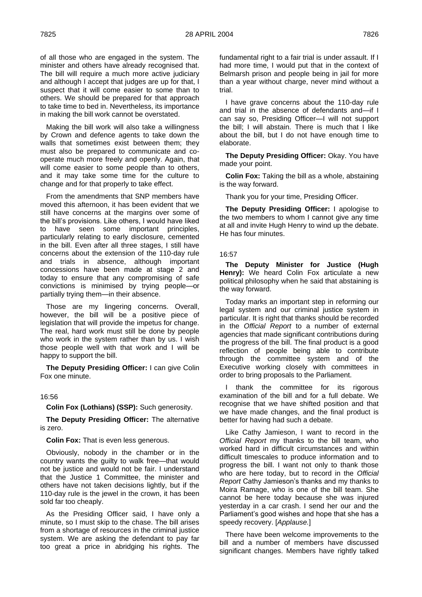of all those who are engaged in the system. The minister and others have already recognised that. The bill will require a much more active judiciary and although I accept that judges are up for that, I suspect that it will come easier to some than to others. We should be prepared for that approach to take time to bed in. Nevertheless, its importance in making the bill work cannot be overstated.

Making the bill work will also take a willingness by Crown and defence agents to take down the walls that sometimes exist between them; they must also be prepared to communicate and cooperate much more freely and openly. Again, that will come easier to some people than to others, and it may take some time for the culture to change and for that properly to take effect.

From the amendments that SNP members have moved this afternoon, it has been evident that we still have concerns at the margins over some of the bill's provisions. Like others, I would have liked to have seen some important principles, particularly relating to early disclosure, cemented in the bill. Even after all three stages, I still have concerns about the extension of the 110-day rule and trials in absence, although important concessions have been made at stage 2 and today to ensure that any compromising of safe convictions is minimised by trying people—or partially trying them—in their absence.

Those are my lingering concerns. Overall, however, the bill will be a positive piece of legislation that will provide the impetus for change. The real, hard work must still be done by people who work in the system rather than by us. I wish those people well with that work and I will be happy to support the bill.

**The Deputy Presiding Officer:** I can give Colin Fox one minute.

#### 16:56

**Colin Fox (Lothians) (SSP):** Such generosity.

**The Deputy Presiding Officer:** The alternative is zero.

**Colin Fox:** That is even less generous.

Obviously, nobody in the chamber or in the country wants the guilty to walk free—that would not be justice and would not be fair. I understand that the Justice 1 Committee, the minister and others have not taken decisions lightly, but if the 110-day rule is the jewel in the crown, it has been sold far too cheaply.

As the Presiding Officer said, I have only a minute, so I must skip to the chase. The bill arises from a shortage of resources in the criminal justice system. We are asking the defendant to pay far too great a price in abridging his rights. The fundamental right to a fair trial is under assault. If I had more time, I would put that in the context of Belmarsh prison and people being in jail for more than a year without charge, never mind without a trial.

I have grave concerns about the 110-day rule and trial in the absence of defendants and—if I can say so, Presiding Officer—I will not support the bill; I will abstain. There is much that I like about the bill, but I do not have enough time to elaborate.

**The Deputy Presiding Officer:** Okay. You have made your point.

**Colin Fox:** Taking the bill as a whole, abstaining is the way forward.

Thank you for your time, Presiding Officer.

**The Deputy Presiding Officer:** I apologise to the two members to whom I cannot give any time at all and invite Hugh Henry to wind up the debate. He has four minutes.

### 16:57

**The Deputy Minister for Justice (Hugh Henry):** We heard Colin Fox articulate a new political philosophy when he said that abstaining is the way forward.

Today marks an important step in reforming our legal system and our criminal justice system in particular. It is right that thanks should be recorded in the *Official Report* to a number of external agencies that made significant contributions during the progress of the bill. The final product is a good reflection of people being able to contribute through the committee system and of the Executive working closely with committees in order to bring proposals to the Parliament.

I thank the committee for its rigorous examination of the bill and for a full debate. We recognise that we have shifted position and that we have made changes, and the final product is better for having had such a debate.

Like Cathy Jamieson, I want to record in the *Official Report* my thanks to the bill team, who worked hard in difficult circumstances and within difficult timescales to produce information and to progress the bill. I want not only to thank those who are here today, but to record in the *Official Report* Cathy Jamieson's thanks and my thanks to Moira Ramage, who is one of the bill team. She cannot be here today because she was injured yesterday in a car crash. I send her our and the Parliament's good wishes and hope that she has a speedy recovery. [*Applause.*]

There have been welcome improvements to the bill and a number of members have discussed significant changes. Members have rightly talked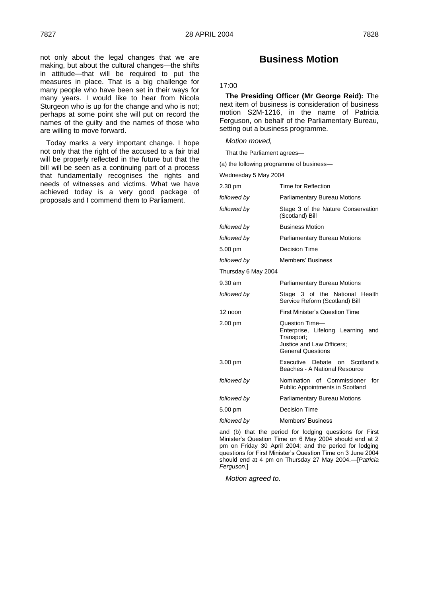not only about the legal changes that we are making, but about the cultural changes—the shifts in attitude—that will be required to put the measures in place. That is a big challenge for many people who have been set in their ways for many years. I would like to hear from Nicola Sturgeon who is up for the change and who is not; perhaps at some point she will put on record the names of the guilty and the names of those who are willing to move forward.

Today marks a very important change. I hope not only that the right of the accused to a fair trial will be properly reflected in the future but that the bill will be seen as a continuing part of a process that fundamentally recognises the rights and needs of witnesses and victims. What we have achieved today is a very good package of proposals and I commend them to Parliament.

# **Business Motion**

# 17:00

**The Presiding Officer (Mr George Reid):** The next item of business is consideration of business motion S2M-1216, in the name of Patricia Ferguson, on behalf of the Parliamentary Bureau, setting out a business programme.

# *Motion moved,*

That the Parliament agrees—

(a) the following programme of business—

Wednesday 5 May 2004

| 2.30 pm             | Time for Reflection                                                                                                        |
|---------------------|----------------------------------------------------------------------------------------------------------------------------|
| followed by         | <b>Parliamentary Bureau Motions</b>                                                                                        |
| followed by         | Stage 3 of the Nature Conservation<br>(Scotland) Bill                                                                      |
| followed by         | <b>Business Motion</b>                                                                                                     |
| followed by         | <b>Parliamentary Bureau Motions</b>                                                                                        |
| 5.00 pm             | Decision Time                                                                                                              |
| followed by         | <b>Members' Business</b>                                                                                                   |
| Thursday 6 May 2004 |                                                                                                                            |
| $9.30$ am           | <b>Parliamentary Bureau Motions</b>                                                                                        |
| followed by         | Stage 3 of the National Health<br>Service Reform (Scotland) Bill                                                           |
| 12 noon             | <b>First Minister's Question Time</b>                                                                                      |
| 2.00 pm             | Question Time-<br>Enterprise, Lifelong Learning and<br>Transport;<br>Justice and Law Officers;<br><b>General Questions</b> |
| 3.00 pm             | Executive Debate on Scotland's<br>Beaches - A National Resource                                                            |
| followed by         | Nomination of Commissioner<br>for<br><b>Public Appointments in Scotland</b>                                                |
| followed by         | <b>Parliamentary Bureau Motions</b>                                                                                        |
| 5.00 pm             | Decision Time                                                                                                              |
| followed by         | Members' Business                                                                                                          |

and (b) that the period for lodging questions for First Minister's Question Time on 6 May 2004 should end at 2 pm on Friday 30 April 2004; and the period for lodging questions for First Minister's Question Time on 3 June 2004 should end at 4 pm on Thursday 27 May 2004.—[*Patricia Ferguson.*]

*Motion agreed to.*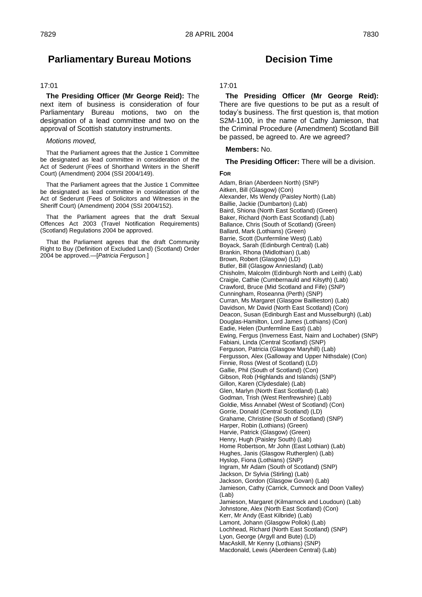# **Parliamentary Bureau Motions**

# 17:01

**The Presiding Officer (Mr George Reid):** The next item of business is consideration of four Parliamentary Bureau motions, two on the designation of a lead committee and two on the approval of Scottish statutory instruments.

#### *Motions moved,*

That the Parliament agrees that the Justice 1 Committee be designated as lead committee in consideration of the Act of Sederunt (Fees of Shorthand Writers in the Sheriff Court) (Amendment) 2004 (SSI 2004/149).

That the Parliament agrees that the Justice 1 Committee be designated as lead committee in consideration of the Act of Sederunt (Fees of Solicitors and Witnesses in the Sheriff Court) (Amendment) 2004 (SSI 2004/152).

That the Parliament agrees that the draft Sexual Offences Act 2003 (Travel Notification Requirements) (Scotland) Regulations 2004 be approved.

That the Parliament agrees that the draft Community Right to Buy (Definition of Excluded Land) (Scotland) Order 2004 be approved.—[*Patricia Ferguson.*]

# **Decision Time**

# 17:01

**The Presiding Officer (Mr George Reid):**  There are five questions to be put as a result of today's business. The first question is, that motion S2M-1100, in the name of Cathy Jamieson, that the Criminal Procedure (Amendment) Scotland Bill be passed, be agreed to. Are we agreed?

### **Members:** No.

**The Presiding Officer:** There will be a division.

# **FOR**

Adam, Brian (Aberdeen North) (SNP) Aitken, Bill (Glasgow) (Con) Alexander, Ms Wendy (Paisley North) (Lab) Baillie, Jackie (Dumbarton) (Lab) Baird, Shiona (North East Scotland) (Green) Baker, Richard (North East Scotland) (Lab) Ballance, Chris (South of Scotland) (Green) Ballard, Mark (Lothians) (Green) Barrie, Scott (Dunfermline West) (Lab) Boyack, Sarah (Edinburgh Central) (Lab) Brankin, Rhona (Midlothian) (Lab) Brown, Robert (Glasgow) (LD) Butler, Bill (Glasgow Anniesland) (Lab) Chisholm, Malcolm (Edinburgh North and Leith) (Lab) Craigie, Cathie (Cumbernauld and Kilsyth) (Lab) Crawford, Bruce (Mid Scotland and Fife) (SNP) Cunningham, Roseanna (Perth) (SNP) Curran, Ms Margaret (Glasgow Baillieston) (Lab) Davidson, Mr David (North East Scotland) (Con) Deacon, Susan (Edinburgh East and Musselburgh) (Lab) Douglas-Hamilton, Lord James (Lothians) (Con) Eadie, Helen (Dunfermline East) (Lab) Ewing, Fergus (Inverness East, Nairn and Lochaber) (SNP) Fabiani, Linda (Central Scotland) (SNP) Ferguson, Patricia (Glasgow Maryhill) (Lab) Fergusson, Alex (Galloway and Upper Nithsdale) (Con) Finnie, Ross (West of Scotland) (LD) Gallie, Phil (South of Scotland) (Con) Gibson, Rob (Highlands and Islands) (SNP) Gillon, Karen (Clydesdale) (Lab) Glen, Marlyn (North East Scotland) (Lab) Godman, Trish (West Renfrewshire) (Lab) Goldie, Miss Annabel (West of Scotland) (Con) Gorrie, Donald (Central Scotland) (LD) Grahame, Christine (South of Scotland) (SNP) Harper, Robin (Lothians) (Green) Harvie, Patrick (Glasgow) (Green) Henry, Hugh (Paisley South) (Lab) Home Robertson, Mr John (East Lothian) (Lab) Hughes, Janis (Glasgow Rutherglen) (Lab) Hyslop, Fiona (Lothians) (SNP) Ingram, Mr Adam (South of Scotland) (SNP) Jackson, Dr Sylvia (Stirling) (Lab) Jackson, Gordon (Glasgow Govan) (Lab) Jamieson, Cathy (Carrick, Cumnock and Doon Valley) (Lab) Jamieson, Margaret (Kilmarnock and Loudoun) (Lab) Johnstone, Alex (North East Scotland) (Con) Kerr, Mr Andy (East Kilbride) (Lab) Lamont, Johann (Glasgow Pollok) (Lab) Lochhead, Richard (North East Scotland) (SNP) Lyon, George (Argyll and Bute) (LD) MacAskill, Mr Kenny (Lothians) (SNP) Macdonald, Lewis (Aberdeen Central) (Lab)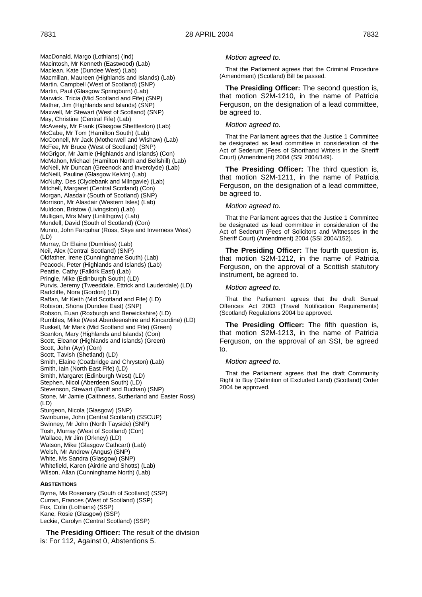MacDonald, Margo (Lothians) (Ind) Macintosh, Mr Kenneth (Eastwood) (Lab) Maclean, Kate (Dundee West) (Lab) Macmillan, Maureen (Highlands and Islands) (Lab) Martin, Campbell (West of Scotland) (SNP) Martin, Paul (Glasgow Springburn) (Lab) Marwick, Tricia (Mid Scotland and Fife) (SNP) Mather, Jim (Highlands and Islands) (SNP) Maxwell, Mr Stewart (West of Scotland) (SNP) May, Christine (Central Fife) (Lab) McAveety, Mr Frank (Glasgow Shettleston) (Lab) McCabe, Mr Tom (Hamilton South) (Lab) McConnell, Mr Jack (Motherwell and Wishaw) (Lab) McFee, Mr Bruce (West of Scotland) (SNP) McGrigor, Mr Jamie (Highlands and Islands) (Con) McMahon, Michael (Hamilton North and Bellshill) (Lab) McNeil, Mr Duncan (Greenock and Inverclyde) (Lab) McNeill, Pauline (Glasgow Kelvin) (Lab) McNulty, Des (Clydebank and Milngavie) (Lab) Mitchell, Margaret (Central Scotland) (Con) Morgan, Alasdair (South of Scotland) (SNP) Morrison, Mr Alasdair (Western Isles) (Lab) Muldoon, Bristow (Livingston) (Lab) Mulligan, Mrs Mary (Linlithgow) (Lab) Mundell, David (South of Scotland) (Con) Munro, John Farquhar (Ross, Skye and Inverness West) (LD) Murray, Dr Elaine (Dumfries) (Lab) Neil, Alex (Central Scotland) (SNP) Oldfather, Irene (Cunninghame South) (Lab) Peacock, Peter (Highlands and Islands) (Lab) Peattie, Cathy (Falkirk East) (Lab) Pringle, Mike (Edinburgh South) (LD) Purvis, Jeremy (Tweeddale, Ettrick and Lauderdale) (LD) Radcliffe, Nora (Gordon) (LD) Raffan, Mr Keith (Mid Scotland and Fife) (LD) Robison, Shona (Dundee East) (SNP) Robson, Euan (Roxburgh and Berwickshire) (LD) Rumbles, Mike (West Aberdeenshire and Kincardine) (LD) Ruskell, Mr Mark (Mid Scotland and Fife) (Green) Scanlon, Mary (Highlands and Islands) (Con) Scott, Eleanor (Highlands and Islands) (Green) Scott, John (Ayr) (Con) Scott, Tavish (Shetland) (LD) Smith, Elaine (Coatbridge and Chryston) (Lab) Smith, Iain (North East Fife) (LD) Smith, Margaret (Edinburgh West) (LD) Stephen, Nicol (Aberdeen South) (LD) Stevenson, Stewart (Banff and Buchan) (SNP) Stone, Mr Jamie (Caithness, Sutherland and Easter Ross) (LD) Sturgeon, Nicola (Glasgow) (SNP) Swinburne, John (Central Scotland) (SSCUP) Swinney, Mr John (North Tayside) (SNP) Tosh, Murray (West of Scotland) (Con) Wallace, Mr Jim (Orkney) (LD) Watson, Mike (Glasgow Cathcart) (Lab) Welsh, Mr Andrew (Angus) (SNP) White, Ms Sandra (Glasgow) (SNP) Whitefield, Karen (Airdrie and Shotts) (Lab) Wilson, Allan (Cunninghame North) (Lab)

#### **ABSTENTIONS**

Byrne, Ms Rosemary (South of Scotland) (SSP) Curran, Frances (West of Scotland) (SSP) Fox, Colin (Lothians) (SSP) Kane, Rosie (Glasgow) (SSP) Leckie, Carolyn (Central Scotland) (SSP)

**The Presiding Officer:** The result of the division is: For 112, Against 0, Abstentions 5.

#### *Motion agreed to.*

That the Parliament agrees that the Criminal Procedure (Amendment) (Scotland) Bill be passed.

**The Presiding Officer:** The second question is, that motion S2M-1210, in the name of Patricia Ferguson, on the designation of a lead committee, be agreed to.

#### *Motion agreed to.*

That the Parliament agrees that the Justice 1 Committee be designated as lead committee in consideration of the Act of Sederunt (Fees of Shorthand Writers in the Sheriff Court) (Amendment) 2004 (SSI 2004/149).

**The Presiding Officer:** The third question is, that motion S2M-1211, in the name of Patricia Ferguson, on the designation of a lead committee, be agreed to.

#### *Motion agreed to.*

That the Parliament agrees that the Justice 1 Committee be designated as lead committee in consideration of the Act of Sederunt (Fees of Solicitors and Witnesses in the Sheriff Court) (Amendment) 2004 (SSI 2004/152).

**The Presiding Officer:** The fourth question is, that motion S2M-1212, in the name of Patricia Ferguson, on the approval of a Scottish statutory instrument, be agreed to.

#### *Motion agreed to.*

That the Parliament agrees that the draft Sexual Offences Act 2003 (Travel Notification Requirements) (Scotland) Regulations 2004 be approved.

**The Presiding Officer:** The fifth question is, that motion S2M-1213, in the name of Patricia Ferguson, on the approval of an SSI, be agreed to.

#### *Motion agreed to.*

That the Parliament agrees that the draft Community Right to Buy (Definition of Excluded Land) (Scotland) Order 2004 be approved.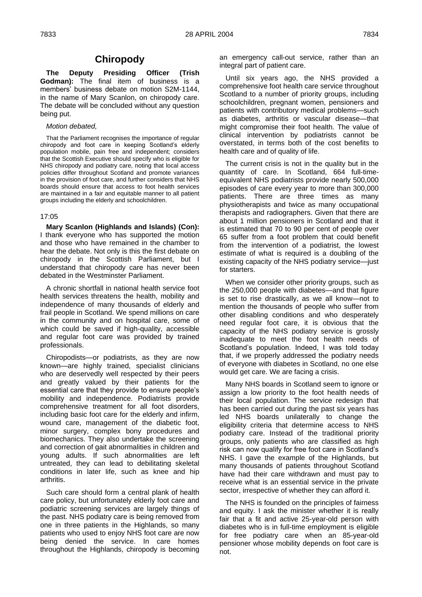# **Chiropody**

**The Deputy Presiding Officer (Trish Godman):** The final item of business is a members' business debate on motion S2M-1144, in the name of Mary Scanlon, on chiropody care. The debate will be concluded without any question being put.

# *Motion debated,*

That the Parliament recognises the importance of regular chiropody and foot care in keeping Scotland's elderly population mobile, pain free and independent; considers that the Scottish Executive should specify who is eligible for NHS chiropody and podiatry care, noting that local access policies differ throughout Scotland and promote variances in the provision of foot care, and further considers that NHS boards should ensure that access to foot health services are maintained in a fair and equitable manner to all patient groups including the elderly and schoolchildren.

# 17:05

**Mary Scanlon (Highlands and Islands) (Con):**  I thank everyone who has supported the motion and those who have remained in the chamber to hear the debate. Not only is this the first debate on chiropody in the Scottish Parliament, but I understand that chiropody care has never been debated in the Westminster Parliament.

A chronic shortfall in national health service foot health services threatens the health, mobility and independence of many thousands of elderly and frail people in Scotland. We spend millions on care in the community and on hospital care, some of which could be saved if high-quality, accessible and regular foot care was provided by trained professionals.

Chiropodists—or podiatrists, as they are now known—are highly trained, specialist clinicians who are deservedly well respected by their peers and greatly valued by their patients for the essential care that they provide to ensure people's mobility and independence. Podiatrists provide comprehensive treatment for all foot disorders, including basic foot care for the elderly and infirm, wound care, management of the diabetic foot, minor surgery, complex bony procedures and biomechanics. They also undertake the screening and correction of gait abnormalities in children and young adults. If such abnormalities are left untreated, they can lead to debilitating skeletal conditions in later life, such as knee and hip arthritis.

Such care should form a central plank of health care policy, but unfortunately elderly foot care and podiatric screening services are largely things of the past. NHS podiatry care is being removed from one in three patients in the Highlands, so many patients who used to enjoy NHS foot care are now being denied the service. In care homes throughout the Highlands, chiropody is becoming

an emergency call-out service, rather than an integral part of patient care.

Until six years ago, the NHS provided a comprehensive foot health care service throughout Scotland to a number of priority groups, including schoolchildren, pregnant women, pensioners and patients with contributory medical problems—such as diabetes, arthritis or vascular disease—that might compromise their foot health. The value of clinical intervention by podiatrists cannot be overstated, in terms both of the cost benefits to health care and of quality of life.

The current crisis is not in the quality but in the quantity of care. In Scotland, 664 full-timeequivalent NHS podiatrists provide nearly 500,000 episodes of care every year to more than 300,000 patients. There are three times as many physiotherapists and twice as many occupational therapists and radiographers. Given that there are about 1 million pensioners in Scotland and that it is estimated that 70 to 90 per cent of people over 65 suffer from a foot problem that could benefit from the intervention of a podiatrist, the lowest estimate of what is required is a doubling of the existing capacity of the NHS podiatry service—just for starters.

When we consider other priority groups, such as the 250,000 people with diabetes—and that figure is set to rise drastically, as we all know—not to mention the thousands of people who suffer from other disabling conditions and who desperately need regular foot care, it is obvious that the capacity of the NHS podiatry service is grossly inadequate to meet the foot health needs of Scotland's population. Indeed, I was told today that, if we properly addressed the podiatry needs of everyone with diabetes in Scotland, no one else would get care. We are facing a crisis.

Many NHS boards in Scotland seem to ignore or assign a low priority to the foot health needs of their local population. The service redesign that has been carried out during the past six years has led NHS boards unilaterally to change the eligibility criteria that determine access to NHS podiatry care. Instead of the traditional priority groups, only patients who are classified as high risk can now qualify for free foot care in Scotland's NHS. I gave the example of the Highlands, but many thousands of patients throughout Scotland have had their care withdrawn and must pay to receive what is an essential service in the private sector, irrespective of whether they can afford it.

The NHS is founded on the principles of fairness and equity. I ask the minister whether it is really fair that a fit and active 25-year-old person with diabetes who is in full-time employment is eligible for free podiatry care when an 85-year-old pensioner whose mobility depends on foot care is not.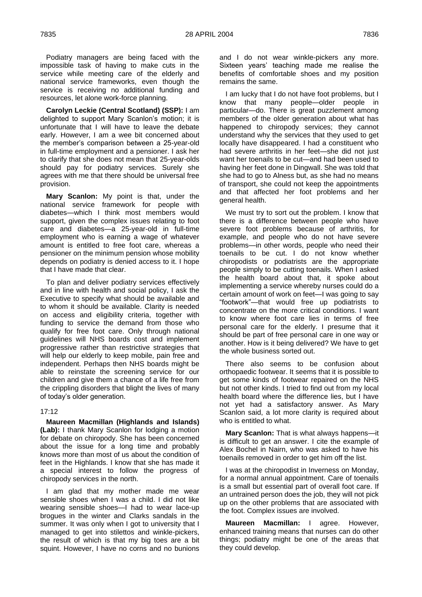Podiatry managers are being faced with the impossible task of having to make cuts in the service while meeting care of the elderly and national service frameworks, even though the service is receiving no additional funding and resources, let alone work-force planning.

**Carolyn Leckie (Central Scotland) (SSP):** I am delighted to support Mary Scanlon's motion; it is unfortunate that I will have to leave the debate early. However, I am a wee bit concerned about the member's comparison between a 25-year-old in full-time employment and a pensioner. I ask her to clarify that she does not mean that 25-year-olds should pay for podiatry services. Surely she agrees with me that there should be universal free provision.

**Mary Scanlon:** My point is that, under the national service framework for people with diabetes—which I think most members would support, given the complex issues relating to foot care and diabetes—a 25-year-old in full-time employment who is earning a wage of whatever amount is entitled to free foot care, whereas a pensioner on the minimum pension whose mobility depends on podiatry is denied access to it. I hope that I have made that clear.

To plan and deliver podiatry services effectively and in line with health and social policy, I ask the Executive to specify what should be available and to whom it should be available. Clarity is needed on access and eligibility criteria, together with funding to service the demand from those who qualify for free foot care. Only through national guidelines will NHS boards cost and implement progressive rather than restrictive strategies that will help our elderly to keep mobile, pain free and independent. Perhaps then NHS boards might be able to reinstate the screening service for our children and give them a chance of a life free from the crippling disorders that blight the lives of many of today's older generation.

#### 17:12

**Maureen Macmillan (Highlands and Islands) (Lab):** I thank Mary Scanlon for lodging a motion for debate on chiropody. She has been concerned about the issue for a long time and probably knows more than most of us about the condition of feet in the Highlands. I know that she has made it a special interest to follow the progress of chiropody services in the north.

I am glad that my mother made me wear sensible shoes when I was a child. I did not like wearing sensible shoes—I had to wear lace-up brogues in the winter and Clarks sandals in the summer. It was only when I got to university that I managed to get into stilettos and winkle-pickers, the result of which is that my big toes are a bit squint. However, I have no corns and no bunions

and I do not wear winkle-pickers any more. Sixteen years' teaching made me realise the benefits of comfortable shoes and my position remains the same.

I am lucky that I do not have foot problems, but I know that many people—older people in particular—do. There is great puzzlement among members of the older generation about what has happened to chiropody services; they cannot understand why the services that they used to get locally have disappeared. I had a constituent who had severe arthritis in her feet—she did not just want her toenails to be cut—and had been used to having her feet done in Dingwall. She was told that she had to go to Alness but, as she had no means of transport, she could not keep the appointments and that affected her foot problems and her general health.

We must try to sort out the problem. I know that there is a difference between people who have severe foot problems because of arthritis, for example, and people who do not have severe problems—in other words, people who need their toenails to be cut. I do not know whether chiropodists or podiatrists are the appropriate people simply to be cutting toenails. When I asked the health board about that, it spoke about implementing a service whereby nurses could do a certain amount of work on feet—I was going to say ―footwork‖—that would free up podiatrists to concentrate on the more critical conditions. I want to know where foot care lies in terms of free personal care for the elderly. I presume that it should be part of free personal care in one way or another. How is it being delivered? We have to get the whole business sorted out.

There also seems to be confusion about orthopaedic footwear. It seems that it is possible to get some kinds of footwear repaired on the NHS but not other kinds. I tried to find out from my local health board where the difference lies, but I have not yet had a satisfactory answer. As Mary Scanlon said, a lot more clarity is required about who is entitled to what.

**Mary Scanlon:** That is what always happens—it is difficult to get an answer. I cite the example of Alex Bochel in Nairn, who was asked to have his toenails removed in order to get him off the list.

I was at the chiropodist in Inverness on Monday, for a normal annual appointment. Care of toenails is a small but essential part of overall foot care. If an untrained person does the job, they will not pick up on the other problems that are associated with the foot. Complex issues are involved.

**Maureen Macmillan:** I agree. However, enhanced training means that nurses can do other things; podiatry might be one of the areas that they could develop.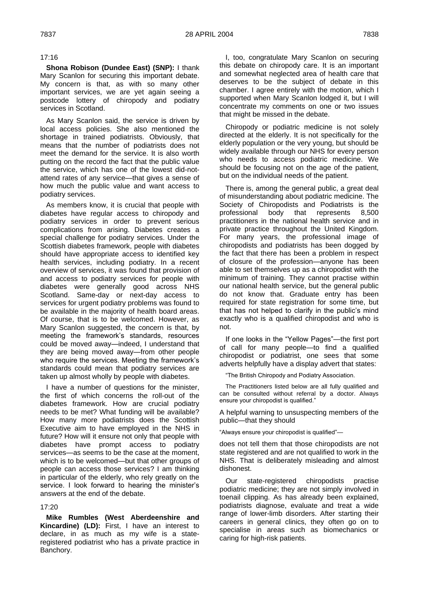# 17:16

**Shona Robison (Dundee East) (SNP):** I thank Mary Scanlon for securing this important debate. My concern is that, as with so many other important services, we are yet again seeing a postcode lottery of chiropody and podiatry services in Scotland.

As Mary Scanlon said, the service is driven by local access policies. She also mentioned the shortage in trained podiatrists. Obviously, that means that the number of podiatrists does not meet the demand for the service. It is also worth putting on the record the fact that the public value the service, which has one of the lowest did-notattend rates of any service—that gives a sense of how much the public value and want access to podiatry services.

As members know, it is crucial that people with diabetes have regular access to chiropody and podiatry services in order to prevent serious complications from arising. Diabetes creates a special challenge for podiatry services. Under the Scottish diabetes framework, people with diabetes should have appropriate access to identified key health services, including podiatry. In a recent overview of services, it was found that provision of and access to podiatry services for people with diabetes were generally good across NHS Scotland. Same-day or next-day access to services for urgent podiatry problems was found to be available in the majority of health board areas. Of course, that is to be welcomed. However, as Mary Scanlon suggested, the concern is that, by meeting the framework's standards, resources could be moved away—indeed, I understand that they are being moved away—from other people who require the services. Meeting the framework's standards could mean that podiatry services are taken up almost wholly by people with diabetes.

I have a number of questions for the minister, the first of which concerns the roll-out of the diabetes framework. How are crucial podiatry needs to be met? What funding will be available? How many more podiatrists does the Scottish Executive aim to have employed in the NHS in future? How will it ensure not only that people with diabetes have prompt access to podiatry services—as seems to be the case at the moment, which is to be welcomed—but that other groups of people can access those services? I am thinking in particular of the elderly, who rely greatly on the service. I look forward to hearing the minister's answers at the end of the debate.

# 17:20

**Mike Rumbles (West Aberdeenshire and Kincardine) (LD):** First, I have an interest to declare, in as much as my wife is a stateregistered podiatrist who has a private practice in Banchory.

I, too, congratulate Mary Scanlon on securing this debate on chiropody care. It is an important and somewhat neglected area of health care that deserves to be the subject of debate in this chamber. I agree entirely with the motion, which I supported when Mary Scanlon lodged it, but I will concentrate my comments on one or two issues that might be missed in the debate.

Chiropody or podiatric medicine is not solely directed at the elderly. It is not specifically for the elderly population or the very young, but should be widely available through our NHS for every person who needs to access podiatric medicine. We should be focusing not on the age of the patient, but on the individual needs of the patient.

There is, among the general public, a great deal of misunderstanding about podiatric medicine. The Society of Chiropodists and Podiatrists is the professional body that represents 8,500 practitioners in the national health service and in private practice throughout the United Kingdom. For many years, the professional image of chiropodists and podiatrists has been dogged by the fact that there has been a problem in respect of closure of the profession—anyone has been able to set themselves up as a chiropodist with the minimum of training. They cannot practise within our national health service, but the general public do not know that. Graduate entry has been required for state registration for some time, but that has not helped to clarify in the public's mind exactly who is a qualified chiropodist and who is not.

If one looks in the "Yellow Pages"—the first port of call for many people—to find a qualified chiropodist or podiatrist, one sees that some adverts helpfully have a display advert that states:

―The British Chiropody and Podiatry Association.

The Practitioners listed below are all fully qualified and can be consulted without referral by a doctor. Always ensure your chiropodist is qualified."

A helpful warning to unsuspecting members of the public—that they should

"Always ensure your chiropodist is qualified"-

does not tell them that those chiropodists are not state registered and are not qualified to work in the NHS. That is deliberately misleading and almost dishonest.

Our state-registered chiropodists practise podiatric medicine; they are not simply involved in toenail clipping. As has already been explained, podiatrists diagnose, evaluate and treat a wide range of lower-limb disorders. After starting their careers in general clinics, they often go on to specialise in areas such as biomechanics or caring for high-risk patients.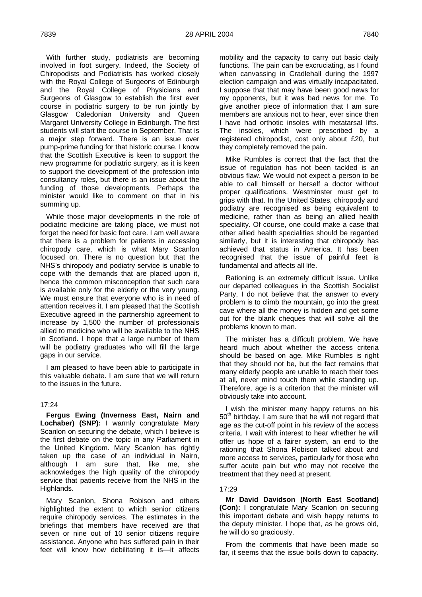With further study, podiatrists are becoming involved in foot surgery. Indeed, the Society of Chiropodists and Podiatrists has worked closely with the Royal College of Surgeons of Edinburgh and the Royal College of Physicians and Surgeons of Glasgow to establish the first ever course in podiatric surgery to be run jointly by Glasgow Caledonian University and Queen Margaret University College in Edinburgh. The first students will start the course in September. That is a major step forward. There is an issue over pump-prime funding for that historic course. I know that the Scottish Executive is keen to support the new programme for podiatric surgery, as it is keen to support the development of the profession into consultancy roles, but there is an issue about the funding of those developments. Perhaps the minister would like to comment on that in his summing up.

While those major developments in the role of podiatric medicine are taking place, we must not forget the need for basic foot care. I am well aware that there is a problem for patients in accessing chiropody care, which is what Mary Scanlon focused on. There is no question but that the NHS's chiropody and podiatry service is unable to cope with the demands that are placed upon it, hence the common misconception that such care is available only for the elderly or the very young. We must ensure that everyone who is in need of attention receives it. I am pleased that the Scottish Executive agreed in the partnership agreement to increase by 1,500 the number of professionals allied to medicine who will be available to the NHS in Scotland. I hope that a large number of them will be podiatry graduates who will fill the large gaps in our service.

I am pleased to have been able to participate in this valuable debate. I am sure that we will return to the issues in the future.

# 17:24

**Fergus Ewing (Inverness East, Nairn and Lochaber) (SNP):** I warmly congratulate Mary Scanlon on securing the debate, which I believe is the first debate on the topic in any Parliament in the United Kingdom. Mary Scanlon has rightly taken up the case of an individual in Nairn, although I am sure that, like me, she acknowledges the high quality of the chiropody service that patients receive from the NHS in the Highlands.

Mary Scanlon, Shona Robison and others highlighted the extent to which senior citizens require chiropody services. The estimates in the briefings that members have received are that seven or nine out of 10 senior citizens require assistance. Anyone who has suffered pain in their feet will know how debilitating it is—it affects

mobility and the capacity to carry out basic daily functions. The pain can be excruciating, as I found when canvassing in Cradlehall during the 1997 election campaign and was virtually incapacitated. I suppose that that may have been good news for my opponents, but it was bad news for me. To give another piece of information that I am sure members are anxious not to hear, ever since then I have had orthotic insoles with metatarsal lifts. The insoles, which were prescribed by a registered chiropodist, cost only about £20, but they completely removed the pain.

Mike Rumbles is correct that the fact that the issue of regulation has not been tackled is an obvious flaw. We would not expect a person to be able to call himself or herself a doctor without proper qualifications. Westminster must get to grips with that. In the United States, chiropody and podiatry are recognised as being equivalent to medicine, rather than as being an allied health speciality. Of course, one could make a case that other allied health specialities should be regarded similarly, but it is interesting that chiropody has achieved that status in America. It has been recognised that the issue of painful feet is fundamental and affects all life.

Rationing is an extremely difficult issue. Unlike our departed colleagues in the Scottish Socialist Party, I do not believe that the answer to every problem is to climb the mountain, go into the great cave where all the money is hidden and get some out for the blank cheques that will solve all the problems known to man.

The minister has a difficult problem. We have heard much about whether the access criteria should be based on age. Mike Rumbles is right that they should not be, but the fact remains that many elderly people are unable to reach their toes at all, never mind touch them while standing up. Therefore, age is a criterion that the minister will obviously take into account.

I wish the minister many happy returns on his  $50<sup>th</sup>$  birthday. I am sure that he will not regard that age as the cut-off point in his review of the access criteria. I wait with interest to hear whether he will offer us hope of a fairer system, an end to the rationing that Shona Robison talked about and more access to services, particularly for those who suffer acute pain but who may not receive the treatment that they need at present.

#### 17:29

**Mr David Davidson (North East Scotland) (Con):** I congratulate Mary Scanlon on securing this important debate and wish happy returns to the deputy minister. I hope that, as he grows old, he will do so graciously.

From the comments that have been made so far, it seems that the issue boils down to capacity.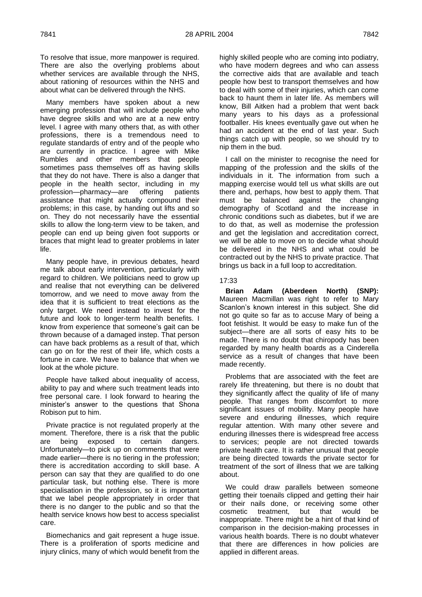To resolve that issue, more manpower is required. There are also the overlying problems about whether services are available through the NHS, about rationing of resources within the NHS and about what can be delivered through the NHS.

Many members have spoken about a new emerging profession that will include people who have degree skills and who are at a new entry level. I agree with many others that, as with other professions, there is a tremendous need to regulate standards of entry and of the people who are currently in practice. I agree with Mike Rumbles and other members that people sometimes pass themselves off as having skills that they do not have. There is also a danger that people in the health sector, including in my profession—pharmacy—are offering patients assistance that might actually compound their problems; in this case, by handing out lifts and so on. They do not necessarily have the essential skills to allow the long-term view to be taken, and people can end up being given foot supports or braces that might lead to greater problems in later life.

Many people have, in previous debates, heard me talk about early intervention, particularly with regard to children. We politicians need to grow up and realise that not everything can be delivered tomorrow, and we need to move away from the idea that it is sufficient to treat elections as the only target. We need instead to invest for the future and look to longer-term health benefits. I know from experience that someone's gait can be thrown because of a damaged instep. That person can have back problems as a result of that, which can go on for the rest of their life, which costs a fortune in care. We have to balance that when we look at the whole picture.

People have talked about inequality of access, ability to pay and where such treatment leads into free personal care. I look forward to hearing the minister's answer to the questions that Shona Robison put to him.

Private practice is not regulated properly at the moment. Therefore, there is a risk that the public are being exposed to certain dangers. Unfortunately—to pick up on comments that were made earlier—there is no tiering in the profession; there is accreditation according to skill base. A person can say that they are qualified to do one particular task, but nothing else. There is more specialisation in the profession, so it is important that we label people appropriately in order that there is no danger to the public and so that the health service knows how best to access specialist care.

Biomechanics and gait represent a huge issue. There is a proliferation of sports medicine and injury clinics, many of which would benefit from the highly skilled people who are coming into podiatry, who have modern degrees and who can assess the corrective aids that are available and teach people how best to transport themselves and how to deal with some of their injuries, which can come back to haunt them in later life. As members will know, Bill Aitken had a problem that went back many years to his days as a professional footballer. His knees eventually gave out when he had an accident at the end of last year. Such things catch up with people, so we should try to nip them in the bud.

I call on the minister to recognise the need for mapping of the profession and the skills of the individuals in it. The information from such a mapping exercise would tell us what skills are out there and, perhaps, how best to apply them. That must be balanced against the changing demography of Scotland and the increase in chronic conditions such as diabetes, but if we are to do that, as well as modernise the profession and get the legislation and accreditation correct, we will be able to move on to decide what should be delivered in the NHS and what could be contracted out by the NHS to private practice. That brings us back in a full loop to accreditation.

### 17:33

**Brian Adam (Aberdeen North) (SNP):**  Maureen Macmillan was right to refer to Mary Scanlon's known interest in this subject. She did not go quite so far as to accuse Mary of being a foot fetishist. It would be easy to make fun of the subject—there are all sorts of easy hits to be made. There is no doubt that chiropody has been regarded by many health boards as a Cinderella service as a result of changes that have been made recently.

Problems that are associated with the feet are rarely life threatening, but there is no doubt that they significantly affect the quality of life of many people. That ranges from discomfort to more significant issues of mobility. Many people have severe and enduring illnesses, which require regular attention. With many other severe and enduring illnesses there is widespread free access to services; people are not directed towards private health care. It is rather unusual that people are being directed towards the private sector for treatment of the sort of illness that we are talking about.

We could draw parallels between someone getting their toenails clipped and getting their hair or their nails done, or receiving some other cosmetic treatment, but that would be inappropriate. There might be a hint of that kind of comparison in the decision-making processes in various health boards. There is no doubt whatever that there are differences in how policies are applied in different areas.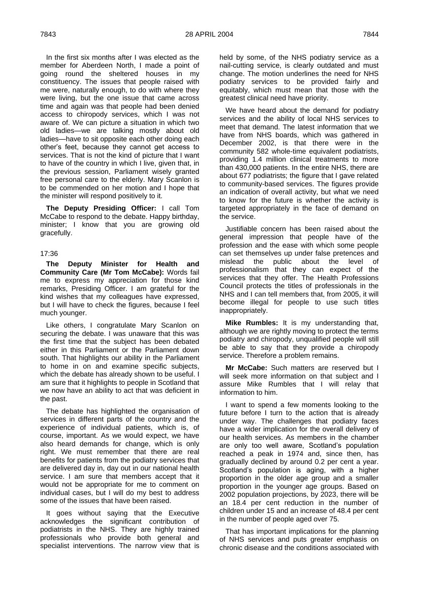In the first six months after I was elected as the member for Aberdeen North, I made a point of going round the sheltered houses in my constituency. The issues that people raised with me were, naturally enough, to do with where they were living, but the one issue that came across time and again was that people had been denied access to chiropody services, which I was not aware of. We can picture a situation in which two old ladies—we are talking mostly about old ladies—have to sit opposite each other doing each other's feet, because they cannot get access to services. That is not the kind of picture that I want to have of the country in which I live, given that, in the previous session, Parliament wisely granted free personal care to the elderly. Mary Scanlon is to be commended on her motion and I hope that the minister will respond positively to it.

**The Deputy Presiding Officer:** I call Tom McCabe to respond to the debate. Happy birthday, minister; I know that you are growing old gracefully.

# 17:36

**The Deputy Minister for Health and Community Care (Mr Tom McCabe):** Words fail me to express my appreciation for those kind remarks, Presiding Officer. I am grateful for the kind wishes that my colleagues have expressed, but I will have to check the figures, because I feel much younger.

Like others, I congratulate Mary Scanlon on securing the debate. I was unaware that this was the first time that the subject has been debated either in this Parliament or the Parliament down south. That highlights our ability in the Parliament to home in on and examine specific subjects, which the debate has already shown to be useful. I am sure that it highlights to people in Scotland that we now have an ability to act that was deficient in the past.

The debate has highlighted the organisation of services in different parts of the country and the experience of individual patients, which is, of course, important. As we would expect, we have also heard demands for change, which is only right. We must remember that there are real benefits for patients from the podiatry services that are delivered day in, day out in our national health service. I am sure that members accept that it would not be appropriate for me to comment on individual cases, but I will do my best to address some of the issues that have been raised.

It goes without saying that the Executive acknowledges the significant contribution of podiatrists in the NHS. They are highly trained professionals who provide both general and specialist interventions. The narrow view that is

held by some, of the NHS podiatry service as a nail-cutting service, is clearly outdated and must change. The motion underlines the need for NHS podiatry services to be provided fairly and equitably, which must mean that those with the greatest clinical need have priority.

We have heard about the demand for podiatry services and the ability of local NHS services to meet that demand. The latest information that we have from NHS boards, which was gathered in December 2002, is that there were in the community 582 whole-time equivalent podiatrists, providing 1.4 million clinical treatments to more than 430,000 patients. In the entire NHS, there are about 677 podiatrists; the figure that I gave related to community-based services. The figures provide an indication of overall activity, but what we need to know for the future is whether the activity is targeted appropriately in the face of demand on the service.

Justifiable concern has been raised about the general impression that people have of the profession and the ease with which some people can set themselves up under false pretences and mislead the public about the level of professionalism that they can expect of the services that they offer. The Health Professions Council protects the titles of professionals in the NHS and I can tell members that, from 2005, it will become illegal for people to use such titles inappropriately.

**Mike Rumbles:** It is my understanding that, although we are rightly moving to protect the terms podiatry and chiropody, unqualified people will still be able to say that they provide a chiropody service. Therefore a problem remains.

**Mr McCabe:** Such matters are reserved but I will seek more information on that subject and I assure Mike Rumbles that I will relay that information to him.

I want to spend a few moments looking to the future before I turn to the action that is already under way. The challenges that podiatry faces have a wider implication for the overall delivery of our health services. As members in the chamber are only too well aware, Scotland's population reached a peak in 1974 and, since then, has gradually declined by around 0.2 per cent a year. Scotland's population is aging, with a higher proportion in the older age group and a smaller proportion in the younger age groups. Based on 2002 population projections, by 2023, there will be an 18.4 per cent reduction in the number of children under 15 and an increase of 48.4 per cent in the number of people aged over 75.

That has important implications for the planning of NHS services and puts greater emphasis on chronic disease and the conditions associated with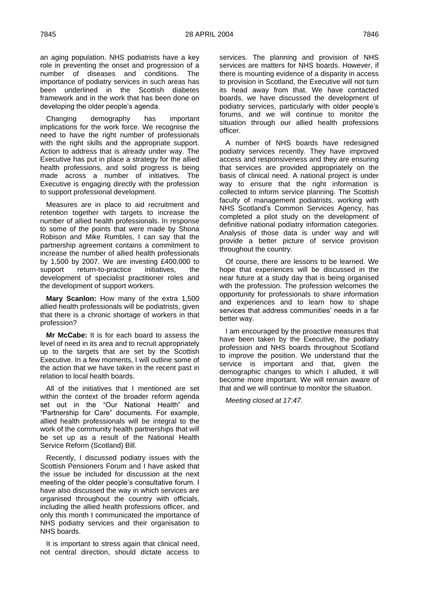an aging population. NHS podiatrists have a key role in preventing the onset and progression of a number of diseases and conditions. The importance of podiatry services in such areas has been underlined in the Scottish diabetes framework and in the work that has been done on developing the older people's agenda.

Changing demography has important implications for the work force. We recognise the need to have the right number of professionals with the right skills and the appropriate support. Action to address that is already under way. The Executive has put in place a strategy for the allied health professions, and solid progress is being made across a number of initiatives. The Executive is engaging directly with the profession to support professional development.

Measures are in place to aid recruitment and retention together with targets to increase the number of allied health professionals. In response to some of the points that were made by Shona Robison and Mike Rumbles, I can say that the partnership agreement contains a commitment to increase the number of allied health professionals by 1,500 by 2007. We are investing £400,000 to support return-to-practice initiatives, the development of specialist practitioner roles and the development of support workers.

**Mary Scanlon:** How many of the extra 1,500 allied health professionals will be podiatrists, given that there is a chronic shortage of workers in that profession?

**Mr McCabe:** It is for each board to assess the level of need in its area and to recruit appropriately up to the targets that are set by the Scottish Executive. In a few moments, I will outline some of the action that we have taken in the recent past in relation to local health boards.

All of the initiatives that I mentioned are set within the context of the broader reform agenda set out in the "Our National Health" and ―Partnership for Care‖ documents. For example, allied health professionals will be integral to the work of the community health partnerships that will be set up as a result of the National Health Service Reform (Scotland) Bill.

Recently, I discussed podiatry issues with the Scottish Pensioners Forum and I have asked that the issue be included for discussion at the next meeting of the older people's consultative forum. I have also discussed the way in which services are organised throughout the country with officials, including the allied health professions officer, and only this month I communicated the importance of NHS podiatry services and their organisation to NHS boards.

It is important to stress again that clinical need, not central direction, should dictate access to services. The planning and provision of NHS services are matters for NHS boards. However, if there is mounting evidence of a disparity in access to provision in Scotland, the Executive will not turn its head away from that. We have contacted boards, we have discussed the development of podiatry services, particularly with older people's forums, and we will continue to monitor the situation through our allied health professions officer.

A number of NHS boards have redesigned podiatry services recently. They have improved access and responsiveness and they are ensuring that services are provided appropriately on the basis of clinical need. A national project is under way to ensure that the right information is collected to inform service planning. The Scottish faculty of management podiatrists, working with NHS Scotland's Common Services Agency, has completed a pilot study on the development of definitive national podiatry information categories. Analysis of those data is under way and will provide a better picture of service provision throughout the country.

Of course, there are lessons to be learned. We hope that experiences will be discussed in the near future at a study day that is being organised with the profession. The profession welcomes the opportunity for professionals to share information and experiences and to learn how to shape services that address communities' needs in a far better way.

I am encouraged by the proactive measures that have been taken by the Executive, the podiatry profession and NHS boards throughout Scotland to improve the position. We understand that the service is important and that, given the demographic changes to which I alluded, it will become more important. We will remain aware of that and we will continue to monitor the situation.

*Meeting closed at 17:47.*